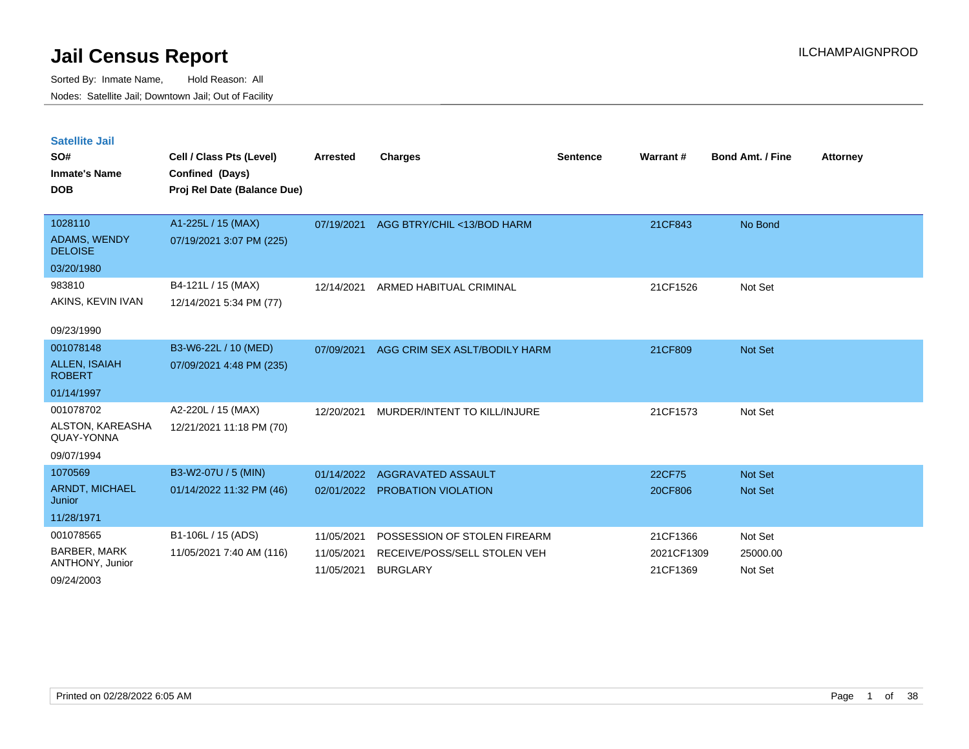Sorted By: Inmate Name, Hold Reason: All Nodes: Satellite Jail; Downtown Jail; Out of Facility

| <b>Satellite Jail</b><br>SO#<br><b>Inmate's Name</b><br><b>DOB</b> | Cell / Class Pts (Level)<br>Confined (Days)<br>Proj Rel Date (Balance Due) | <b>Arrested</b> | Charges                       | <b>Sentence</b> | Warrant#   | <b>Bond Amt. / Fine</b> | <b>Attorney</b> |
|--------------------------------------------------------------------|----------------------------------------------------------------------------|-----------------|-------------------------------|-----------------|------------|-------------------------|-----------------|
| 1028110                                                            | A1-225L / 15 (MAX)                                                         | 07/19/2021      | AGG BTRY/CHIL <13/BOD HARM    |                 | 21CF843    | No Bond                 |                 |
| ADAMS, WENDY<br><b>DELOISE</b>                                     | 07/19/2021 3:07 PM (225)                                                   |                 |                               |                 |            |                         |                 |
| 03/20/1980                                                         |                                                                            |                 |                               |                 |            |                         |                 |
| 983810                                                             | B4-121L / 15 (MAX)                                                         | 12/14/2021      | ARMED HABITUAL CRIMINAL       |                 | 21CF1526   | Not Set                 |                 |
| AKINS, KEVIN IVAN                                                  | 12/14/2021 5:34 PM (77)                                                    |                 |                               |                 |            |                         |                 |
| 09/23/1990                                                         |                                                                            |                 |                               |                 |            |                         |                 |
| 001078148                                                          | B3-W6-22L / 10 (MED)                                                       | 07/09/2021      | AGG CRIM SEX ASLT/BODILY HARM |                 | 21CF809    | <b>Not Set</b>          |                 |
| <b>ALLEN, ISAIAH</b><br><b>ROBERT</b>                              | 07/09/2021 4:48 PM (235)                                                   |                 |                               |                 |            |                         |                 |
| 01/14/1997                                                         |                                                                            |                 |                               |                 |            |                         |                 |
| 001078702                                                          | A2-220L / 15 (MAX)                                                         | 12/20/2021      | MURDER/INTENT TO KILL/INJURE  |                 | 21CF1573   | Not Set                 |                 |
| ALSTON, KAREASHA<br>QUAY-YONNA                                     | 12/21/2021 11:18 PM (70)                                                   |                 |                               |                 |            |                         |                 |
| 09/07/1994                                                         |                                                                            |                 |                               |                 |            |                         |                 |
| 1070569                                                            | B3-W2-07U / 5 (MIN)                                                        | 01/14/2022      | AGGRAVATED ASSAULT            |                 | 22CF75     | <b>Not Set</b>          |                 |
| ARNDT, MICHAEL<br>Junior                                           | 01/14/2022 11:32 PM (46)                                                   | 02/01/2022      | PROBATION VIOLATION           |                 | 20CF806    | <b>Not Set</b>          |                 |
| 11/28/1971                                                         |                                                                            |                 |                               |                 |            |                         |                 |
| 001078565                                                          | B1-106L / 15 (ADS)                                                         | 11/05/2021      | POSSESSION OF STOLEN FIREARM  |                 | 21CF1366   | Not Set                 |                 |
| <b>BARBER, MARK</b>                                                | 11/05/2021 7:40 AM (116)                                                   | 11/05/2021      | RECEIVE/POSS/SELL STOLEN VEH  |                 | 2021CF1309 | 25000.00                |                 |
| ANTHONY, Junior                                                    |                                                                            | 11/05/2021      | <b>BURGLARY</b>               |                 | 21CF1369   | Not Set                 |                 |

09/24/2003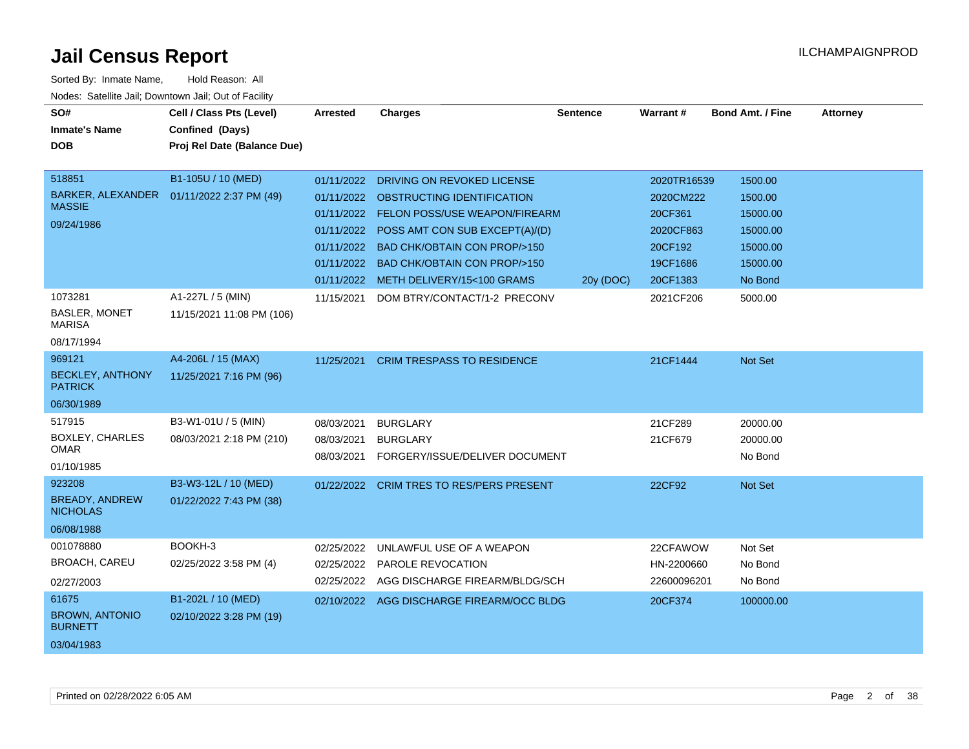| roaco. Catolino cali, Downtown cali, Out of Facility<br>SO#<br><b>Inmate's Name</b><br><b>DOB</b><br>518851<br>BARKER, ALEXANDER  01/11/2022 2:37 PM (49)<br><b>MASSIE</b> | Cell / Class Pts (Level)<br>Confined (Days)<br>Proj Rel Date (Balance Due)<br>B1-105U / 10 (MED) | <b>Arrested</b><br>01/11/2022<br>01/11/2022          | <b>Charges</b><br>01/11/2022 DRIVING ON REVOKED LICENSE<br>OBSTRUCTING IDENTIFICATION<br><b>FELON POSS/USE WEAPON/FIREARM</b>          | <b>Sentence</b> | Warrant#<br>2020TR16539<br>2020CM222<br>20CF361 | <b>Bond Amt. / Fine</b><br>1500.00<br>1500.00<br>15000.00 | <b>Attorney</b> |
|----------------------------------------------------------------------------------------------------------------------------------------------------------------------------|--------------------------------------------------------------------------------------------------|------------------------------------------------------|----------------------------------------------------------------------------------------------------------------------------------------|-----------------|-------------------------------------------------|-----------------------------------------------------------|-----------------|
| 09/24/1986                                                                                                                                                                 |                                                                                                  | 01/11/2022<br>01/11/2022<br>01/11/2022<br>01/11/2022 | POSS AMT CON SUB EXCEPT(A)/(D)<br>BAD CHK/OBTAIN CON PROP/>150<br><b>BAD CHK/OBTAIN CON PROP/&gt;150</b><br>METH DELIVERY/15<100 GRAMS | 20y (DOC)       | 2020CF863<br>20CF192<br>19CF1686<br>20CF1383    | 15000.00<br>15000.00<br>15000.00<br>No Bond               |                 |
| 1073281<br><b>BASLER, MONET</b><br><b>MARISA</b><br>08/17/1994                                                                                                             | A1-227L / 5 (MIN)<br>11/15/2021 11:08 PM (106)                                                   | 11/15/2021                                           | DOM BTRY/CONTACT/1-2 PRECONV                                                                                                           |                 | 2021CF206                                       | 5000.00                                                   |                 |
| 969121<br><b>BECKLEY, ANTHONY</b><br><b>PATRICK</b><br>06/30/1989                                                                                                          | A4-206L / 15 (MAX)<br>11/25/2021 7:16 PM (96)                                                    | 11/25/2021                                           | <b>CRIM TRESPASS TO RESIDENCE</b>                                                                                                      |                 | 21CF1444                                        | Not Set                                                   |                 |
| 517915<br>BOXLEY, CHARLES<br><b>OMAR</b><br>01/10/1985                                                                                                                     | B3-W1-01U / 5 (MIN)<br>08/03/2021 2:18 PM (210)                                                  | 08/03/2021<br>08/03/2021<br>08/03/2021               | <b>BURGLARY</b><br><b>BURGLARY</b><br>FORGERY/ISSUE/DELIVER DOCUMENT                                                                   |                 | 21CF289<br>21CF679                              | 20000.00<br>20000.00<br>No Bond                           |                 |
| 923208<br><b>BREADY, ANDREW</b><br><b>NICHOLAS</b><br>06/08/1988                                                                                                           | B3-W3-12L / 10 (MED)<br>01/22/2022 7:43 PM (38)                                                  |                                                      | 01/22/2022 CRIM TRES TO RES/PERS PRESENT                                                                                               |                 | 22CF92                                          | <b>Not Set</b>                                            |                 |
| 001078880<br><b>BROACH, CAREU</b><br>02/27/2003                                                                                                                            | BOOKH-3<br>02/25/2022 3:58 PM (4)                                                                | 02/25/2022<br>02/25/2022                             | UNLAWFUL USE OF A WEAPON<br>PAROLE REVOCATION<br>02/25/2022 AGG DISCHARGE FIREARM/BLDG/SCH                                             |                 | 22CFAWOW<br>HN-2200660<br>22600096201           | Not Set<br>No Bond<br>No Bond                             |                 |
| 61675<br><b>BROWN, ANTONIO</b><br><b>BURNETT</b><br>03/04/1983                                                                                                             | B1-202L / 10 (MED)<br>02/10/2022 3:28 PM (19)                                                    |                                                      | 02/10/2022 AGG DISCHARGE FIREARM/OCC BLDG                                                                                              |                 | 20CF374                                         | 100000.00                                                 |                 |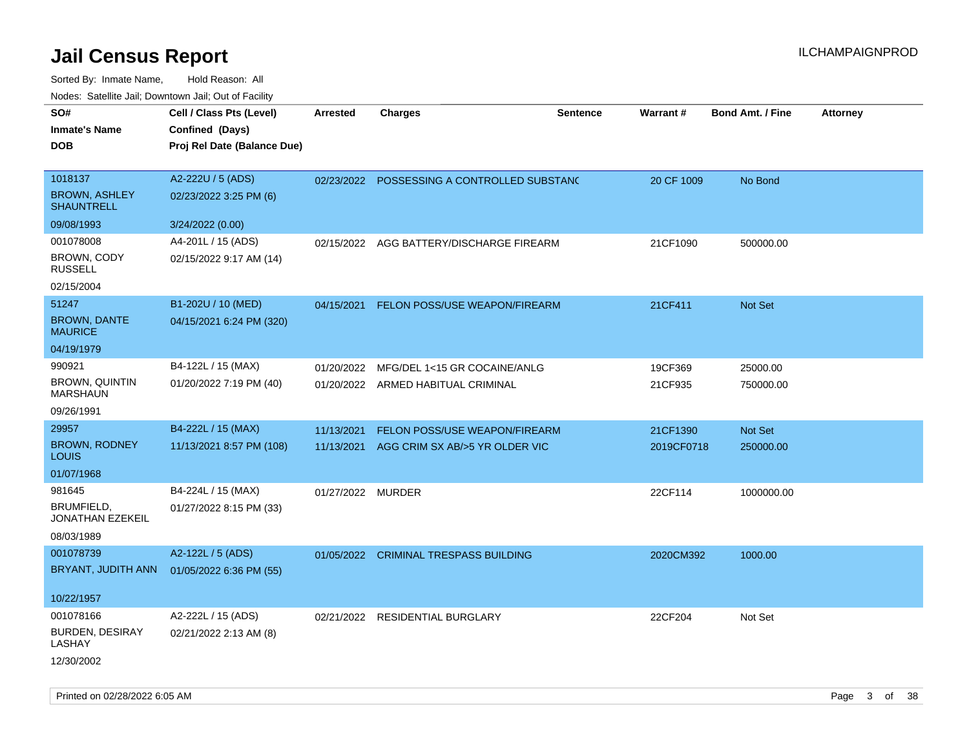| noaco. Catomto can, Domntonn can, Cat or I domt |                                                |                   |                                    |                 |            |                         |                 |
|-------------------------------------------------|------------------------------------------------|-------------------|------------------------------------|-----------------|------------|-------------------------|-----------------|
| SO#                                             | Cell / Class Pts (Level)                       | <b>Arrested</b>   | <b>Charges</b>                     | <b>Sentence</b> | Warrant#   | <b>Bond Amt. / Fine</b> | <b>Attorney</b> |
| <b>Inmate's Name</b><br><b>DOB</b>              | Confined (Days)<br>Proj Rel Date (Balance Due) |                   |                                    |                 |            |                         |                 |
|                                                 |                                                |                   |                                    |                 |            |                         |                 |
| 1018137                                         | A2-222U / 5 (ADS)                              | 02/23/2022        | POSSESSING A CONTROLLED SUBSTANC   |                 | 20 CF 1009 | No Bond                 |                 |
| <b>BROWN, ASHLEY</b><br><b>SHAUNTRELL</b>       | 02/23/2022 3:25 PM (6)                         |                   |                                    |                 |            |                         |                 |
| 09/08/1993                                      | 3/24/2022 (0.00)                               |                   |                                    |                 |            |                         |                 |
| 001078008                                       | A4-201L / 15 (ADS)                             | 02/15/2022        | AGG BATTERY/DISCHARGE FIREARM      |                 | 21CF1090   | 500000.00               |                 |
| <b>BROWN, CODY</b><br><b>RUSSELL</b>            | 02/15/2022 9:17 AM (14)                        |                   |                                    |                 |            |                         |                 |
| 02/15/2004                                      |                                                |                   |                                    |                 |            |                         |                 |
| 51247                                           | B1-202U / 10 (MED)                             | 04/15/2021        | FELON POSS/USE WEAPON/FIREARM      |                 | 21CF411    | Not Set                 |                 |
| <b>BROWN, DANTE</b><br><b>MAURICE</b>           | 04/15/2021 6:24 PM (320)                       |                   |                                    |                 |            |                         |                 |
| 04/19/1979                                      |                                                |                   |                                    |                 |            |                         |                 |
| 990921                                          | B4-122L / 15 (MAX)                             | 01/20/2022        | MFG/DEL 1<15 GR COCAINE/ANLG       |                 | 19CF369    | 25000.00                |                 |
| <b>BROWN, QUINTIN</b><br><b>MARSHAUN</b>        | 01/20/2022 7:19 PM (40)                        |                   | 01/20/2022 ARMED HABITUAL CRIMINAL |                 | 21CF935    | 750000.00               |                 |
| 09/26/1991                                      |                                                |                   |                                    |                 |            |                         |                 |
| 29957                                           | B4-222L / 15 (MAX)                             | 11/13/2021        | FELON POSS/USE WEAPON/FIREARM      |                 | 21CF1390   | Not Set                 |                 |
| <b>BROWN, RODNEY</b><br><b>LOUIS</b>            | 11/13/2021 8:57 PM (108)                       | 11/13/2021        | AGG CRIM SX AB/>5 YR OLDER VIC     |                 | 2019CF0718 | 250000.00               |                 |
| 01/07/1968                                      |                                                |                   |                                    |                 |            |                         |                 |
| 981645                                          | B4-224L / 15 (MAX)                             | 01/27/2022 MURDER |                                    |                 | 22CF114    | 1000000.00              |                 |
| BRUMFIELD,<br>JONATHAN EZEKEIL                  | 01/27/2022 8:15 PM (33)                        |                   |                                    |                 |            |                         |                 |
| 08/03/1989                                      |                                                |                   |                                    |                 |            |                         |                 |
| 001078739                                       | A2-122L / 5 (ADS)                              | 01/05/2022        | <b>CRIMINAL TRESPASS BUILDING</b>  |                 | 2020CM392  | 1000.00                 |                 |
| BRYANT, JUDITH ANN                              | 01/05/2022 6:36 PM (55)                        |                   |                                    |                 |            |                         |                 |
| 10/22/1957                                      |                                                |                   |                                    |                 |            |                         |                 |
| 001078166                                       | A2-222L / 15 (ADS)                             |                   | 02/21/2022 RESIDENTIAL BURGLARY    |                 | 22CF204    | Not Set                 |                 |
| <b>BURDEN, DESIRAY</b><br>LASHAY                | 02/21/2022 2:13 AM (8)                         |                   |                                    |                 |            |                         |                 |
| 12/30/2002                                      |                                                |                   |                                    |                 |            |                         |                 |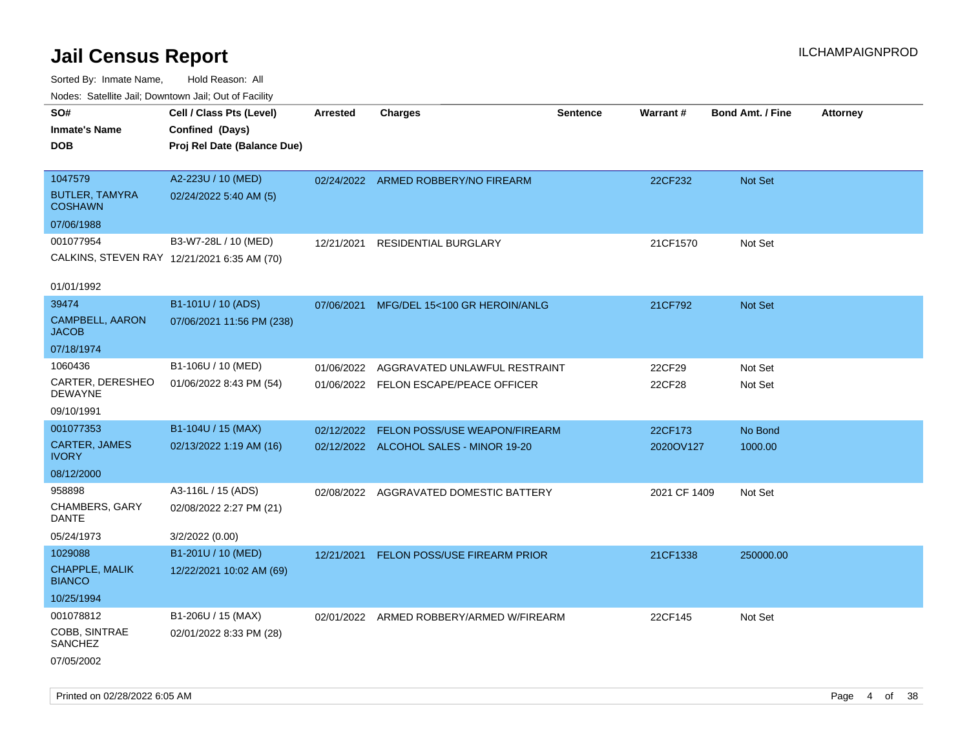| rougs. Calcing Jan, Downtown Jan, Out of Facility |                                             |                 |                                          |                 |              |                         |                 |
|---------------------------------------------------|---------------------------------------------|-----------------|------------------------------------------|-----------------|--------------|-------------------------|-----------------|
| SO#<br><b>Inmate's Name</b>                       | Cell / Class Pts (Level)<br>Confined (Days) | <b>Arrested</b> | <b>Charges</b>                           | <b>Sentence</b> | Warrant#     | <b>Bond Amt. / Fine</b> | <b>Attorney</b> |
| <b>DOB</b>                                        |                                             |                 |                                          |                 |              |                         |                 |
|                                                   | Proj Rel Date (Balance Due)                 |                 |                                          |                 |              |                         |                 |
| 1047579                                           | A2-223U / 10 (MED)                          |                 | 02/24/2022 ARMED ROBBERY/NO FIREARM      |                 | 22CF232      | Not Set                 |                 |
| <b>BUTLER, TAMYRA</b><br><b>COSHAWN</b>           | 02/24/2022 5:40 AM (5)                      |                 |                                          |                 |              |                         |                 |
| 07/06/1988                                        |                                             |                 |                                          |                 |              |                         |                 |
| 001077954                                         | B3-W7-28L / 10 (MED)                        | 12/21/2021      | RESIDENTIAL BURGLARY                     |                 | 21CF1570     | Not Set                 |                 |
| CALKINS, STEVEN RAY 12/21/2021 6:35 AM (70)       |                                             |                 |                                          |                 |              |                         |                 |
| 01/01/1992                                        |                                             |                 |                                          |                 |              |                         |                 |
| 39474                                             | B1-101U / 10 (ADS)                          | 07/06/2021      | MFG/DEL 15<100 GR HEROIN/ANLG            |                 | 21CF792      | <b>Not Set</b>          |                 |
| CAMPBELL, AARON<br><b>JACOB</b>                   | 07/06/2021 11:56 PM (238)                   |                 |                                          |                 |              |                         |                 |
| 07/18/1974                                        |                                             |                 |                                          |                 |              |                         |                 |
| 1060436                                           | B1-106U / 10 (MED)                          | 01/06/2022      | AGGRAVATED UNLAWFUL RESTRAINT            |                 | 22CF29       | Not Set                 |                 |
| CARTER, DERESHEO<br><b>DEWAYNE</b>                | 01/06/2022 8:43 PM (54)                     |                 | 01/06/2022 FELON ESCAPE/PEACE OFFICER    |                 | 22CF28       | Not Set                 |                 |
| 09/10/1991                                        |                                             |                 |                                          |                 |              |                         |                 |
| 001077353                                         | B1-104U / 15 (MAX)                          | 02/12/2022      | FELON POSS/USE WEAPON/FIREARM            |                 | 22CF173      | No Bond                 |                 |
| <b>CARTER, JAMES</b><br><b>IVORY</b>              | 02/13/2022 1:19 AM (16)                     |                 | 02/12/2022 ALCOHOL SALES - MINOR 19-20   |                 | 2020OV127    | 1000.00                 |                 |
| 08/12/2000                                        |                                             |                 |                                          |                 |              |                         |                 |
| 958898                                            | A3-116L / 15 (ADS)                          |                 | 02/08/2022 AGGRAVATED DOMESTIC BATTERY   |                 | 2021 CF 1409 | Not Set                 |                 |
| <b>CHAMBERS, GARY</b><br>DANTE                    | 02/08/2022 2:27 PM (21)                     |                 |                                          |                 |              |                         |                 |
| 05/24/1973                                        | 3/2/2022 (0.00)                             |                 |                                          |                 |              |                         |                 |
| 1029088                                           | B1-201U / 10 (MED)                          | 12/21/2021      | <b>FELON POSS/USE FIREARM PRIOR</b>      |                 | 21CF1338     | 250000.00               |                 |
| <b>CHAPPLE, MALIK</b><br><b>BIANCO</b>            | 12/22/2021 10:02 AM (69)                    |                 |                                          |                 |              |                         |                 |
| 10/25/1994                                        |                                             |                 |                                          |                 |              |                         |                 |
| 001078812                                         | B1-206U / 15 (MAX)                          |                 | 02/01/2022 ARMED ROBBERY/ARMED W/FIREARM |                 | 22CF145      | Not Set                 |                 |
| COBB, SINTRAE<br><b>SANCHEZ</b>                   | 02/01/2022 8:33 PM (28)                     |                 |                                          |                 |              |                         |                 |
| 07/05/2002                                        |                                             |                 |                                          |                 |              |                         |                 |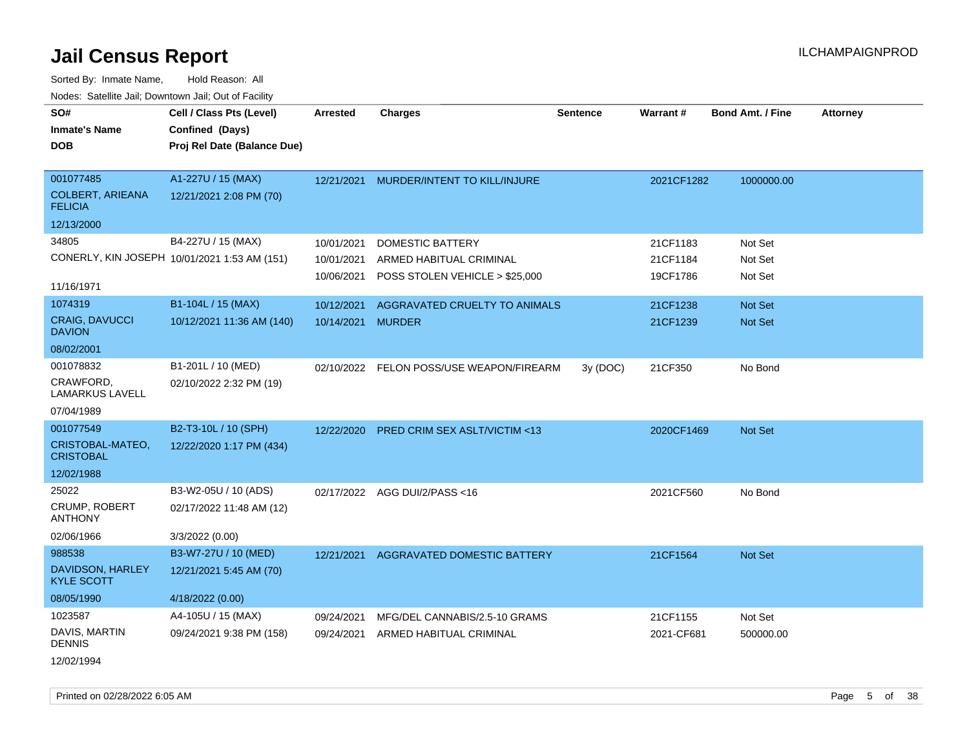| SO#                                       | Cell / Class Pts (Level)                     | <b>Arrested</b>   | <b>Charges</b>                           | <b>Sentence</b> | <b>Warrant#</b> | Bond Amt. / Fine | <b>Attorney</b> |
|-------------------------------------------|----------------------------------------------|-------------------|------------------------------------------|-----------------|-----------------|------------------|-----------------|
| <b>Inmate's Name</b>                      | Confined (Days)                              |                   |                                          |                 |                 |                  |                 |
| <b>DOB</b>                                | Proj Rel Date (Balance Due)                  |                   |                                          |                 |                 |                  |                 |
|                                           |                                              |                   |                                          |                 |                 |                  |                 |
| 001077485                                 | A1-227U / 15 (MAX)                           | 12/21/2021        | MURDER/INTENT TO KILL/INJURE             |                 | 2021CF1282      | 1000000.00       |                 |
| <b>COLBERT, ARIEANA</b><br><b>FELICIA</b> | 12/21/2021 2:08 PM (70)                      |                   |                                          |                 |                 |                  |                 |
| 12/13/2000                                |                                              |                   |                                          |                 |                 |                  |                 |
| 34805                                     | B4-227U / 15 (MAX)                           | 10/01/2021        | <b>DOMESTIC BATTERY</b>                  |                 | 21CF1183        | Not Set          |                 |
|                                           | CONERLY, KIN JOSEPH 10/01/2021 1:53 AM (151) | 10/01/2021        | ARMED HABITUAL CRIMINAL                  |                 | 21CF1184        | Not Set          |                 |
|                                           |                                              | 10/06/2021        | POSS STOLEN VEHICLE > \$25,000           |                 | 19CF1786        | Not Set          |                 |
| 11/16/1971                                |                                              |                   |                                          |                 |                 |                  |                 |
| 1074319                                   | B1-104L / 15 (MAX)                           | 10/12/2021        | AGGRAVATED CRUELTY TO ANIMALS            |                 | 21CF1238        | Not Set          |                 |
| <b>CRAIG, DAVUCCI</b><br><b>DAVION</b>    | 10/12/2021 11:36 AM (140)                    | 10/14/2021 MURDER |                                          |                 | 21CF1239        | Not Set          |                 |
| 08/02/2001                                |                                              |                   |                                          |                 |                 |                  |                 |
| 001078832                                 | B1-201L / 10 (MED)                           |                   | 02/10/2022 FELON POSS/USE WEAPON/FIREARM | 3y (DOC)        | 21CF350         | No Bond          |                 |
| CRAWFORD,<br><b>LAMARKUS LAVELL</b>       | 02/10/2022 2:32 PM (19)                      |                   |                                          |                 |                 |                  |                 |
| 07/04/1989                                |                                              |                   |                                          |                 |                 |                  |                 |
| 001077549                                 | B2-T3-10L / 10 (SPH)                         | 12/22/2020        | <b>PRED CRIM SEX ASLT/VICTIM &lt;13</b>  |                 | 2020CF1469      | Not Set          |                 |
| CRISTOBAL-MATEO,<br><b>CRISTOBAL</b>      | 12/22/2020 1:17 PM (434)                     |                   |                                          |                 |                 |                  |                 |
| 12/02/1988                                |                                              |                   |                                          |                 |                 |                  |                 |
| 25022                                     | B3-W2-05U / 10 (ADS)                         |                   | 02/17/2022 AGG DUI/2/PASS<16             |                 | 2021CF560       | No Bond          |                 |
| <b>CRUMP, ROBERT</b><br><b>ANTHONY</b>    | 02/17/2022 11:48 AM (12)                     |                   |                                          |                 |                 |                  |                 |
| 02/06/1966                                | 3/3/2022 (0.00)                              |                   |                                          |                 |                 |                  |                 |
| 988538                                    | B3-W7-27U / 10 (MED)                         | 12/21/2021        | AGGRAVATED DOMESTIC BATTERY              |                 | 21CF1564        | Not Set          |                 |
| DAVIDSON, HARLEY<br><b>KYLE SCOTT</b>     | 12/21/2021 5:45 AM (70)                      |                   |                                          |                 |                 |                  |                 |
| 08/05/1990                                | 4/18/2022 (0.00)                             |                   |                                          |                 |                 |                  |                 |
| 1023587                                   | A4-105U / 15 (MAX)                           | 09/24/2021        | MFG/DEL CANNABIS/2.5-10 GRAMS            |                 | 21CF1155        | Not Set          |                 |
| DAVIS, MARTIN<br><b>DENNIS</b>            | 09/24/2021 9:38 PM (158)                     | 09/24/2021        | ARMED HABITUAL CRIMINAL                  |                 | 2021-CF681      | 500000.00        |                 |
| 12/02/1994                                |                                              |                   |                                          |                 |                 |                  |                 |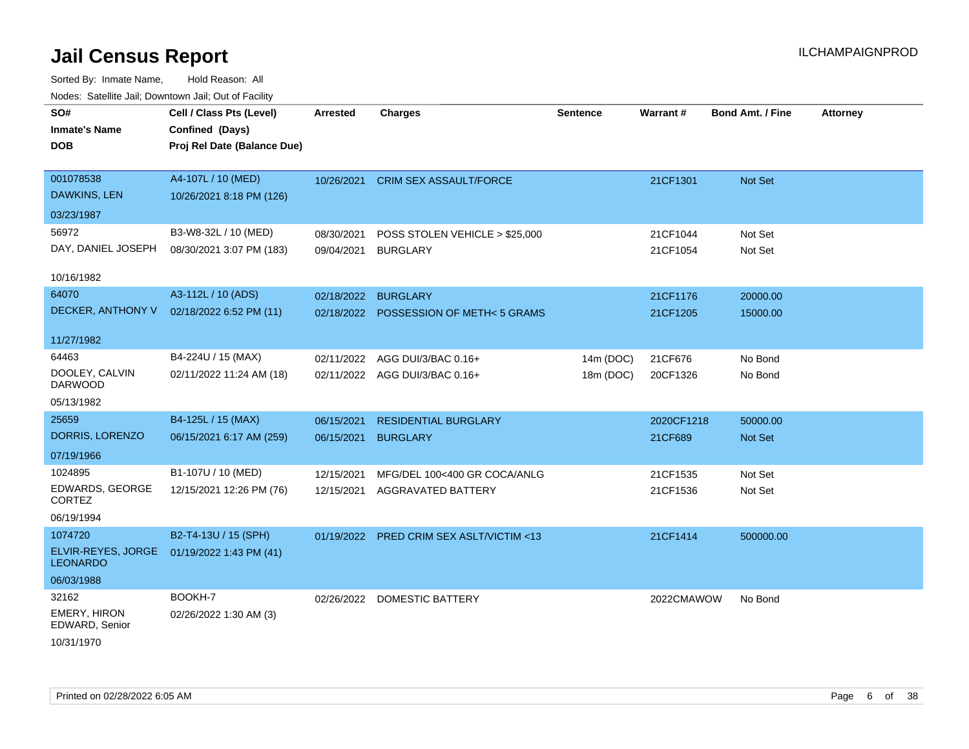| SO#                                   | Cell / Class Pts (Level)    | <b>Arrested</b> | <b>Charges</b>                        | <b>Sentence</b> | <b>Warrant#</b> | <b>Bond Amt. / Fine</b> | <b>Attorney</b> |
|---------------------------------------|-----------------------------|-----------------|---------------------------------------|-----------------|-----------------|-------------------------|-----------------|
| <b>Inmate's Name</b>                  | Confined (Days)             |                 |                                       |                 |                 |                         |                 |
| <b>DOB</b>                            | Proj Rel Date (Balance Due) |                 |                                       |                 |                 |                         |                 |
|                                       |                             |                 |                                       |                 |                 |                         |                 |
| 001078538                             | A4-107L / 10 (MED)          | 10/26/2021      | <b>CRIM SEX ASSAULT/FORCE</b>         |                 | 21CF1301        | Not Set                 |                 |
| <b>DAWKINS, LEN</b>                   | 10/26/2021 8:18 PM (126)    |                 |                                       |                 |                 |                         |                 |
| 03/23/1987                            |                             |                 |                                       |                 |                 |                         |                 |
| 56972                                 | B3-W8-32L / 10 (MED)        | 08/30/2021      | POSS STOLEN VEHICLE > \$25,000        |                 | 21CF1044        | Not Set                 |                 |
| DAY, DANIEL JOSEPH                    | 08/30/2021 3:07 PM (183)    | 09/04/2021      | <b>BURGLARY</b>                       |                 | 21CF1054        | Not Set                 |                 |
|                                       |                             |                 |                                       |                 |                 |                         |                 |
| 10/16/1982                            |                             |                 |                                       |                 |                 |                         |                 |
| 64070                                 | A3-112L / 10 (ADS)          | 02/18/2022      | <b>BURGLARY</b>                       |                 | 21CF1176        | 20000.00                |                 |
| DECKER, ANTHONY V                     | 02/18/2022 6:52 PM (11)     |                 | 02/18/2022 POSSESSION OF METH<5 GRAMS |                 | 21CF1205        | 15000.00                |                 |
|                                       |                             |                 |                                       |                 |                 |                         |                 |
| 11/27/1982                            |                             |                 |                                       |                 |                 |                         |                 |
| 64463                                 | B4-224U / 15 (MAX)          | 02/11/2022      | AGG DUI/3/BAC 0.16+                   | 14m (DOC)       | 21CF676         | No Bond                 |                 |
| DOOLEY, CALVIN<br><b>DARWOOD</b>      | 02/11/2022 11:24 AM (18)    |                 | 02/11/2022 AGG DUI/3/BAC 0.16+        | 18m (DOC)       | 20CF1326        | No Bond                 |                 |
| 05/13/1982                            |                             |                 |                                       |                 |                 |                         |                 |
| 25659                                 | B4-125L / 15 (MAX)          | 06/15/2021      | <b>RESIDENTIAL BURGLARY</b>           |                 | 2020CF1218      | 50000.00                |                 |
| DORRIS, LORENZO                       | 06/15/2021 6:17 AM (259)    | 06/15/2021      | <b>BURGLARY</b>                       |                 | 21CF689         | Not Set                 |                 |
| 07/19/1966                            |                             |                 |                                       |                 |                 |                         |                 |
| 1024895                               | B1-107U / 10 (MED)          | 12/15/2021      | MFG/DEL 100<400 GR COCA/ANLG          |                 | 21CF1535        | Not Set                 |                 |
| EDWARDS, GEORGE                       | 12/15/2021 12:26 PM (76)    | 12/15/2021      | <b>AGGRAVATED BATTERY</b>             |                 | 21CF1536        | Not Set                 |                 |
| <b>CORTEZ</b>                         |                             |                 |                                       |                 |                 |                         |                 |
| 06/19/1994                            |                             |                 |                                       |                 |                 |                         |                 |
| 1074720                               | B2-T4-13U / 15 (SPH)        | 01/19/2022      | PRED CRIM SEX ASLT/VICTIM <13         |                 | 21CF1414        | 500000.00               |                 |
| ELVIR-REYES, JORGE<br><b>LEONARDO</b> | 01/19/2022 1:43 PM (41)     |                 |                                       |                 |                 |                         |                 |
| 06/03/1988                            |                             |                 |                                       |                 |                 |                         |                 |
| 32162                                 | BOOKH-7                     |                 | 02/26/2022 DOMESTIC BATTERY           |                 | 2022CMAWOW      | No Bond                 |                 |
| <b>EMERY, HIRON</b><br>EDWARD, Senior | 02/26/2022 1:30 AM (3)      |                 |                                       |                 |                 |                         |                 |
| 10/31/1970                            |                             |                 |                                       |                 |                 |                         |                 |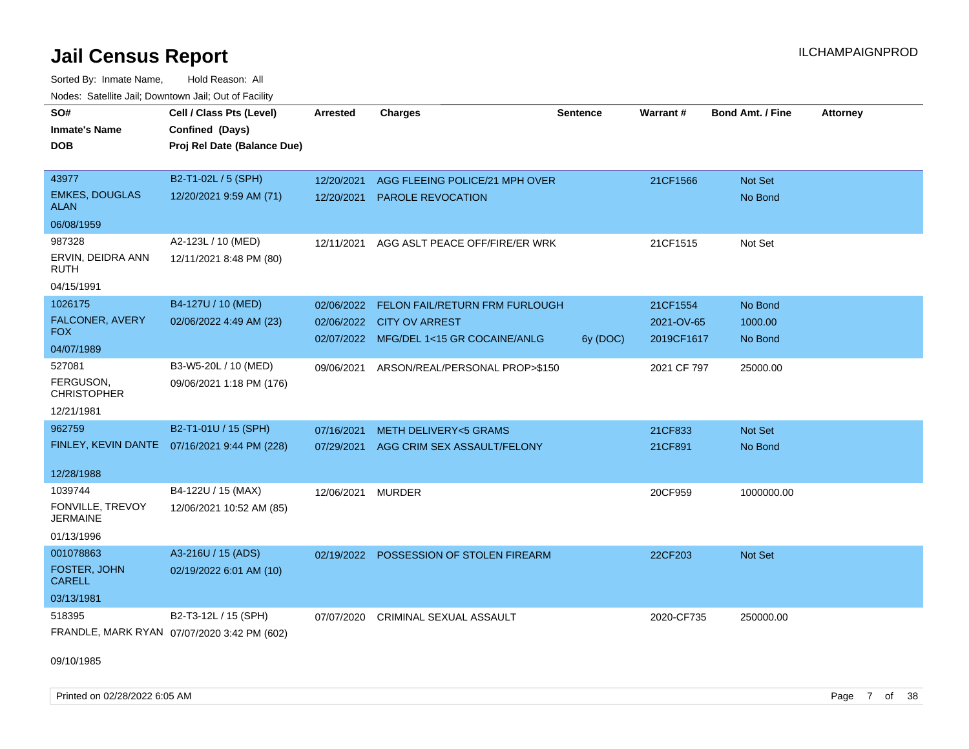Sorted By: Inmate Name, Hold Reason: All Nodes: Satellite Jail; Downtown Jail; Out of Facility

| SO#                                  | Cell / Class Pts (Level)                     | <b>Arrested</b> | <b>Charges</b>                          | <b>Sentence</b> | Warrant#    | <b>Bond Amt. / Fine</b> | <b>Attorney</b> |
|--------------------------------------|----------------------------------------------|-----------------|-----------------------------------------|-----------------|-------------|-------------------------|-----------------|
| <b>Inmate's Name</b>                 | Confined (Days)                              |                 |                                         |                 |             |                         |                 |
| DOB                                  | Proj Rel Date (Balance Due)                  |                 |                                         |                 |             |                         |                 |
|                                      |                                              |                 |                                         |                 |             |                         |                 |
| 43977                                | B2-T1-02L / 5 (SPH)                          | 12/20/2021      | AGG FLEEING POLICE/21 MPH OVER          |                 | 21CF1566    | Not Set                 |                 |
| <b>EMKES, DOUGLAS</b><br>ALAN        | 12/20/2021 9:59 AM (71)                      | 12/20/2021      | <b>PAROLE REVOCATION</b>                |                 |             | No Bond                 |                 |
| 06/08/1959                           |                                              |                 |                                         |                 |             |                         |                 |
| 987328                               | A2-123L / 10 (MED)                           | 12/11/2021      | AGG ASLT PEACE OFF/FIRE/ER WRK          |                 | 21CF1515    | Not Set                 |                 |
| ERVIN, DEIDRA ANN<br><b>RUTH</b>     | 12/11/2021 8:48 PM (80)                      |                 |                                         |                 |             |                         |                 |
| 04/15/1991                           |                                              |                 |                                         |                 |             |                         |                 |
| 1026175                              | B4-127U / 10 (MED)                           | 02/06/2022      | FELON FAIL/RETURN FRM FURLOUGH          |                 | 21CF1554    | No Bond                 |                 |
| FALCONER, AVERY                      | 02/06/2022 4:49 AM (23)                      | 02/06/2022      | <b>CITY OV ARREST</b>                   |                 | 2021-OV-65  | 1000.00                 |                 |
| <b>FOX</b>                           |                                              |                 | 02/07/2022 MFG/DEL 1<15 GR COCAINE/ANLG | 6y (DOC)        | 2019CF1617  | No Bond                 |                 |
| 04/07/1989                           |                                              |                 |                                         |                 |             |                         |                 |
| 527081                               | B3-W5-20L / 10 (MED)                         | 09/06/2021      | ARSON/REAL/PERSONAL PROP>\$150          |                 | 2021 CF 797 | 25000.00                |                 |
| FERGUSON,<br><b>CHRISTOPHER</b>      | 09/06/2021 1:18 PM (176)                     |                 |                                         |                 |             |                         |                 |
| 12/21/1981                           |                                              |                 |                                         |                 |             |                         |                 |
| 962759                               | B2-T1-01U / 15 (SPH)                         | 07/16/2021      | <b>METH DELIVERY&lt;5 GRAMS</b>         |                 | 21CF833     | <b>Not Set</b>          |                 |
|                                      | FINLEY, KEVIN DANTE 07/16/2021 9:44 PM (228) | 07/29/2021      | AGG CRIM SEX ASSAULT/FELONY             |                 | 21CF891     | No Bond                 |                 |
|                                      |                                              |                 |                                         |                 |             |                         |                 |
| 12/28/1988                           |                                              |                 |                                         |                 |             |                         |                 |
| 1039744                              | B4-122U / 15 (MAX)                           | 12/06/2021      | MURDER                                  |                 | 20CF959     | 1000000.00              |                 |
| FONVILLE, TREVOY<br><b>JERMAINE</b>  | 12/06/2021 10:52 AM (85)                     |                 |                                         |                 |             |                         |                 |
| 01/13/1996                           |                                              |                 |                                         |                 |             |                         |                 |
| 001078863                            | A3-216U / 15 (ADS)                           | 02/19/2022      | POSSESSION OF STOLEN FIREARM            |                 | 22CF203     | <b>Not Set</b>          |                 |
| <b>FOSTER, JOHN</b><br><b>CARELL</b> | 02/19/2022 6:01 AM (10)                      |                 |                                         |                 |             |                         |                 |
| 03/13/1981                           |                                              |                 |                                         |                 |             |                         |                 |
| 518395                               | B2-T3-12L / 15 (SPH)                         | 07/07/2020      | <b>CRIMINAL SEXUAL ASSAULT</b>          |                 | 2020-CF735  | 250000.00               |                 |
|                                      | FRANDLE, MARK RYAN 07/07/2020 3:42 PM (602)  |                 |                                         |                 |             |                         |                 |

09/10/1985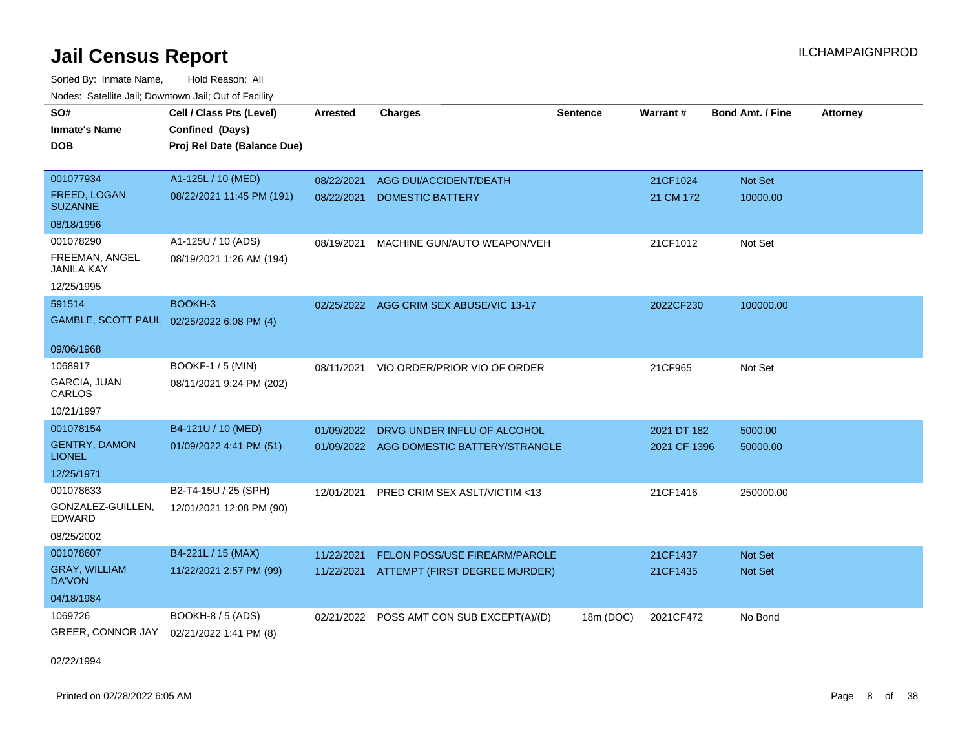Sorted By: Inmate Name, Hold Reason: All Nodes: Satellite Jail; Downtown Jail; Out of Facility

| SO#                                       | Cell / Class Pts (Level)    | <b>Arrested</b> | <b>Charges</b>                           | <b>Sentence</b> | Warrant#     | <b>Bond Amt. / Fine</b> | <b>Attorney</b> |
|-------------------------------------------|-----------------------------|-----------------|------------------------------------------|-----------------|--------------|-------------------------|-----------------|
| <b>Inmate's Name</b>                      | Confined (Days)             |                 |                                          |                 |              |                         |                 |
| <b>DOB</b>                                | Proj Rel Date (Balance Due) |                 |                                          |                 |              |                         |                 |
|                                           |                             |                 |                                          |                 |              |                         |                 |
| 001077934                                 | A1-125L / 10 (MED)          | 08/22/2021      | AGG DUI/ACCIDENT/DEATH                   |                 | 21CF1024     | Not Set                 |                 |
| <b>FREED, LOGAN</b><br><b>SUZANNE</b>     | 08/22/2021 11:45 PM (191)   | 08/22/2021      | <b>DOMESTIC BATTERY</b>                  |                 | 21 CM 172    | 10000.00                |                 |
| 08/18/1996                                |                             |                 |                                          |                 |              |                         |                 |
| 001078290                                 | A1-125U / 10 (ADS)          | 08/19/2021      | MACHINE GUN/AUTO WEAPON/VEH              |                 | 21CF1012     | Not Set                 |                 |
| FREEMAN, ANGEL<br>JANILA KAY              | 08/19/2021 1:26 AM (194)    |                 |                                          |                 |              |                         |                 |
| 12/25/1995                                |                             |                 |                                          |                 |              |                         |                 |
| 591514                                    | BOOKH-3                     |                 | 02/25/2022 AGG CRIM SEX ABUSE/VIC 13-17  |                 | 2022CF230    | 100000.00               |                 |
| GAMBLE, SCOTT PAUL 02/25/2022 6:08 PM (4) |                             |                 |                                          |                 |              |                         |                 |
|                                           |                             |                 |                                          |                 |              |                         |                 |
| 09/06/1968                                |                             |                 |                                          |                 |              |                         |                 |
| 1068917                                   | BOOKF-1 / 5 (MIN)           | 08/11/2021      | VIO ORDER/PRIOR VIO OF ORDER             |                 | 21CF965      | Not Set                 |                 |
| GARCIA, JUAN<br>CARLOS                    | 08/11/2021 9:24 PM (202)    |                 |                                          |                 |              |                         |                 |
| 10/21/1997                                |                             |                 |                                          |                 |              |                         |                 |
| 001078154                                 | B4-121U / 10 (MED)          | 01/09/2022      | DRVG UNDER INFLU OF ALCOHOL              |                 | 2021 DT 182  | 5000.00                 |                 |
| <b>GENTRY, DAMON</b><br><b>LIONEL</b>     | 01/09/2022 4:41 PM (51)     |                 | 01/09/2022 AGG DOMESTIC BATTERY/STRANGLE |                 | 2021 CF 1396 | 50000.00                |                 |
| 12/25/1971                                |                             |                 |                                          |                 |              |                         |                 |
| 001078633                                 | B2-T4-15U / 25 (SPH)        | 12/01/2021      | PRED CRIM SEX ASLT/VICTIM <13            |                 | 21CF1416     | 250000.00               |                 |
| GONZALEZ-GUILLEN,<br>EDWARD               | 12/01/2021 12:08 PM (90)    |                 |                                          |                 |              |                         |                 |
| 08/25/2002                                |                             |                 |                                          |                 |              |                         |                 |
| 001078607                                 | B4-221L / 15 (MAX)          | 11/22/2021      | FELON POSS/USE FIREARM/PAROLE            |                 | 21CF1437     | <b>Not Set</b>          |                 |
| GRAY, WILLIAM<br>DA'VON                   | 11/22/2021 2:57 PM (99)     | 11/22/2021      | ATTEMPT (FIRST DEGREE MURDER)            |                 | 21CF1435     | <b>Not Set</b>          |                 |
| 04/18/1984                                |                             |                 |                                          |                 |              |                         |                 |
| 1069726                                   | BOOKH-8 / 5 (ADS)           | 02/21/2022      | POSS AMT CON SUB EXCEPT(A)/(D)           | 18m (DOC)       | 2021CF472    | No Bond                 |                 |
| GREER, CONNOR JAY                         | 02/21/2022 1:41 PM (8)      |                 |                                          |                 |              |                         |                 |

02/22/1994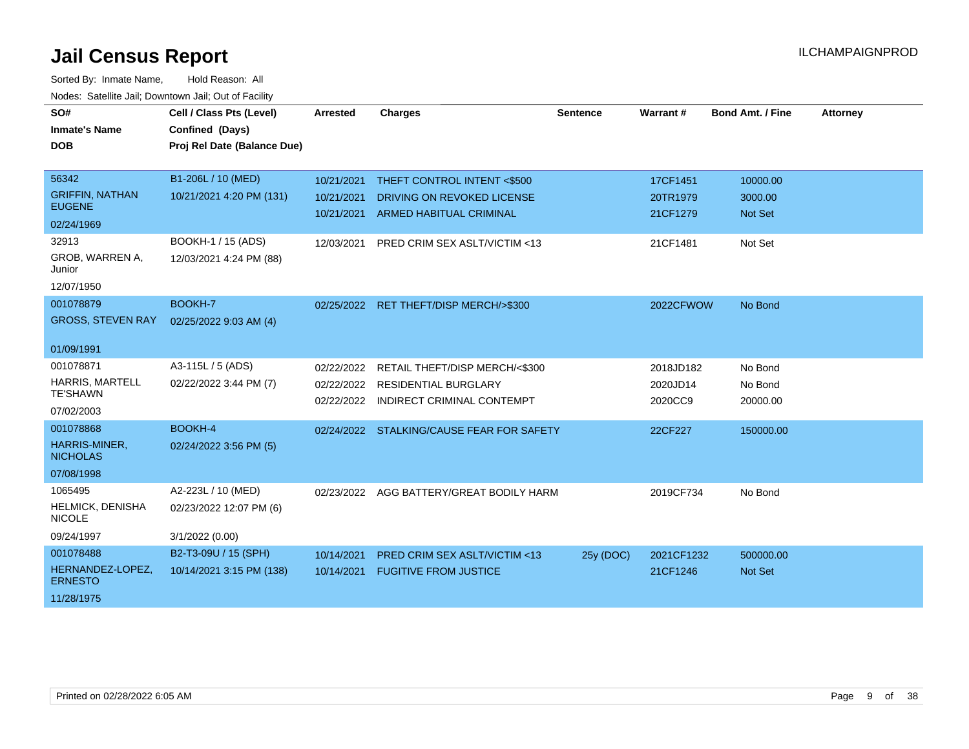| SO#<br><b>Inmate's Name</b><br><b>DOB</b> | Cell / Class Pts (Level)<br>Confined (Days)<br>Proj Rel Date (Balance Due) | <b>Arrested</b>          | <b>Charges</b>                                            | <b>Sentence</b> | Warrant#            | <b>Bond Amt. / Fine</b> | <b>Attorney</b> |
|-------------------------------------------|----------------------------------------------------------------------------|--------------------------|-----------------------------------------------------------|-----------------|---------------------|-------------------------|-----------------|
|                                           |                                                                            |                          |                                                           |                 |                     |                         |                 |
| 56342                                     | B1-206L / 10 (MED)                                                         | 10/21/2021               | THEFT CONTROL INTENT <\$500                               |                 | 17CF1451            | 10000.00                |                 |
| <b>GRIFFIN, NATHAN</b>                    | 10/21/2021 4:20 PM (131)                                                   | 10/21/2021               | DRIVING ON REVOKED LICENSE                                |                 | 20TR1979            | 3000.00                 |                 |
| <b>EUGENE</b>                             |                                                                            | 10/21/2021               | ARMED HABITUAL CRIMINAL                                   |                 | 21CF1279            | <b>Not Set</b>          |                 |
| 02/24/1969                                |                                                                            |                          |                                                           |                 |                     |                         |                 |
| 32913                                     | BOOKH-1 / 15 (ADS)                                                         | 12/03/2021               | PRED CRIM SEX ASLT/VICTIM <13                             |                 | 21CF1481            | Not Set                 |                 |
| GROB, WARREN A,<br>Junior                 | 12/03/2021 4:24 PM (88)                                                    |                          |                                                           |                 |                     |                         |                 |
| 12/07/1950                                |                                                                            |                          |                                                           |                 |                     |                         |                 |
| 001078879                                 | BOOKH-7                                                                    | 02/25/2022               | <b>RET THEFT/DISP MERCH/&gt;\$300</b>                     |                 | 2022CFWOW           | No Bond                 |                 |
| <b>GROSS, STEVEN RAY</b>                  | 02/25/2022 9:03 AM (4)                                                     |                          |                                                           |                 |                     |                         |                 |
| 01/09/1991                                |                                                                            |                          |                                                           |                 |                     |                         |                 |
| 001078871                                 | A3-115L / 5 (ADS)                                                          | 02/22/2022               | RETAIL THEFT/DISP MERCH/<\$300                            |                 | 2018JD182           | No Bond                 |                 |
| HARRIS, MARTELL<br><b>TE'SHAWN</b>        | 02/22/2022 3:44 PM (7)                                                     | 02/22/2022<br>02/22/2022 | <b>RESIDENTIAL BURGLARY</b><br>INDIRECT CRIMINAL CONTEMPT |                 | 2020JD14<br>2020CC9 | No Bond<br>20000.00     |                 |
| 07/02/2003                                |                                                                            |                          |                                                           |                 |                     |                         |                 |
| 001078868                                 | BOOKH-4                                                                    |                          | 02/24/2022 STALKING/CAUSE FEAR FOR SAFETY                 |                 | 22CF227             | 150000.00               |                 |
| HARRIS-MINER,<br><b>NICHOLAS</b>          | 02/24/2022 3:56 PM (5)                                                     |                          |                                                           |                 |                     |                         |                 |
| 07/08/1998                                |                                                                            |                          |                                                           |                 |                     |                         |                 |
| 1065495                                   | A2-223L / 10 (MED)                                                         | 02/23/2022               | AGG BATTERY/GREAT BODILY HARM                             |                 | 2019CF734           | No Bond                 |                 |
| <b>HELMICK, DENISHA</b><br><b>NICOLE</b>  | 02/23/2022 12:07 PM (6)                                                    |                          |                                                           |                 |                     |                         |                 |
| 09/24/1997                                | 3/1/2022 (0.00)                                                            |                          |                                                           |                 |                     |                         |                 |
| 001078488                                 | B2-T3-09U / 15 (SPH)                                                       | 10/14/2021               | PRED CRIM SEX ASLT/VICTIM <13                             | 25y (DOC)       | 2021CF1232          | 500000.00               |                 |
| HERNANDEZ-LOPEZ,<br><b>ERNESTO</b>        | 10/14/2021 3:15 PM (138)                                                   | 10/14/2021               | <b>FUGITIVE FROM JUSTICE</b>                              |                 | 21CF1246            | <b>Not Set</b>          |                 |
| 11/28/1975                                |                                                                            |                          |                                                           |                 |                     |                         |                 |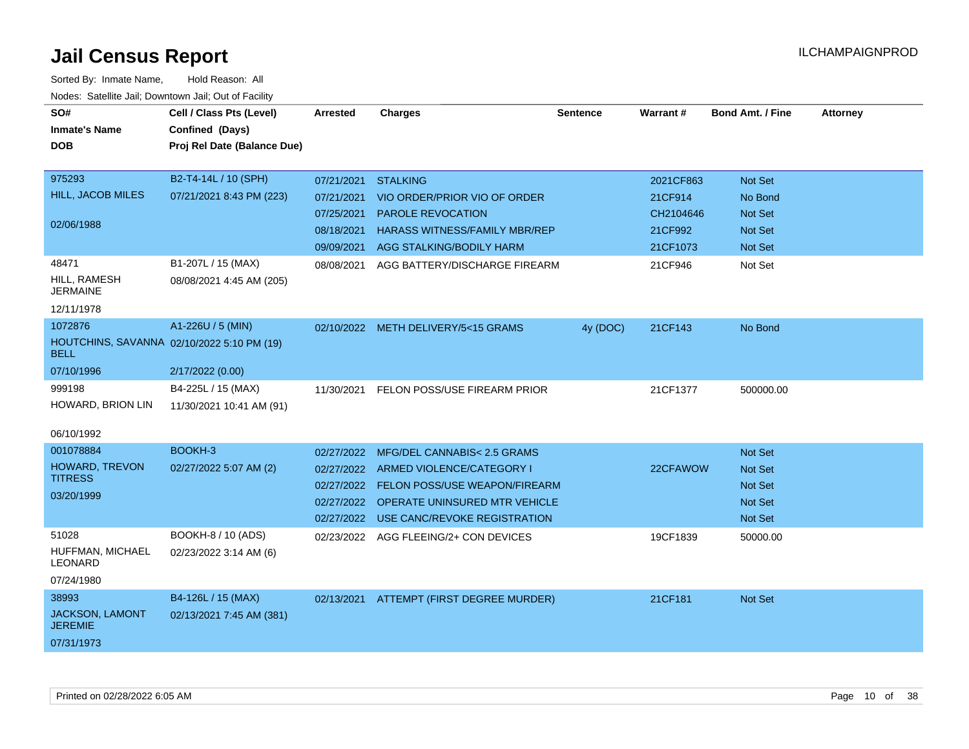| rougs. Calcinic Jan, Downtown Jan, Out of Facility |                                            |            |                                          |                 |                 |                         |                 |
|----------------------------------------------------|--------------------------------------------|------------|------------------------------------------|-----------------|-----------------|-------------------------|-----------------|
| SO#                                                | Cell / Class Pts (Level)                   | Arrested   | <b>Charges</b>                           | <b>Sentence</b> | <b>Warrant#</b> | <b>Bond Amt. / Fine</b> | <b>Attorney</b> |
| <b>Inmate's Name</b>                               | Confined (Days)                            |            |                                          |                 |                 |                         |                 |
| <b>DOB</b>                                         | Proj Rel Date (Balance Due)                |            |                                          |                 |                 |                         |                 |
|                                                    |                                            |            |                                          |                 |                 |                         |                 |
| 975293                                             | B2-T4-14L / 10 (SPH)                       | 07/21/2021 | <b>STALKING</b>                          |                 | 2021CF863       | Not Set                 |                 |
| HILL, JACOB MILES                                  | 07/21/2021 8:43 PM (223)                   | 07/21/2021 | VIO ORDER/PRIOR VIO OF ORDER             |                 | 21CF914         | No Bond                 |                 |
|                                                    |                                            | 07/25/2021 | <b>PAROLE REVOCATION</b>                 |                 | CH2104646       | <b>Not Set</b>          |                 |
| 02/06/1988                                         |                                            | 08/18/2021 | <b>HARASS WITNESS/FAMILY MBR/REP</b>     |                 | 21CF992         | Not Set                 |                 |
|                                                    |                                            | 09/09/2021 | AGG STALKING/BODILY HARM                 |                 | 21CF1073        | <b>Not Set</b>          |                 |
| 48471                                              | B1-207L / 15 (MAX)                         | 08/08/2021 | AGG BATTERY/DISCHARGE FIREARM            |                 | 21CF946         | Not Set                 |                 |
| HILL, RAMESH<br><b>JERMAINE</b>                    | 08/08/2021 4:45 AM (205)                   |            |                                          |                 |                 |                         |                 |
| 12/11/1978                                         |                                            |            |                                          |                 |                 |                         |                 |
| 1072876                                            | A1-226U / 5 (MIN)                          |            | 02/10/2022 METH DELIVERY/5<15 GRAMS      | 4y (DOC)        | 21CF143         | No Bond                 |                 |
| <b>BELL</b>                                        | HOUTCHINS, SAVANNA 02/10/2022 5:10 PM (19) |            |                                          |                 |                 |                         |                 |
| 07/10/1996                                         | 2/17/2022 (0.00)                           |            |                                          |                 |                 |                         |                 |
| 999198                                             | B4-225L / 15 (MAX)                         | 11/30/2021 | FELON POSS/USE FIREARM PRIOR             |                 | 21CF1377        | 500000.00               |                 |
| HOWARD, BRION LIN                                  | 11/30/2021 10:41 AM (91)                   |            |                                          |                 |                 |                         |                 |
|                                                    |                                            |            |                                          |                 |                 |                         |                 |
| 06/10/1992                                         |                                            |            |                                          |                 |                 |                         |                 |
| 001078884                                          | BOOKH-3                                    | 02/27/2022 | MFG/DEL CANNABIS< 2.5 GRAMS              |                 |                 | <b>Not Set</b>          |                 |
| HOWARD, TREVON<br><b>TITRESS</b>                   | 02/27/2022 5:07 AM (2)                     |            | 02/27/2022 ARMED VIOLENCE/CATEGORY I     |                 | 22CFAWOW        | Not Set                 |                 |
|                                                    |                                            |            | 02/27/2022 FELON POSS/USE WEAPON/FIREARM |                 |                 | <b>Not Set</b>          |                 |
| 03/20/1999                                         |                                            |            | 02/27/2022 OPERATE UNINSURED MTR VEHICLE |                 |                 | Not Set                 |                 |
|                                                    |                                            | 02/27/2022 | USE CANC/REVOKE REGISTRATION             |                 |                 | Not Set                 |                 |
| 51028                                              | BOOKH-8 / 10 (ADS)                         |            | 02/23/2022 AGG FLEEING/2+ CON DEVICES    |                 | 19CF1839        | 50000.00                |                 |
| HUFFMAN, MICHAEL<br><b>LEONARD</b>                 | 02/23/2022 3:14 AM (6)                     |            |                                          |                 |                 |                         |                 |
| 07/24/1980                                         |                                            |            |                                          |                 |                 |                         |                 |
| 38993                                              | B4-126L / 15 (MAX)                         | 02/13/2021 | ATTEMPT (FIRST DEGREE MURDER)            |                 | 21CF181         | Not Set                 |                 |
| JACKSON, LAMONT<br><b>JEREMIE</b>                  | 02/13/2021 7:45 AM (381)                   |            |                                          |                 |                 |                         |                 |
| 07/31/1973                                         |                                            |            |                                          |                 |                 |                         |                 |
|                                                    |                                            |            |                                          |                 |                 |                         |                 |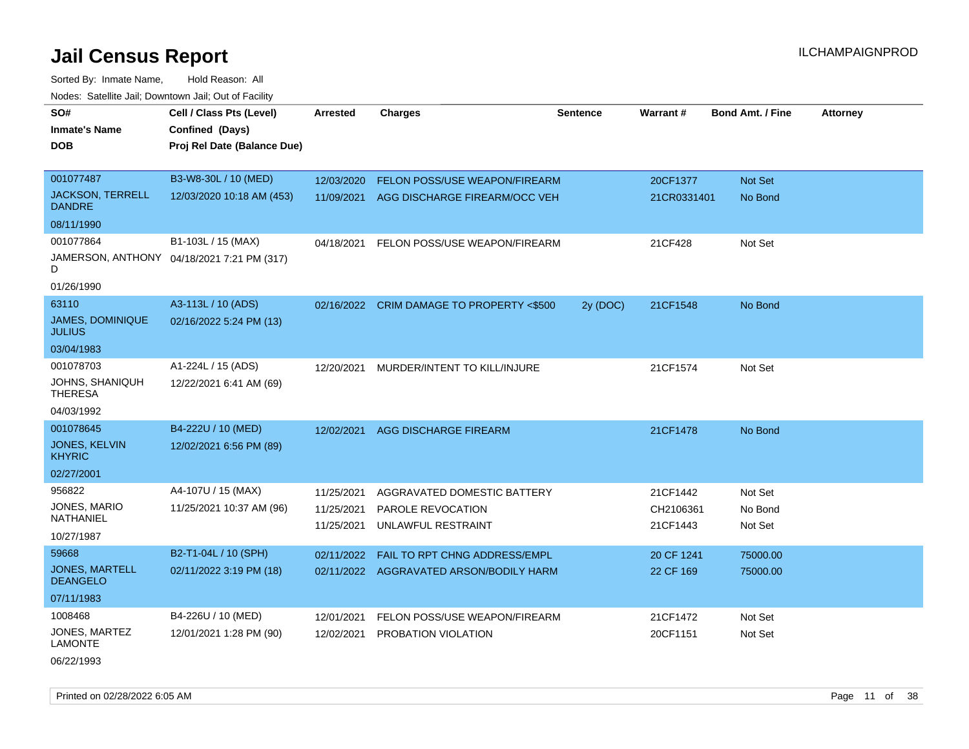Sorted By: Inmate Name, Hold Reason: All Nodes: Satellite Jail; Downtown Jail; Out of Facility

| SO#                                      | Cell / Class Pts (Level)                   | <b>Arrested</b> | <b>Charges</b>                            | <b>Sentence</b> | Warrant#              | <b>Bond Amt. / Fine</b> | <b>Attorney</b> |
|------------------------------------------|--------------------------------------------|-----------------|-------------------------------------------|-----------------|-----------------------|-------------------------|-----------------|
| <b>Inmate's Name</b>                     | Confined (Days)                            |                 |                                           |                 |                       |                         |                 |
| DOB                                      | Proj Rel Date (Balance Due)                |                 |                                           |                 |                       |                         |                 |
|                                          |                                            |                 |                                           |                 |                       |                         |                 |
| 001077487                                | B3-W8-30L / 10 (MED)                       | 12/03/2020      | FELON POSS/USE WEAPON/FIREARM             |                 | 20CF1377              | Not Set                 |                 |
| <b>JACKSON, TERRELL</b><br><b>DANDRE</b> | 12/03/2020 10:18 AM (453)                  | 11/09/2021      | AGG DISCHARGE FIREARM/OCC VEH             |                 | 21CR0331401           | No Bond                 |                 |
| 08/11/1990                               |                                            |                 |                                           |                 |                       |                         |                 |
| 001077864                                | B1-103L / 15 (MAX)                         | 04/18/2021      | FELON POSS/USE WEAPON/FIREARM             |                 | 21CF428               | Not Set                 |                 |
| D                                        | JAMERSON, ANTHONY 04/18/2021 7:21 PM (317) |                 |                                           |                 |                       |                         |                 |
| 01/26/1990                               |                                            |                 |                                           |                 |                       |                         |                 |
| 63110                                    | A3-113L / 10 (ADS)                         |                 | 02/16/2022 CRIM DAMAGE TO PROPERTY <\$500 | 2y (DOC)        | 21CF1548              | No Bond                 |                 |
| <b>JAMES, DOMINIQUE</b><br><b>JULIUS</b> | 02/16/2022 5:24 PM (13)                    |                 |                                           |                 |                       |                         |                 |
| 03/04/1983                               |                                            |                 |                                           |                 |                       |                         |                 |
| 001078703                                | A1-224L / 15 (ADS)                         | 12/20/2021      | MURDER/INTENT TO KILL/INJURE              |                 | 21CF1574              | Not Set                 |                 |
| JOHNS, SHANIQUH<br><b>THERESA</b>        | 12/22/2021 6:41 AM (69)                    |                 |                                           |                 |                       |                         |                 |
| 04/03/1992                               |                                            |                 |                                           |                 |                       |                         |                 |
| 001078645                                | B4-222U / 10 (MED)                         | 12/02/2021      | AGG DISCHARGE FIREARM                     |                 | 21CF1478              | No Bond                 |                 |
| JONES, KELVIN<br><b>KHYRIC</b>           | 12/02/2021 6:56 PM (89)                    |                 |                                           |                 |                       |                         |                 |
| 02/27/2001                               |                                            |                 |                                           |                 |                       |                         |                 |
| 956822                                   | A4-107U / 15 (MAX)                         | 11/25/2021      | AGGRAVATED DOMESTIC BATTERY               |                 | 21CF1442              | Not Set                 |                 |
| JONES, MARIO<br>NATHANIEL                | 11/25/2021 10:37 AM (96)                   | 11/25/2021      | PAROLE REVOCATION                         |                 | CH2106361<br>21CF1443 | No Bond<br>Not Set      |                 |
| 10/27/1987                               |                                            | 11/25/2021      | UNLAWFUL RESTRAINT                        |                 |                       |                         |                 |
| 59668                                    | B2-T1-04L / 10 (SPH)                       | 02/11/2022      | FAIL TO RPT CHNG ADDRESS/EMPL             |                 | 20 CF 1241            | 75000.00                |                 |
| <b>JONES, MARTELL</b><br><b>DEANGELO</b> | 02/11/2022 3:19 PM (18)                    | 02/11/2022      | AGGRAVATED ARSON/BODILY HARM              |                 | 22 CF 169             | 75000.00                |                 |
| 07/11/1983                               |                                            |                 |                                           |                 |                       |                         |                 |
| 1008468                                  | B4-226U / 10 (MED)                         | 12/01/2021      | FELON POSS/USE WEAPON/FIREARM             |                 | 21CF1472              | Not Set                 |                 |
| JONES, MARTEZ<br><b>LAMONTE</b>          | 12/01/2021 1:28 PM (90)                    | 12/02/2021      | PROBATION VIOLATION                       |                 | 20CF1151              | Not Set                 |                 |

06/22/1993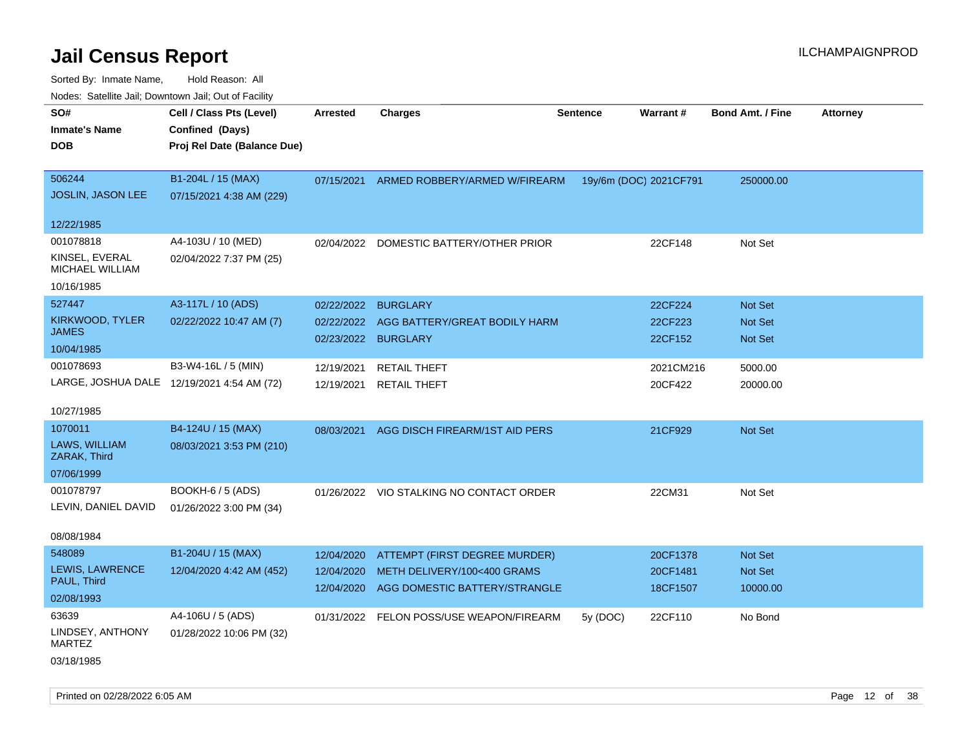| ivuutos. Saltiilit Jall, Duwilluwii Jall, Oul of Facility |                                            |            |                                          |                 |                        |                         |                 |
|-----------------------------------------------------------|--------------------------------------------|------------|------------------------------------------|-----------------|------------------------|-------------------------|-----------------|
| SO#                                                       | Cell / Class Pts (Level)                   | Arrested   | <b>Charges</b>                           | <b>Sentence</b> | Warrant#               | <b>Bond Amt. / Fine</b> | <b>Attorney</b> |
| <b>Inmate's Name</b>                                      | Confined (Days)                            |            |                                          |                 |                        |                         |                 |
| <b>DOB</b>                                                | Proj Rel Date (Balance Due)                |            |                                          |                 |                        |                         |                 |
|                                                           |                                            |            |                                          |                 |                        |                         |                 |
| 506244                                                    | B1-204L / 15 (MAX)                         | 07/15/2021 | ARMED ROBBERY/ARMED W/FIREARM            |                 | 19y/6m (DOC) 2021CF791 | 250000.00               |                 |
| JOSLIN, JASON LEE                                         | 07/15/2021 4:38 AM (229)                   |            |                                          |                 |                        |                         |                 |
|                                                           |                                            |            |                                          |                 |                        |                         |                 |
| 12/22/1985                                                |                                            |            |                                          |                 |                        |                         |                 |
| 001078818                                                 | A4-103U / 10 (MED)                         | 02/04/2022 | DOMESTIC BATTERY/OTHER PRIOR             |                 | 22CF148                | Not Set                 |                 |
| KINSEL, EVERAL<br><b>MICHAEL WILLIAM</b>                  | 02/04/2022 7:37 PM (25)                    |            |                                          |                 |                        |                         |                 |
| 10/16/1985                                                |                                            |            |                                          |                 |                        |                         |                 |
| 527447                                                    | A3-117L / 10 (ADS)                         | 02/22/2022 | <b>BURGLARY</b>                          |                 | 22CF224                | <b>Not Set</b>          |                 |
| KIRKWOOD, TYLER                                           | 02/22/2022 10:47 AM (7)                    | 02/22/2022 | AGG BATTERY/GREAT BODILY HARM            |                 | 22CF223                | <b>Not Set</b>          |                 |
| <b>JAMES</b>                                              |                                            | 02/23/2022 | <b>BURGLARY</b>                          |                 | 22CF152                | <b>Not Set</b>          |                 |
| 10/04/1985                                                |                                            |            |                                          |                 |                        |                         |                 |
| 001078693                                                 | B3-W4-16L / 5 (MIN)                        | 12/19/2021 | <b>RETAIL THEFT</b>                      |                 | 2021CM216              | 5000.00                 |                 |
|                                                           | LARGE, JOSHUA DALE 12/19/2021 4:54 AM (72) | 12/19/2021 | <b>RETAIL THEFT</b>                      |                 | 20CF422                | 20000.00                |                 |
|                                                           |                                            |            |                                          |                 |                        |                         |                 |
| 10/27/1985                                                |                                            |            |                                          |                 |                        |                         |                 |
| 1070011                                                   | B4-124U / 15 (MAX)                         | 08/03/2021 | AGG DISCH FIREARM/1ST AID PERS           |                 | 21CF929                | Not Set                 |                 |
| LAWS, WILLIAM<br>ZARAK, Third                             | 08/03/2021 3:53 PM (210)                   |            |                                          |                 |                        |                         |                 |
| 07/06/1999                                                |                                            |            |                                          |                 |                        |                         |                 |
| 001078797                                                 | BOOKH-6 / 5 (ADS)                          |            | 01/26/2022 VIO STALKING NO CONTACT ORDER |                 | 22CM31                 | Not Set                 |                 |
| LEVIN, DANIEL DAVID                                       | 01/26/2022 3:00 PM (34)                    |            |                                          |                 |                        |                         |                 |
|                                                           |                                            |            |                                          |                 |                        |                         |                 |
| 08/08/1984                                                |                                            |            |                                          |                 |                        |                         |                 |
| 548089                                                    | B1-204U / 15 (MAX)                         | 12/04/2020 | ATTEMPT (FIRST DEGREE MURDER)            |                 | 20CF1378               | <b>Not Set</b>          |                 |
| LEWIS, LAWRENCE                                           | 12/04/2020 4:42 AM (452)                   | 12/04/2020 | METH DELIVERY/100<400 GRAMS              |                 | 20CF1481               | Not Set                 |                 |
| PAUL, Third                                               |                                            | 12/04/2020 | AGG DOMESTIC BATTERY/STRANGLE            |                 | 18CF1507               | 10000.00                |                 |
| 02/08/1993                                                |                                            |            |                                          |                 |                        |                         |                 |
| 63639                                                     | A4-106U / 5 (ADS)                          |            | 01/31/2022 FELON POSS/USE WEAPON/FIREARM | 5y (DOC)        | 22CF110                | No Bond                 |                 |
| LINDSEY, ANTHONY<br><b>MARTEZ</b>                         | 01/28/2022 10:06 PM (32)                   |            |                                          |                 |                        |                         |                 |
| 03/18/1985                                                |                                            |            |                                          |                 |                        |                         |                 |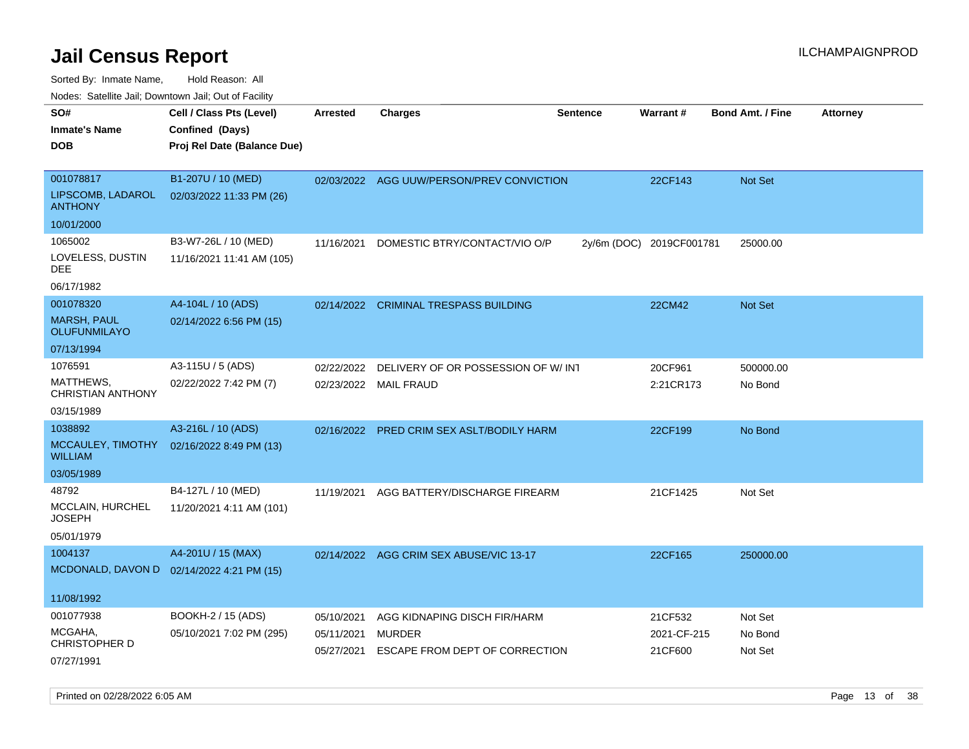| roaco. Oatomto dan, Downtown dan, Oat or Fability                                                               |                                            |
|-----------------------------------------------------------------------------------------------------------------|--------------------------------------------|
| SO#<br>Cell / Class Pts (Level)<br><b>Charges</b><br><b>Sentence</b><br>Warrant#<br><b>Arrested</b>             | <b>Bond Amt. / Fine</b><br><b>Attorney</b> |
| Confined (Days)<br><b>Inmate's Name</b>                                                                         |                                            |
| <b>DOB</b><br>Proj Rel Date (Balance Due)                                                                       |                                            |
|                                                                                                                 |                                            |
| 001078817<br>B1-207U / 10 (MED)<br>02/03/2022 AGG UUW/PERSON/PREV CONVICTION<br>22CF143                         | <b>Not Set</b>                             |
| LIPSCOMB, LADAROL<br>02/03/2022 11:33 PM (26)<br><b>ANTHONY</b>                                                 |                                            |
| 10/01/2000                                                                                                      |                                            |
| 1065002<br>B3-W7-26L / 10 (MED)<br>11/16/2021<br>DOMESTIC BTRY/CONTACT/VIO O/P<br>2y/6m (DOC) 2019CF001781      | 25000.00                                   |
| LOVELESS, DUSTIN<br>11/16/2021 11:41 AM (105)<br>DEE                                                            |                                            |
| 06/17/1982                                                                                                      |                                            |
| 001078320<br>A4-104L / 10 (ADS)<br><b>CRIMINAL TRESPASS BUILDING</b><br>22CM42<br>02/14/2022                    | <b>Not Set</b>                             |
| <b>MARSH, PAUL</b><br>02/14/2022 6:56 PM (15)<br><b>OLUFUNMILAYO</b>                                            |                                            |
| 07/13/1994                                                                                                      |                                            |
| 1076591<br>A3-115U / 5 (ADS)<br>20CF961<br>02/22/2022<br>DELIVERY OF OR POSSESSION OF W/INT                     | 500000.00                                  |
| MATTHEWS,<br>02/22/2022 7:42 PM (7)<br>02/23/2022<br><b>MAIL FRAUD</b><br>2:21CR173<br><b>CHRISTIAN ANTHONY</b> | No Bond                                    |
| 03/15/1989                                                                                                      |                                            |
| 1038892<br>A3-216L / 10 (ADS)<br>PRED CRIM SEX ASLT/BODILY HARM<br>22CF199<br>02/16/2022                        | No Bond                                    |
| MCCAULEY, TIMOTHY<br>02/16/2022 8:49 PM (13)<br><b>WILLIAM</b>                                                  |                                            |
| 03/05/1989                                                                                                      |                                            |
| B4-127L / 10 (MED)<br>48792<br>AGG BATTERY/DISCHARGE FIREARM<br>21CF1425<br>11/19/2021                          | Not Set                                    |
| MCCLAIN, HURCHEL<br>11/20/2021 4:11 AM (101)<br><b>JOSEPH</b>                                                   |                                            |
| 05/01/1979                                                                                                      |                                            |
| A4-201U / 15 (MAX)<br>1004137<br>02/14/2022 AGG CRIM SEX ABUSE/VIC 13-17<br>22CF165                             | 250000.00                                  |
| MCDONALD, DAVON D 02/14/2022 4:21 PM (15)                                                                       |                                            |
| 11/08/1992                                                                                                      |                                            |
| 001077938<br>BOOKH-2 / 15 (ADS)<br>05/10/2021<br>AGG KIDNAPING DISCH FIR/HARM<br>21CF532                        | Not Set                                    |
| MCGAHA,<br>05/10/2021 7:02 PM (295)<br>05/11/2021<br><b>MURDER</b><br><b>CHRISTOPHER D</b>                      | 2021-CF-215<br>No Bond                     |
| ESCAPE FROM DEPT OF CORRECTION<br>21CF600<br>05/27/2021                                                         | Not Set                                    |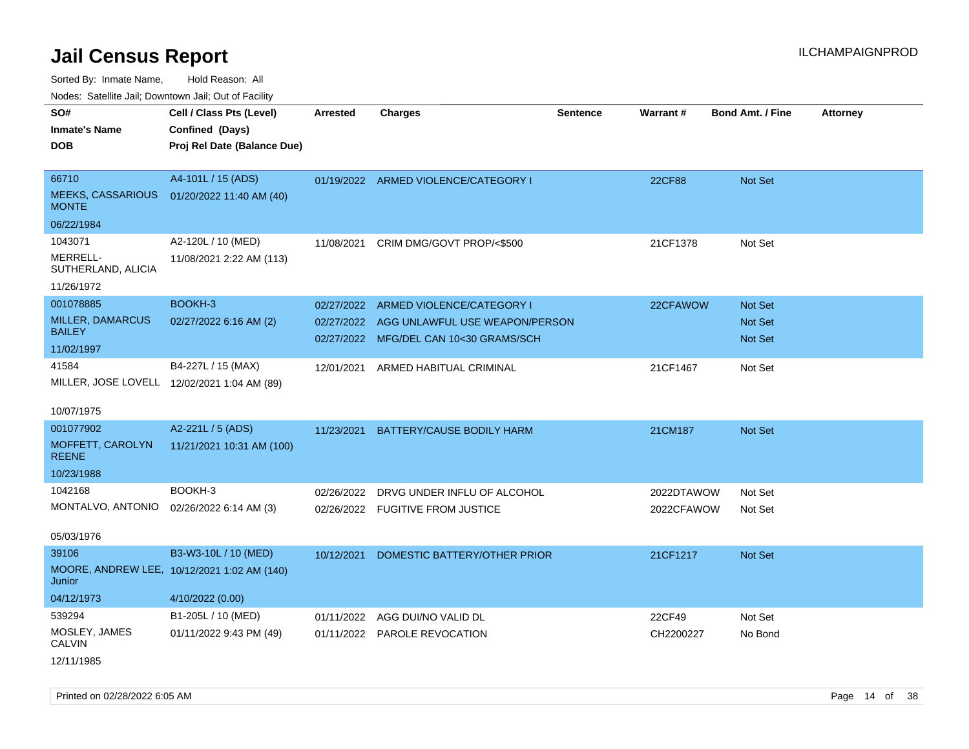Sorted By: Inmate Name, Hold Reason: All

Nodes: Satellite Jail; Downtown Jail; Out of Facility

| SO#                                         | Cell / Class Pts (Level)                    | Arrested   | <b>Charges</b>                            | <b>Sentence</b> | <b>Warrant#</b> | <b>Bond Amt. / Fine</b> | <b>Attorney</b> |
|---------------------------------------------|---------------------------------------------|------------|-------------------------------------------|-----------------|-----------------|-------------------------|-----------------|
| <b>Inmate's Name</b>                        | Confined (Days)                             |            |                                           |                 |                 |                         |                 |
| <b>DOB</b>                                  | Proj Rel Date (Balance Due)                 |            |                                           |                 |                 |                         |                 |
|                                             |                                             |            |                                           |                 |                 |                         |                 |
| 66710                                       | A4-101L / 15 (ADS)                          |            | 01/19/2022 ARMED VIOLENCE/CATEGORY I      |                 | 22CF88          | Not Set                 |                 |
| <b>MEEKS, CASSARIOUS</b><br><b>MONTE</b>    | 01/20/2022 11:40 AM (40)                    |            |                                           |                 |                 |                         |                 |
| 06/22/1984                                  |                                             |            |                                           |                 |                 |                         |                 |
| 1043071                                     | A2-120L / 10 (MED)                          | 11/08/2021 | CRIM DMG/GOVT PROP/<\$500                 |                 | 21CF1378        | Not Set                 |                 |
| MERRELL-<br>SUTHERLAND, ALICIA              | 11/08/2021 2:22 AM (113)                    |            |                                           |                 |                 |                         |                 |
| 11/26/1972                                  |                                             |            |                                           |                 |                 |                         |                 |
| 001078885                                   | BOOKH-3                                     | 02/27/2022 | ARMED VIOLENCE/CATEGORY I                 |                 | 22CFAWOW        | Not Set                 |                 |
| <b>MILLER, DAMARCUS</b>                     | 02/27/2022 6:16 AM (2)                      |            | 02/27/2022 AGG UNLAWFUL USE WEAPON/PERSON |                 |                 | <b>Not Set</b>          |                 |
| <b>BAILEY</b>                               |                                             |            | 02/27/2022 MFG/DEL CAN 10<30 GRAMS/SCH    |                 |                 | Not Set                 |                 |
| 11/02/1997                                  |                                             |            |                                           |                 |                 |                         |                 |
| 41584                                       | B4-227L / 15 (MAX)                          | 12/01/2021 | ARMED HABITUAL CRIMINAL                   |                 | 21CF1467        | Not Set                 |                 |
| MILLER, JOSE LOVELL 12/02/2021 1:04 AM (89) |                                             |            |                                           |                 |                 |                         |                 |
| 10/07/1975                                  |                                             |            |                                           |                 |                 |                         |                 |
| 001077902                                   | A2-221L / 5 (ADS)                           | 11/23/2021 | BATTERY/CAUSE BODILY HARM                 |                 | 21CM187         | <b>Not Set</b>          |                 |
| MOFFETT, CAROLYN<br><b>REENE</b>            | 11/21/2021 10:31 AM (100)                   |            |                                           |                 |                 |                         |                 |
| 10/23/1988                                  |                                             |            |                                           |                 |                 |                         |                 |
| 1042168                                     | BOOKH-3                                     | 02/26/2022 | DRVG UNDER INFLU OF ALCOHOL               |                 | 2022DTAWOW      | Not Set                 |                 |
| MONTALVO, ANTONIO                           | 02/26/2022 6:14 AM (3)                      |            | 02/26/2022 FUGITIVE FROM JUSTICE          |                 | 2022CFAWOW      | Not Set                 |                 |
| 05/03/1976                                  |                                             |            |                                           |                 |                 |                         |                 |
| 39106                                       | B3-W3-10L / 10 (MED)                        | 10/12/2021 | DOMESTIC BATTERY/OTHER PRIOR              |                 | 21CF1217        | Not Set                 |                 |
| Junior                                      | MOORE, ANDREW LEE, 10/12/2021 1:02 AM (140) |            |                                           |                 |                 |                         |                 |
| 04/12/1973                                  | 4/10/2022 (0.00)                            |            |                                           |                 |                 |                         |                 |
| 539294                                      | B1-205L / 10 (MED)                          | 01/11/2022 | AGG DUI/NO VALID DL                       |                 | 22CF49          | Not Set                 |                 |
| MOSLEY, JAMES<br><b>CALVIN</b>              | 01/11/2022 9:43 PM (49)                     |            | 01/11/2022 PAROLE REVOCATION              |                 | CH2200227       | No Bond                 |                 |

12/11/1985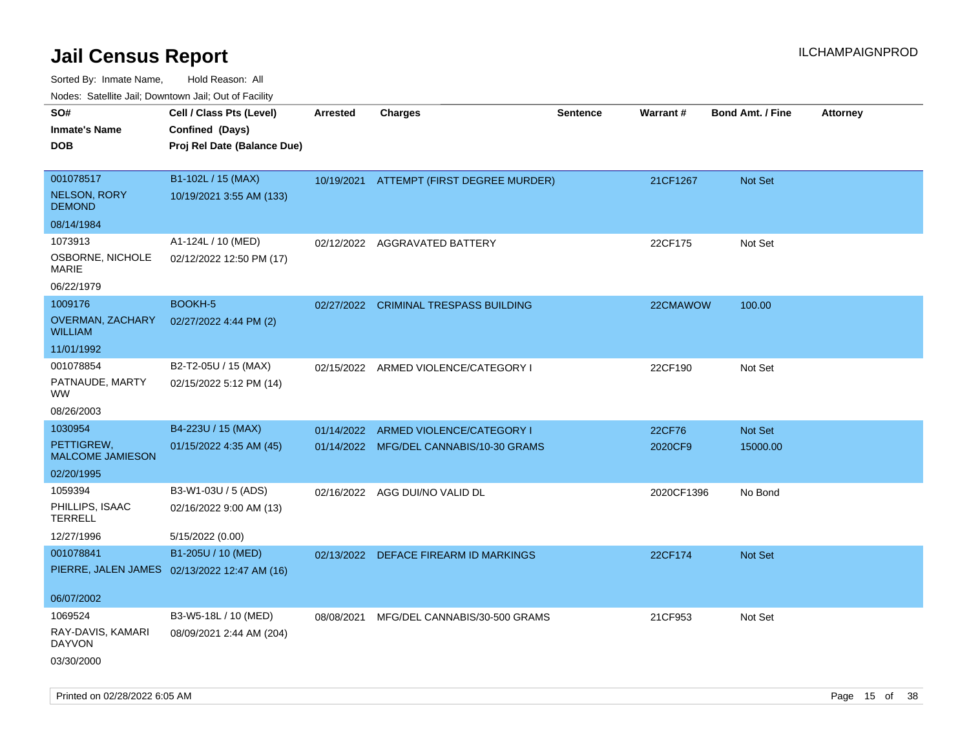| rouco. Calcillo Jali, Downtown Jali, Out of Facility |                                              |                 |                                          |                 |            |                         |                 |
|------------------------------------------------------|----------------------------------------------|-----------------|------------------------------------------|-----------------|------------|-------------------------|-----------------|
| SO#                                                  | Cell / Class Pts (Level)                     | <b>Arrested</b> | <b>Charges</b>                           | <b>Sentence</b> | Warrant#   | <b>Bond Amt. / Fine</b> | <b>Attorney</b> |
| Inmate's Name                                        | Confined (Days)                              |                 |                                          |                 |            |                         |                 |
| <b>DOB</b>                                           | Proj Rel Date (Balance Due)                  |                 |                                          |                 |            |                         |                 |
|                                                      |                                              |                 |                                          |                 |            |                         |                 |
| 001078517                                            | B1-102L / 15 (MAX)                           |                 | 10/19/2021 ATTEMPT (FIRST DEGREE MURDER) |                 | 21CF1267   | <b>Not Set</b>          |                 |
| NELSON, RORY<br><b>DEMOND</b>                        | 10/19/2021 3:55 AM (133)                     |                 |                                          |                 |            |                         |                 |
| 08/14/1984                                           |                                              |                 |                                          |                 |            |                         |                 |
| 1073913                                              | A1-124L / 10 (MED)                           |                 | 02/12/2022 AGGRAVATED BATTERY            |                 | 22CF175    | Not Set                 |                 |
| OSBORNE, NICHOLE<br>MARIE                            | 02/12/2022 12:50 PM (17)                     |                 |                                          |                 |            |                         |                 |
| 06/22/1979                                           |                                              |                 |                                          |                 |            |                         |                 |
| 1009176                                              | <b>BOOKH-5</b>                               | 02/27/2022      | <b>CRIMINAL TRESPASS BUILDING</b>        |                 | 22CMAWOW   | 100.00                  |                 |
| OVERMAN, ZACHARY<br>WILLIAM                          | 02/27/2022 4:44 PM (2)                       |                 |                                          |                 |            |                         |                 |
| 11/01/1992                                           |                                              |                 |                                          |                 |            |                         |                 |
| 001078854                                            | B2-T2-05U / 15 (MAX)                         | 02/15/2022      | ARMED VIOLENCE/CATEGORY I                |                 | 22CF190    | Not Set                 |                 |
| PATNAUDE, MARTY<br>WW                                | 02/15/2022 5:12 PM (14)                      |                 |                                          |                 |            |                         |                 |
| 08/26/2003                                           |                                              |                 |                                          |                 |            |                         |                 |
| 1030954                                              | B4-223U / 15 (MAX)                           | 01/14/2022      | ARMED VIOLENCE/CATEGORY I                |                 | 22CF76     | <b>Not Set</b>          |                 |
| PETTIGREW,<br><b>MALCOME JAMIESON</b>                | 01/15/2022 4:35 AM (45)                      |                 | 01/14/2022 MFG/DEL CANNABIS/10-30 GRAMS  |                 | 2020CF9    | 15000.00                |                 |
| 02/20/1995                                           |                                              |                 |                                          |                 |            |                         |                 |
| 1059394                                              | B3-W1-03U / 5 (ADS)                          | 02/16/2022      | AGG DUI/NO VALID DL                      |                 | 2020CF1396 | No Bond                 |                 |
| PHILLIPS, ISAAC<br>TERRELL                           | 02/16/2022 9:00 AM (13)                      |                 |                                          |                 |            |                         |                 |
| 12/27/1996                                           | 5/15/2022 (0.00)                             |                 |                                          |                 |            |                         |                 |
| 001078841                                            | B1-205U / 10 (MED)                           | 02/13/2022      | DEFACE FIREARM ID MARKINGS               |                 | 22CF174    | <b>Not Set</b>          |                 |
|                                                      | PIERRE, JALEN JAMES 02/13/2022 12:47 AM (16) |                 |                                          |                 |            |                         |                 |
|                                                      |                                              |                 |                                          |                 |            |                         |                 |
| 06/07/2002                                           |                                              |                 |                                          |                 |            |                         |                 |
| 1069524                                              | B3-W5-18L / 10 (MED)                         | 08/08/2021      | MFG/DEL CANNABIS/30-500 GRAMS            |                 | 21CF953    | Not Set                 |                 |
| RAY-DAVIS, KAMARI<br>DAYVON                          | 08/09/2021 2:44 AM (204)                     |                 |                                          |                 |            |                         |                 |
| 03/30/2000                                           |                                              |                 |                                          |                 |            |                         |                 |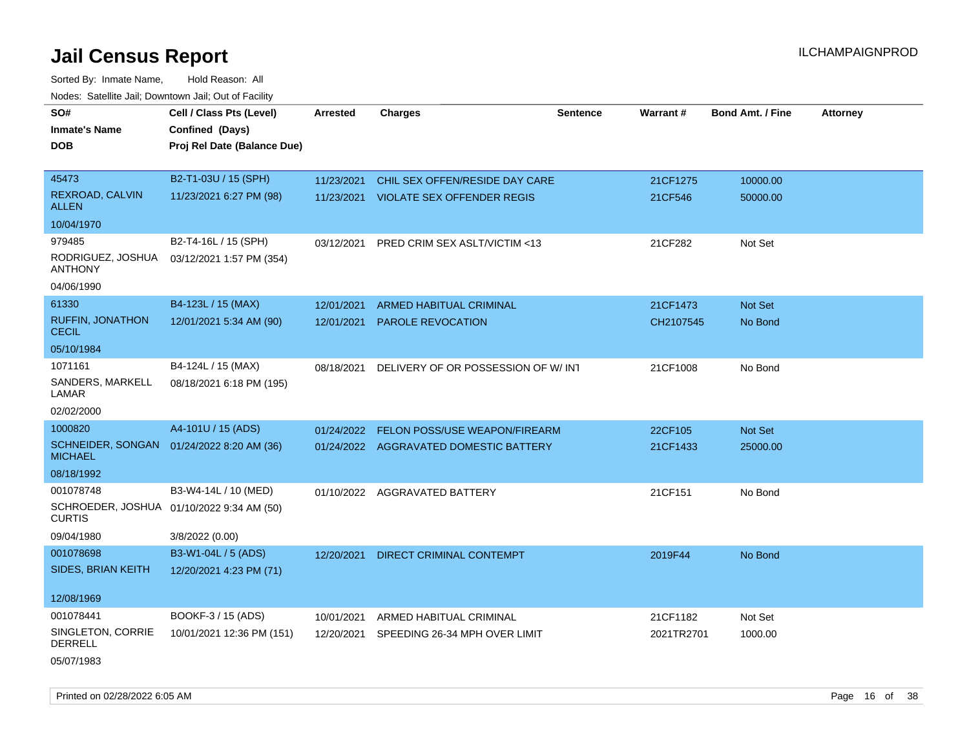Sorted By: Inmate Name, Hold Reason: All Nodes: Satellite Jail; Downtown Jail; Out of Facility

| SO#                                     | Cell / Class Pts (Level)                  | <b>Arrested</b> | <b>Charges</b>                         | <b>Sentence</b> | Warrant#   | <b>Bond Amt. / Fine</b> | <b>Attorney</b> |
|-----------------------------------------|-------------------------------------------|-----------------|----------------------------------------|-----------------|------------|-------------------------|-----------------|
| <b>Inmate's Name</b>                    | Confined (Days)                           |                 |                                        |                 |            |                         |                 |
| <b>DOB</b>                              | Proj Rel Date (Balance Due)               |                 |                                        |                 |            |                         |                 |
|                                         |                                           |                 |                                        |                 |            |                         |                 |
| 45473                                   | B2-T1-03U / 15 (SPH)                      | 11/23/2021      | CHIL SEX OFFEN/RESIDE DAY CARE         |                 | 21CF1275   | 10000.00                |                 |
| <b>REXROAD, CALVIN</b><br><b>ALLEN</b>  | 11/23/2021 6:27 PM (98)                   |                 | 11/23/2021 VIOLATE SEX OFFENDER REGIS  |                 | 21CF546    | 50000.00                |                 |
| 10/04/1970                              |                                           |                 |                                        |                 |            |                         |                 |
| 979485                                  | B2-T4-16L / 15 (SPH)                      | 03/12/2021      | PRED CRIM SEX ASLT/VICTIM <13          |                 | 21CF282    | Not Set                 |                 |
| RODRIGUEZ, JOSHUA<br><b>ANTHONY</b>     | 03/12/2021 1:57 PM (354)                  |                 |                                        |                 |            |                         |                 |
| 04/06/1990                              |                                           |                 |                                        |                 |            |                         |                 |
| 61330                                   | B4-123L / 15 (MAX)                        | 12/01/2021      | ARMED HABITUAL CRIMINAL                |                 | 21CF1473   | Not Set                 |                 |
| <b>RUFFIN, JONATHON</b><br><b>CECIL</b> | 12/01/2021 5:34 AM (90)                   | 12/01/2021      | PAROLE REVOCATION                      |                 | CH2107545  | No Bond                 |                 |
| 05/10/1984                              |                                           |                 |                                        |                 |            |                         |                 |
| 1071161                                 | B4-124L / 15 (MAX)                        | 08/18/2021      | DELIVERY OF OR POSSESSION OF W/INT     |                 | 21CF1008   | No Bond                 |                 |
| SANDERS, MARKELL<br>LAMAR               | 08/18/2021 6:18 PM (195)                  |                 |                                        |                 |            |                         |                 |
| 02/02/2000                              |                                           |                 |                                        |                 |            |                         |                 |
| 1000820                                 | A4-101U / 15 (ADS)                        | 01/24/2022      | FELON POSS/USE WEAPON/FIREARM          |                 | 22CF105    | Not Set                 |                 |
| <b>MICHAEL</b>                          | SCHNEIDER, SONGAN 01/24/2022 8:20 AM (36) |                 | 01/24/2022 AGGRAVATED DOMESTIC BATTERY |                 | 21CF1433   | 25000.00                |                 |
| 08/18/1992                              |                                           |                 |                                        |                 |            |                         |                 |
| 001078748                               | B3-W4-14L / 10 (MED)                      |                 | 01/10/2022 AGGRAVATED BATTERY          |                 | 21CF151    | No Bond                 |                 |
| <b>CURTIS</b>                           | SCHROEDER, JOSHUA 01/10/2022 9:34 AM (50) |                 |                                        |                 |            |                         |                 |
| 09/04/1980                              | 3/8/2022 (0.00)                           |                 |                                        |                 |            |                         |                 |
| 001078698                               | B3-W1-04L / 5 (ADS)                       | 12/20/2021      | <b>DIRECT CRIMINAL CONTEMPT</b>        |                 | 2019F44    | No Bond                 |                 |
| <b>SIDES, BRIAN KEITH</b>               | 12/20/2021 4:23 PM (71)                   |                 |                                        |                 |            |                         |                 |
| 12/08/1969                              |                                           |                 |                                        |                 |            |                         |                 |
| 001078441                               | BOOKF-3 / 15 (ADS)                        |                 |                                        |                 |            |                         |                 |
| SINGLETON, CORRIE                       |                                           | 10/01/2021      | ARMED HABITUAL CRIMINAL                |                 | 21CF1182   | Not Set                 |                 |
| <b>DERRELL</b>                          | 10/01/2021 12:36 PM (151)                 | 12/20/2021      | SPEEDING 26-34 MPH OVER LIMIT          |                 | 2021TR2701 | 1000.00                 |                 |
| 05/07/1983                              |                                           |                 |                                        |                 |            |                         |                 |

Printed on 02/28/2022 6:05 AM **Page 16** of 38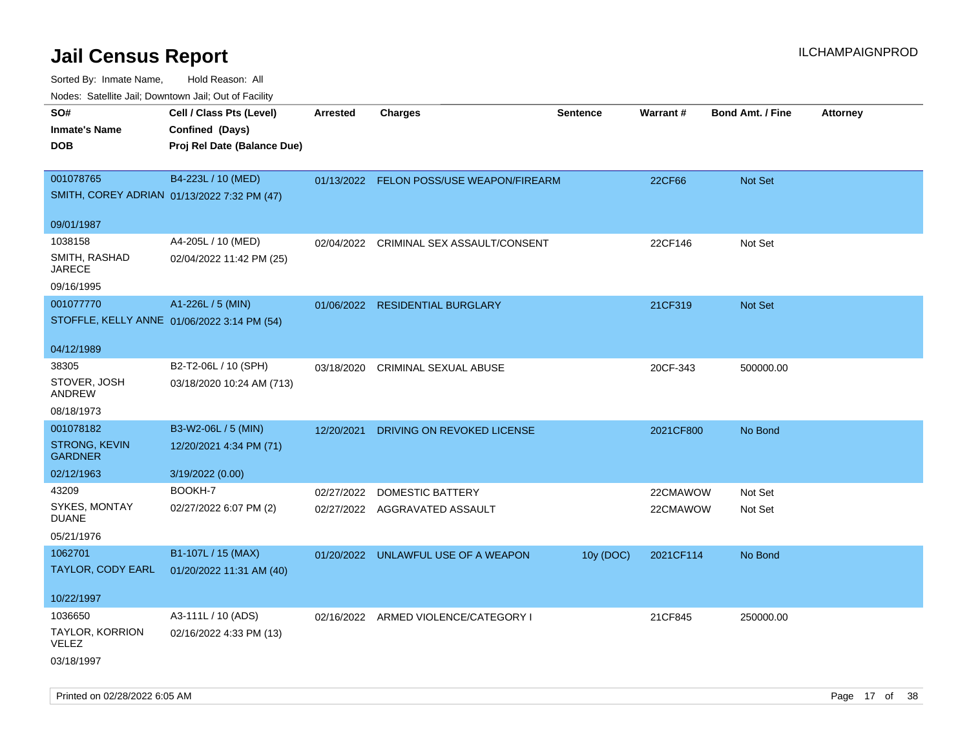| SO#<br><b>Inmate's Name</b><br><b>DOB</b>                | Cell / Class Pts (Level)<br>Confined (Days)<br>Proj Rel Date (Balance Due) | Arrested   | <b>Charges</b>                           | <b>Sentence</b> | Warrant#  | <b>Bond Amt. / Fine</b> | <b>Attorney</b> |
|----------------------------------------------------------|----------------------------------------------------------------------------|------------|------------------------------------------|-----------------|-----------|-------------------------|-----------------|
| 001078765<br>SMITH, COREY ADRIAN 01/13/2022 7:32 PM (47) | B4-223L / 10 (MED)                                                         |            | 01/13/2022 FELON POSS/USE WEAPON/FIREARM |                 | 22CF66    | Not Set                 |                 |
| 09/01/1987                                               |                                                                            |            |                                          |                 |           |                         |                 |
| 1038158<br>SMITH, RASHAD<br><b>JARECE</b>                | A4-205L / 10 (MED)<br>02/04/2022 11:42 PM (25)                             | 02/04/2022 | CRIMINAL SEX ASSAULT/CONSENT             |                 | 22CF146   | Not Set                 |                 |
| 09/16/1995                                               |                                                                            |            |                                          |                 |           |                         |                 |
| 001077770<br>STOFFLE, KELLY ANNE 01/06/2022 3:14 PM (54) | A1-226L / 5 (MIN)                                                          |            | 01/06/2022 RESIDENTIAL BURGLARY          |                 | 21CF319   | Not Set                 |                 |
| 04/12/1989                                               |                                                                            |            |                                          |                 |           |                         |                 |
| 38305<br>STOVER, JOSH<br>ANDREW                          | B2-T2-06L / 10 (SPH)<br>03/18/2020 10:24 AM (713)                          | 03/18/2020 | CRIMINAL SEXUAL ABUSE                    |                 | 20CF-343  | 500000.00               |                 |
| 08/18/1973                                               |                                                                            |            |                                          |                 |           |                         |                 |
| 001078182                                                | B3-W2-06L / 5 (MIN)                                                        | 12/20/2021 | DRIVING ON REVOKED LICENSE               |                 | 2021CF800 | No Bond                 |                 |
| <b>STRONG, KEVIN</b><br><b>GARDNER</b>                   | 12/20/2021 4:34 PM (71)                                                    |            |                                          |                 |           |                         |                 |
| 02/12/1963                                               | 3/19/2022 (0.00)                                                           |            |                                          |                 |           |                         |                 |
| 43209                                                    | BOOKH-7                                                                    | 02/27/2022 | <b>DOMESTIC BATTERY</b>                  |                 | 22CMAWOW  | Not Set                 |                 |
| SYKES, MONTAY<br><b>DUANE</b>                            | 02/27/2022 6:07 PM (2)                                                     |            | 02/27/2022 AGGRAVATED ASSAULT            |                 | 22CMAWOW  | Not Set                 |                 |
| 05/21/1976                                               |                                                                            |            |                                          |                 |           |                         |                 |
| 1062701                                                  | B1-107L / 15 (MAX)                                                         |            | 01/20/2022 UNLAWFUL USE OF A WEAPON      | 10y (DOC)       | 2021CF114 | No Bond                 |                 |
| TAYLOR, CODY EARL                                        | 01/20/2022 11:31 AM (40)                                                   |            |                                          |                 |           |                         |                 |
| 10/22/1997                                               |                                                                            |            |                                          |                 |           |                         |                 |
| 1036650                                                  | A3-111L / 10 (ADS)                                                         |            | 02/16/2022 ARMED VIOLENCE/CATEGORY I     |                 | 21CF845   | 250000.00               |                 |
| TAYLOR, KORRION<br>VELEZ<br>03/18/1997                   | 02/16/2022 4:33 PM (13)                                                    |            |                                          |                 |           |                         |                 |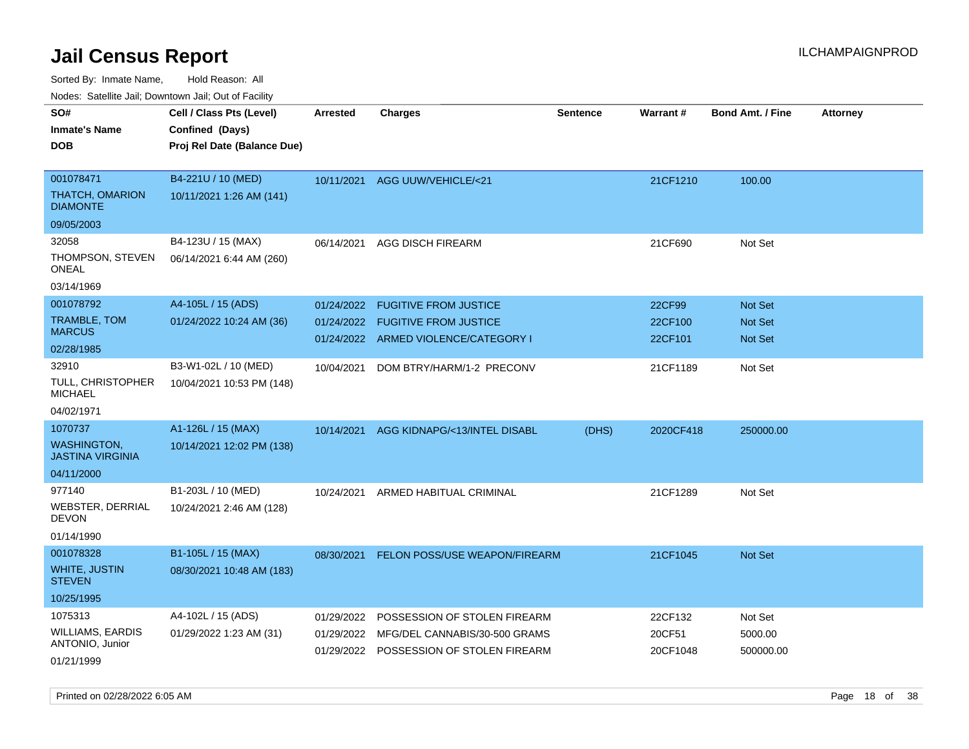Sorted By: Inmate Name, Hold Reason: All

Nodes: Satellite Jail; Downtown Jail; Out of Facility

| SO#                                           | Cell / Class Pts (Level)    | <b>Arrested</b> | <b>Charges</b>                          | <b>Sentence</b> | Warrant#  | <b>Bond Amt. / Fine</b> | <b>Attorney</b> |
|-----------------------------------------------|-----------------------------|-----------------|-----------------------------------------|-----------------|-----------|-------------------------|-----------------|
| <b>Inmate's Name</b>                          | Confined (Days)             |                 |                                         |                 |           |                         |                 |
| <b>DOB</b>                                    | Proj Rel Date (Balance Due) |                 |                                         |                 |           |                         |                 |
|                                               |                             |                 |                                         |                 |           |                         |                 |
| 001078471                                     | B4-221U / 10 (MED)          |                 | 10/11/2021 AGG UUW/VEHICLE/<21          |                 | 21CF1210  | 100.00                  |                 |
| <b>THATCH, OMARION</b><br><b>DIAMONTE</b>     | 10/11/2021 1:26 AM (141)    |                 |                                         |                 |           |                         |                 |
| 09/05/2003                                    |                             |                 |                                         |                 |           |                         |                 |
| 32058                                         | B4-123U / 15 (MAX)          | 06/14/2021      | AGG DISCH FIREARM                       |                 | 21CF690   | Not Set                 |                 |
| THOMPSON, STEVEN<br><b>ONEAL</b>              | 06/14/2021 6:44 AM (260)    |                 |                                         |                 |           |                         |                 |
| 03/14/1969                                    |                             |                 |                                         |                 |           |                         |                 |
| 001078792                                     | A4-105L / 15 (ADS)          | 01/24/2022      | <b>FUGITIVE FROM JUSTICE</b>            |                 | 22CF99    | Not Set                 |                 |
| TRAMBLE, TOM                                  | 01/24/2022 10:24 AM (36)    | 01/24/2022      | <b>FUGITIVE FROM JUSTICE</b>            |                 | 22CF100   | Not Set                 |                 |
| <b>MARCUS</b>                                 |                             |                 | 01/24/2022 ARMED VIOLENCE/CATEGORY I    |                 | 22CF101   | <b>Not Set</b>          |                 |
| 02/28/1985                                    |                             |                 |                                         |                 |           |                         |                 |
| 32910                                         | B3-W1-02L / 10 (MED)        | 10/04/2021      | DOM BTRY/HARM/1-2 PRECONV               |                 | 21CF1189  | Not Set                 |                 |
| <b>TULL, CHRISTOPHER</b><br><b>MICHAEL</b>    | 10/04/2021 10:53 PM (148)   |                 |                                         |                 |           |                         |                 |
| 04/02/1971                                    |                             |                 |                                         |                 |           |                         |                 |
| 1070737                                       | A1-126L / 15 (MAX)          | 10/14/2021      | AGG KIDNAPG/<13/INTEL DISABL            | (DHS)           | 2020CF418 | 250000.00               |                 |
| <b>WASHINGTON,</b><br><b>JASTINA VIRGINIA</b> | 10/14/2021 12:02 PM (138)   |                 |                                         |                 |           |                         |                 |
| 04/11/2000                                    |                             |                 |                                         |                 |           |                         |                 |
| 977140                                        | B1-203L / 10 (MED)          | 10/24/2021      | ARMED HABITUAL CRIMINAL                 |                 | 21CF1289  | Not Set                 |                 |
| <b>WEBSTER, DERRIAL</b><br><b>DEVON</b>       | 10/24/2021 2:46 AM (128)    |                 |                                         |                 |           |                         |                 |
| 01/14/1990                                    |                             |                 |                                         |                 |           |                         |                 |
| 001078328                                     | B1-105L / 15 (MAX)          | 08/30/2021      | FELON POSS/USE WEAPON/FIREARM           |                 | 21CF1045  | Not Set                 |                 |
| <b>WHITE, JUSTIN</b><br><b>STEVEN</b>         | 08/30/2021 10:48 AM (183)   |                 |                                         |                 |           |                         |                 |
| 10/25/1995                                    |                             |                 |                                         |                 |           |                         |                 |
| 1075313                                       | A4-102L / 15 (ADS)          | 01/29/2022      | POSSESSION OF STOLEN FIREARM            |                 | 22CF132   | Not Set                 |                 |
| <b>WILLIAMS, EARDIS</b>                       | 01/29/2022 1:23 AM (31)     | 01/29/2022      | MFG/DEL CANNABIS/30-500 GRAMS           |                 | 20CF51    | 5000.00                 |                 |
| ANTONIO, Junior                               |                             |                 | 01/29/2022 POSSESSION OF STOLEN FIREARM |                 | 20CF1048  | 500000.00               |                 |
| 01/21/1999                                    |                             |                 |                                         |                 |           |                         |                 |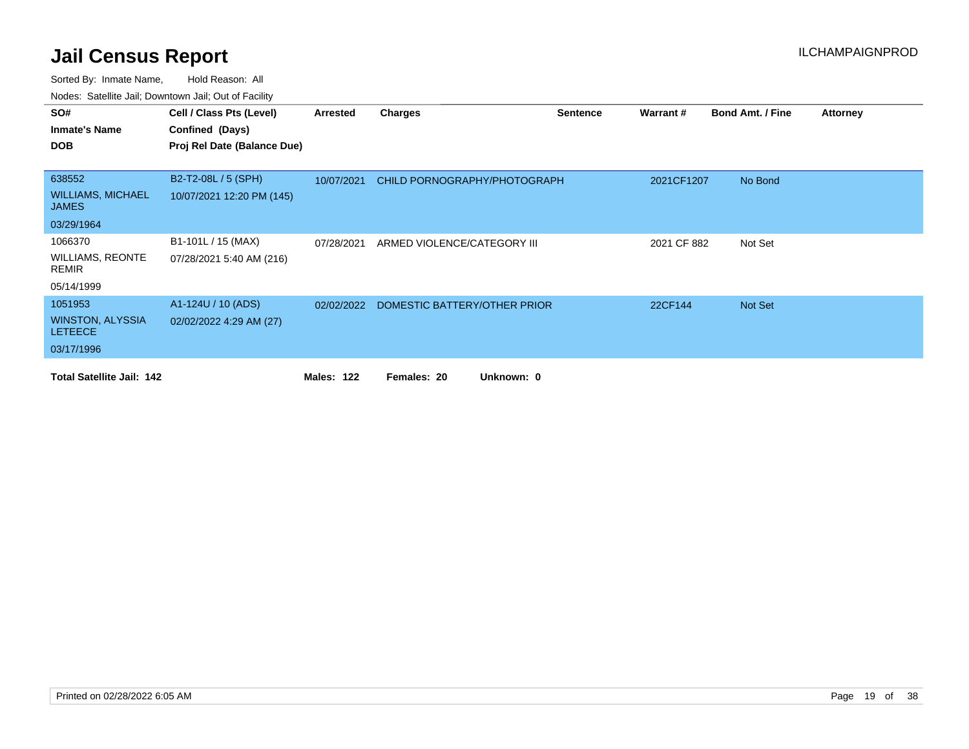| SO#                                       | Cell / Class Pts (Level)    | Arrested          | <b>Charges</b>                          | <b>Sentence</b> | Warrant#    | <b>Bond Amt. / Fine</b> | <b>Attorney</b> |
|-------------------------------------------|-----------------------------|-------------------|-----------------------------------------|-----------------|-------------|-------------------------|-----------------|
| <b>Inmate's Name</b>                      | Confined (Days)             |                   |                                         |                 |             |                         |                 |
| <b>DOB</b>                                | Proj Rel Date (Balance Due) |                   |                                         |                 |             |                         |                 |
|                                           |                             |                   |                                         |                 |             |                         |                 |
| 638552                                    | B2-T2-08L / 5 (SPH)         | 10/07/2021        | CHILD PORNOGRAPHY/PHOTOGRAPH            |                 | 2021CF1207  | No Bond                 |                 |
| <b>WILLIAMS, MICHAEL</b><br><b>JAMES</b>  | 10/07/2021 12:20 PM (145)   |                   |                                         |                 |             |                         |                 |
| 03/29/1964                                |                             |                   |                                         |                 |             |                         |                 |
| 1066370                                   | B1-101L / 15 (MAX)          | 07/28/2021        | ARMED VIOLENCE/CATEGORY III             |                 | 2021 CF 882 | Not Set                 |                 |
| <b>WILLIAMS, REONTE</b><br>REMIR          | 07/28/2021 5:40 AM (216)    |                   |                                         |                 |             |                         |                 |
| 05/14/1999                                |                             |                   |                                         |                 |             |                         |                 |
| 1051953                                   | A1-124U / 10 (ADS)          |                   | 02/02/2022 DOMESTIC BATTERY/OTHER PRIOR |                 | 22CF144     | Not Set                 |                 |
| <b>WINSTON, ALYSSIA</b><br><b>LETEECE</b> | 02/02/2022 4:29 AM (27)     |                   |                                         |                 |             |                         |                 |
| 03/17/1996                                |                             |                   |                                         |                 |             |                         |                 |
| <b>Total Satellite Jail: 142</b>          |                             | <b>Males: 122</b> | Unknown: 0<br>Females: 20               |                 |             |                         |                 |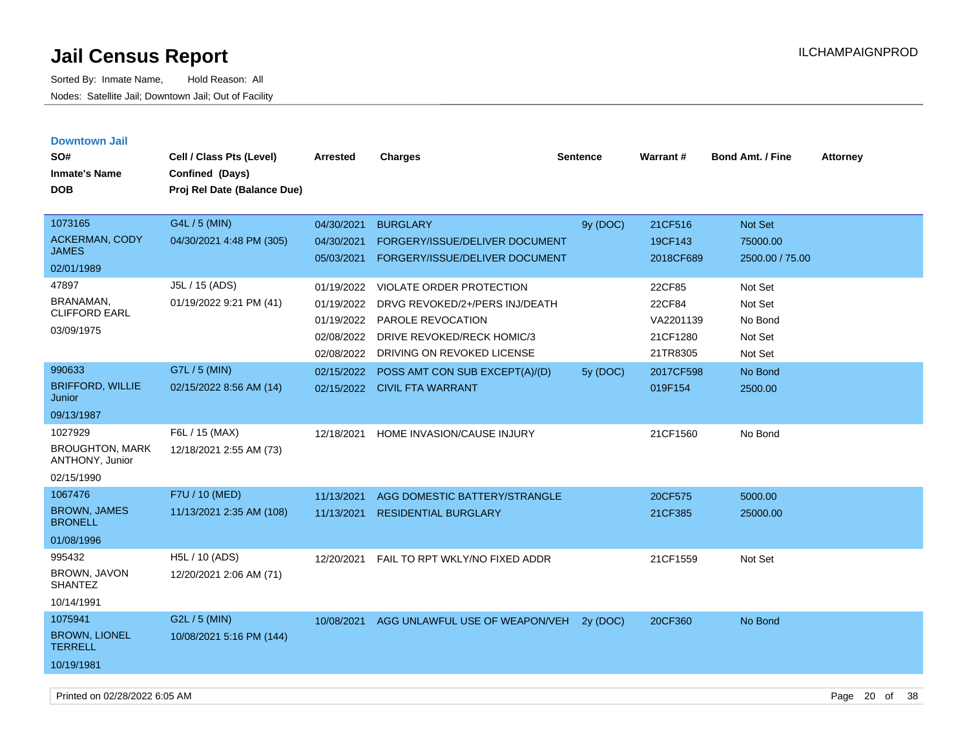| <b>Downtown Jail</b>                      |                             |            |                                 |                 |                 |                         |                 |
|-------------------------------------------|-----------------------------|------------|---------------------------------|-----------------|-----------------|-------------------------|-----------------|
| SO#                                       | Cell / Class Pts (Level)    | Arrested   | <b>Charges</b>                  | <b>Sentence</b> | <b>Warrant#</b> | <b>Bond Amt. / Fine</b> | <b>Attorney</b> |
| <b>Inmate's Name</b>                      | Confined (Days)             |            |                                 |                 |                 |                         |                 |
| <b>DOB</b>                                | Proj Rel Date (Balance Due) |            |                                 |                 |                 |                         |                 |
|                                           |                             |            |                                 |                 |                 |                         |                 |
| 1073165                                   | G4L / 5 (MIN)               | 04/30/2021 | <b>BURGLARY</b>                 | 9y (DOC)        | 21CF516         | Not Set                 |                 |
| <b>ACKERMAN, CODY</b>                     | 04/30/2021 4:48 PM (305)    | 04/30/2021 | FORGERY/ISSUE/DELIVER DOCUMENT  |                 | 19CF143         | 75000.00                |                 |
| <b>JAMES</b>                              |                             | 05/03/2021 | FORGERY/ISSUE/DELIVER DOCUMENT  |                 | 2018CF689       | 2500.00 / 75.00         |                 |
| 02/01/1989                                |                             |            |                                 |                 |                 |                         |                 |
| 47897                                     | J5L / 15 (ADS)              | 01/19/2022 | <b>VIOLATE ORDER PROTECTION</b> |                 | 22CF85          | Not Set                 |                 |
| <b>BRANAMAN,</b><br><b>CLIFFORD EARL</b>  | 01/19/2022 9:21 PM (41)     | 01/19/2022 | DRVG REVOKED/2+/PERS INJ/DEATH  |                 | 22CF84          | Not Set                 |                 |
| 03/09/1975                                |                             | 01/19/2022 | PAROLE REVOCATION               |                 | VA2201139       | No Bond                 |                 |
|                                           |                             | 02/08/2022 | DRIVE REVOKED/RECK HOMIC/3      |                 | 21CF1280        | Not Set                 |                 |
|                                           |                             | 02/08/2022 | DRIVING ON REVOKED LICENSE      |                 | 21TR8305        | Not Set                 |                 |
| 990633                                    | G7L / 5 (MIN)               | 02/15/2022 | POSS AMT CON SUB EXCEPT(A)/(D)  | 5y (DOC)        | 2017CF598       | No Bond                 |                 |
| <b>BRIFFORD, WILLIE</b><br>Junior         | 02/15/2022 8:56 AM (14)     |            | 02/15/2022 CIVIL FTA WARRANT    |                 | 019F154         | 2500.00                 |                 |
| 09/13/1987                                |                             |            |                                 |                 |                 |                         |                 |
| 1027929                                   | F6L / 15 (MAX)              | 12/18/2021 | HOME INVASION/CAUSE INJURY      |                 | 21CF1560        | No Bond                 |                 |
| <b>BROUGHTON, MARK</b><br>ANTHONY, Junior | 12/18/2021 2:55 AM (73)     |            |                                 |                 |                 |                         |                 |
| 02/15/1990                                |                             |            |                                 |                 |                 |                         |                 |
| 1067476                                   | F7U / 10 (MED)              | 11/13/2021 | AGG DOMESTIC BATTERY/STRANGLE   |                 | 20CF575         | 5000.00                 |                 |
| <b>BROWN, JAMES</b><br><b>BRONELL</b>     | 11/13/2021 2:35 AM (108)    | 11/13/2021 | <b>RESIDENTIAL BURGLARY</b>     |                 | 21CF385         | 25000.00                |                 |
| 01/08/1996                                |                             |            |                                 |                 |                 |                         |                 |
| 995432                                    | H5L / 10 (ADS)              | 12/20/2021 | FAIL TO RPT WKLY/NO FIXED ADDR  |                 | 21CF1559        | Not Set                 |                 |
| BROWN, JAVON<br><b>SHANTEZ</b>            | 12/20/2021 2:06 AM (71)     |            |                                 |                 |                 |                         |                 |
| 10/14/1991                                |                             |            |                                 |                 |                 |                         |                 |
| 1075941                                   | G2L / 5 (MIN)               | 10/08/2021 | AGG UNLAWFUL USE OF WEAPON/VEH  | 2y (DOC)        | 20CF360         | No Bond                 |                 |
| <b>BROWN, LIONEL</b><br><b>TERRELL</b>    | 10/08/2021 5:16 PM (144)    |            |                                 |                 |                 |                         |                 |
| 10/19/1981                                |                             |            |                                 |                 |                 |                         |                 |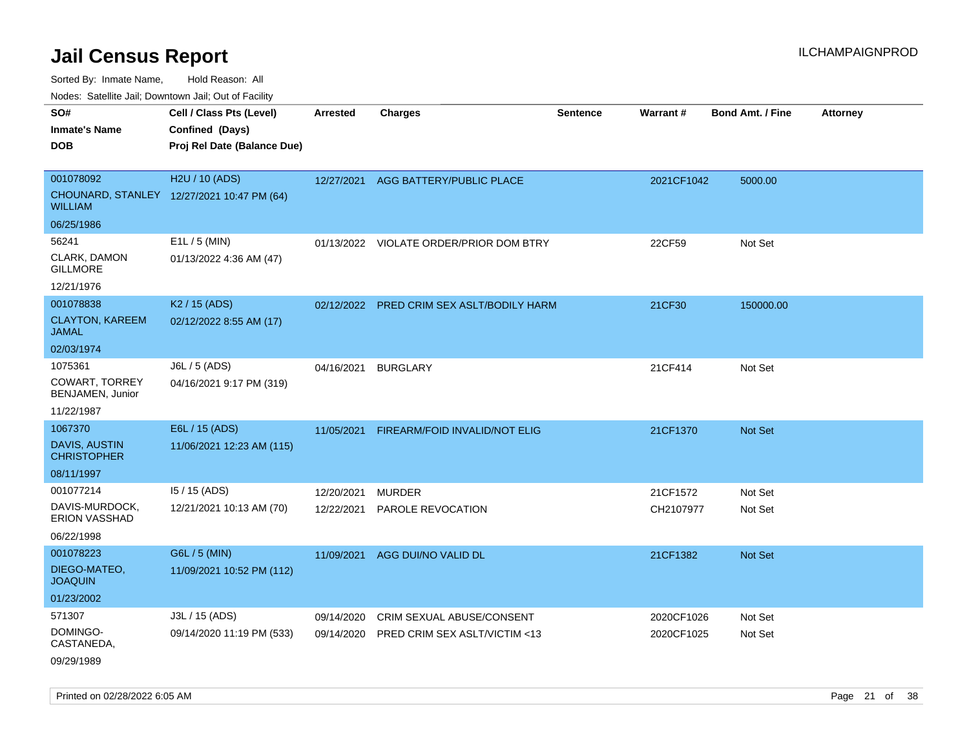Sorted By: Inmate Name, Hold Reason: All

Nodes: Satellite Jail; Downtown Jail; Out of Facility

| SO#<br><b>Inmate's Name</b><br><b>DOB</b>                            | Cell / Class Pts (Level)<br>Confined (Days)<br>Proj Rel Date (Balance Due) | <b>Arrested</b>          | <b>Charges</b>                                             | <b>Sentence</b> | <b>Warrant#</b>          | <b>Bond Amt. / Fine</b> | <b>Attorney</b> |
|----------------------------------------------------------------------|----------------------------------------------------------------------------|--------------------------|------------------------------------------------------------|-----------------|--------------------------|-------------------------|-----------------|
| 001078092<br><b>WILLIAM</b>                                          | H2U / 10 (ADS)<br>CHOUNARD, STANLEY 12/27/2021 10:47 PM (64)               | 12/27/2021               | AGG BATTERY/PUBLIC PLACE                                   |                 | 2021CF1042               | 5000.00                 |                 |
| 06/25/1986<br>56241<br>CLARK, DAMON<br><b>GILLMORE</b><br>12/21/1976 | E1L / 5 (MIN)<br>01/13/2022 4:36 AM (47)                                   |                          | 01/13/2022 VIOLATE ORDER/PRIOR DOM BTRY                    |                 | 22CF59                   | Not Set                 |                 |
| 001078838<br><b>CLAYTON, KAREEM</b><br><b>JAMAL</b><br>02/03/1974    | K <sub>2</sub> / 15 (ADS)<br>02/12/2022 8:55 AM (17)                       |                          | 02/12/2022 PRED CRIM SEX ASLT/BODILY HARM                  |                 | 21CF30                   | 150000.00               |                 |
| 1075361<br><b>COWART, TORREY</b><br>BENJAMEN, Junior<br>11/22/1987   | J6L / 5 (ADS)<br>04/16/2021 9:17 PM (319)                                  | 04/16/2021               | <b>BURGLARY</b>                                            |                 | 21CF414                  | Not Set                 |                 |
| 1067370<br><b>DAVIS, AUSTIN</b><br><b>CHRISTOPHER</b><br>08/11/1997  | E6L / 15 (ADS)<br>11/06/2021 12:23 AM (115)                                | 11/05/2021               | FIREARM/FOID INVALID/NOT ELIG                              |                 | 21CF1370                 | <b>Not Set</b>          |                 |
| 001077214<br>DAVIS-MURDOCK,<br>ERION VASSHAD<br>06/22/1998           | 15 / 15 (ADS)<br>12/21/2021 10:13 AM (70)                                  | 12/20/2021<br>12/22/2021 | <b>MURDER</b><br>PAROLE REVOCATION                         |                 | 21CF1572<br>CH2107977    | Not Set<br>Not Set      |                 |
| 001078223<br>DIEGO-MATEO,<br><b>JOAQUIN</b><br>01/23/2002            | G6L / 5 (MIN)<br>11/09/2021 10:52 PM (112)                                 | 11/09/2021               | AGG DUI/NO VALID DL                                        |                 | 21CF1382                 | Not Set                 |                 |
| 571307<br>DOMINGO-<br>CASTANEDA,<br>09/29/1989                       | J3L / 15 (ADS)<br>09/14/2020 11:19 PM (533)                                | 09/14/2020<br>09/14/2020 | CRIM SEXUAL ABUSE/CONSENT<br>PRED CRIM SEX ASLT/VICTIM <13 |                 | 2020CF1026<br>2020CF1025 | Not Set<br>Not Set      |                 |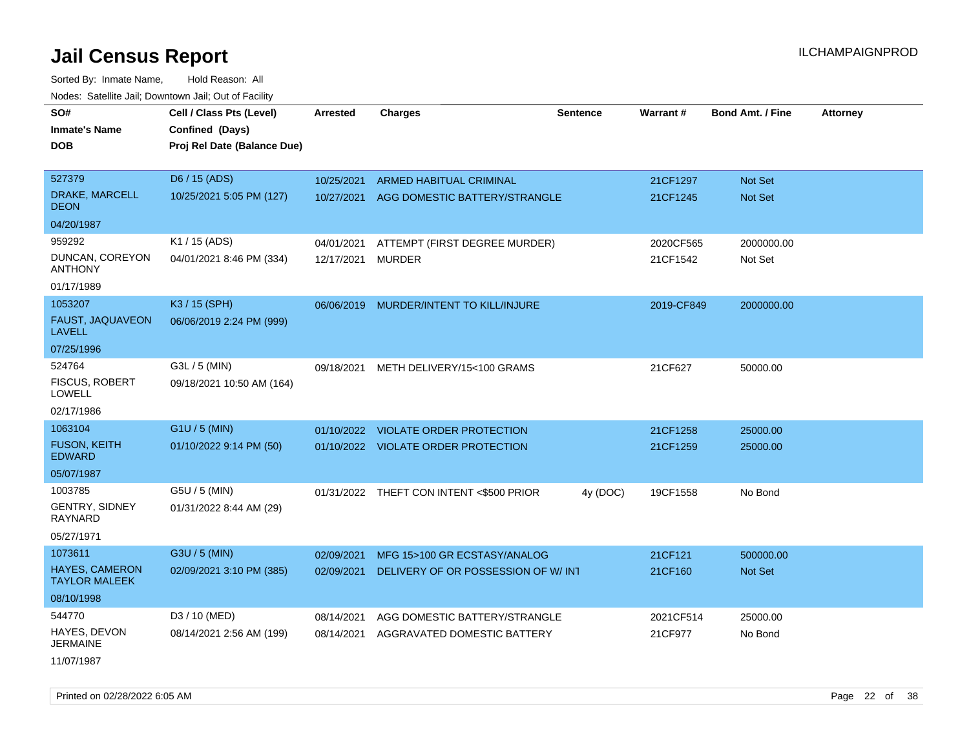| rougs. Calcinic Jan, Downtown Jan, Out of Facility |                                             |                 |                                          |                 |            |                         |                 |
|----------------------------------------------------|---------------------------------------------|-----------------|------------------------------------------|-----------------|------------|-------------------------|-----------------|
| SO#<br><b>Inmate's Name</b>                        | Cell / Class Pts (Level)<br>Confined (Days) | <b>Arrested</b> | <b>Charges</b>                           | <b>Sentence</b> | Warrant#   | <b>Bond Amt. / Fine</b> | <b>Attorney</b> |
| <b>DOB</b>                                         | Proj Rel Date (Balance Due)                 |                 |                                          |                 |            |                         |                 |
| 527379                                             | D6 / 15 (ADS)                               | 10/25/2021      | ARMED HABITUAL CRIMINAL                  |                 | 21CF1297   | Not Set                 |                 |
| DRAKE, MARCELL<br><b>DEON</b>                      | 10/25/2021 5:05 PM (127)                    | 10/27/2021      | AGG DOMESTIC BATTERY/STRANGLE            |                 | 21CF1245   | Not Set                 |                 |
| 04/20/1987                                         |                                             |                 |                                          |                 |            |                         |                 |
| 959292                                             | K1 / 15 (ADS)                               | 04/01/2021      | ATTEMPT (FIRST DEGREE MURDER)            |                 | 2020CF565  | 2000000.00              |                 |
| DUNCAN, COREYON<br><b>ANTHONY</b>                  | 04/01/2021 8:46 PM (334)                    | 12/17/2021      | <b>MURDER</b>                            |                 | 21CF1542   | Not Set                 |                 |
| 01/17/1989                                         |                                             |                 |                                          |                 |            |                         |                 |
| 1053207                                            | K3 / 15 (SPH)                               |                 | 06/06/2019 MURDER/INTENT TO KILL/INJURE  |                 | 2019-CF849 | 2000000.00              |                 |
| FAUST, JAQUAVEON<br><b>LAVELL</b>                  | 06/06/2019 2:24 PM (999)                    |                 |                                          |                 |            |                         |                 |
| 07/25/1996                                         |                                             |                 |                                          |                 |            |                         |                 |
| 524764                                             | G3L / 5 (MIN)                               | 09/18/2021      | METH DELIVERY/15<100 GRAMS               |                 | 21CF627    | 50000.00                |                 |
| <b>FISCUS, ROBERT</b><br><b>LOWELL</b>             | 09/18/2021 10:50 AM (164)                   |                 |                                          |                 |            |                         |                 |
| 02/17/1986                                         |                                             |                 |                                          |                 |            |                         |                 |
| 1063104                                            | G1U / 5 (MIN)                               |                 | 01/10/2022 VIOLATE ORDER PROTECTION      |                 | 21CF1258   | 25000.00                |                 |
| <b>FUSON, KEITH</b><br><b>EDWARD</b>               | 01/10/2022 9:14 PM (50)                     |                 | 01/10/2022 VIOLATE ORDER PROTECTION      |                 | 21CF1259   | 25000.00                |                 |
| 05/07/1987                                         |                                             |                 |                                          |                 |            |                         |                 |
| 1003785                                            | G5U / 5 (MIN)                               |                 | 01/31/2022 THEFT CON INTENT <\$500 PRIOR | 4y (DOC)        | 19CF1558   | No Bond                 |                 |
| GENTRY, SIDNEY<br><b>RAYNARD</b>                   | 01/31/2022 8:44 AM (29)                     |                 |                                          |                 |            |                         |                 |
| 05/27/1971                                         |                                             |                 |                                          |                 |            |                         |                 |
| 1073611                                            | G3U / 5 (MIN)                               | 02/09/2021      | MFG 15>100 GR ECSTASY/ANALOG             |                 | 21CF121    | 500000.00               |                 |
| HAYES, CAMERON<br><b>TAYLOR MALEEK</b>             | 02/09/2021 3:10 PM (385)                    | 02/09/2021      | DELIVERY OF OR POSSESSION OF W/INT       |                 | 21CF160    | <b>Not Set</b>          |                 |
| 08/10/1998                                         |                                             |                 |                                          |                 |            |                         |                 |
| 544770                                             | D3 / 10 (MED)                               | 08/14/2021      | AGG DOMESTIC BATTERY/STRANGLE            |                 | 2021CF514  | 25000.00                |                 |
| HAYES, DEVON<br><b>JERMAINE</b>                    | 08/14/2021 2:56 AM (199)                    | 08/14/2021      | AGGRAVATED DOMESTIC BATTERY              |                 | 21CF977    | No Bond                 |                 |
| 11/07/1987                                         |                                             |                 |                                          |                 |            |                         |                 |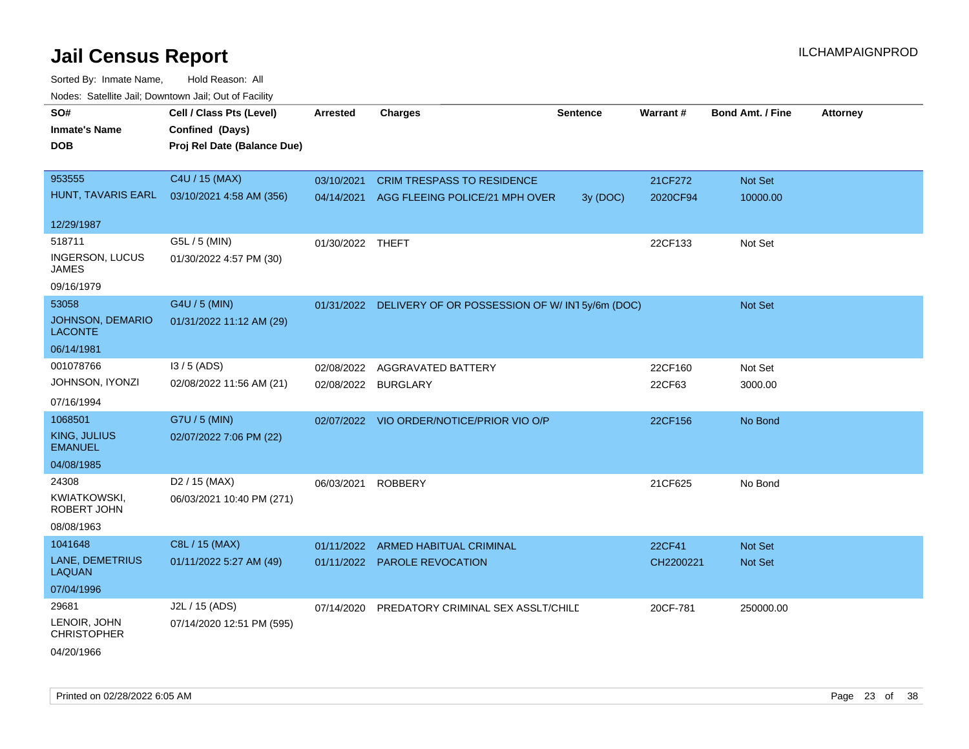| roaco. Catolino cali, Downtown cali, Out of Fability |                             |                  |                                                          |                 |           |                         |                 |
|------------------------------------------------------|-----------------------------|------------------|----------------------------------------------------------|-----------------|-----------|-------------------------|-----------------|
| SO#                                                  | Cell / Class Pts (Level)    | <b>Arrested</b>  | <b>Charges</b>                                           | <b>Sentence</b> | Warrant#  | <b>Bond Amt. / Fine</b> | <b>Attorney</b> |
| <b>Inmate's Name</b>                                 | Confined (Days)             |                  |                                                          |                 |           |                         |                 |
| <b>DOB</b>                                           | Proj Rel Date (Balance Due) |                  |                                                          |                 |           |                         |                 |
|                                                      |                             |                  |                                                          |                 |           |                         |                 |
| 953555                                               | C4U / 15 (MAX)              | 03/10/2021       | <b>CRIM TRESPASS TO RESIDENCE</b>                        |                 | 21CF272   | Not Set                 |                 |
| HUNT, TAVARIS EARL                                   | 03/10/2021 4:58 AM (356)    | 04/14/2021       | AGG FLEEING POLICE/21 MPH OVER                           | 3y (DOC)        | 2020CF94  | 10000.00                |                 |
| 12/29/1987                                           |                             |                  |                                                          |                 |           |                         |                 |
| 518711                                               | G5L / 5 (MIN)               | 01/30/2022 THEFT |                                                          |                 | 22CF133   | Not Set                 |                 |
| <b>INGERSON, LUCUS</b><br>JAMES                      | 01/30/2022 4:57 PM (30)     |                  |                                                          |                 |           |                         |                 |
| 09/16/1979                                           |                             |                  |                                                          |                 |           |                         |                 |
| 53058                                                | G4U / 5 (MIN)               |                  | 01/31/2022 DELIVERY OF OR POSSESSION OF W/IN15y/6m (DOC) |                 |           | Not Set                 |                 |
| <b>JOHNSON, DEMARIO</b><br><b>LACONTE</b>            | 01/31/2022 11:12 AM (29)    |                  |                                                          |                 |           |                         |                 |
| 06/14/1981                                           |                             |                  |                                                          |                 |           |                         |                 |
| 001078766                                            | I3 / 5 (ADS)                | 02/08/2022       | AGGRAVATED BATTERY                                       |                 | 22CF160   | Not Set                 |                 |
| JOHNSON, IYONZI                                      | 02/08/2022 11:56 AM (21)    | 02/08/2022       | <b>BURGLARY</b>                                          |                 | 22CF63    | 3000.00                 |                 |
| 07/16/1994                                           |                             |                  |                                                          |                 |           |                         |                 |
| 1068501                                              | G7U / 5 (MIN)               |                  | 02/07/2022 VIO ORDER/NOTICE/PRIOR VIO O/P                |                 | 22CF156   | No Bond                 |                 |
| KING, JULIUS<br><b>EMANUEL</b>                       | 02/07/2022 7:06 PM (22)     |                  |                                                          |                 |           |                         |                 |
| 04/08/1985                                           |                             |                  |                                                          |                 |           |                         |                 |
| 24308                                                | D <sub>2</sub> / 15 (MAX)   | 06/03/2021       | <b>ROBBERY</b>                                           |                 | 21CF625   | No Bond                 |                 |
| KWIATKOWSKI,<br>ROBERT JOHN                          | 06/03/2021 10:40 PM (271)   |                  |                                                          |                 |           |                         |                 |
| 08/08/1963                                           |                             |                  |                                                          |                 |           |                         |                 |
| 1041648                                              | C8L / 15 (MAX)              | 01/11/2022       | <b>ARMED HABITUAL CRIMINAL</b>                           |                 | 22CF41    | <b>Not Set</b>          |                 |
| LANE, DEMETRIUS<br><b>LAQUAN</b>                     | 01/11/2022 5:27 AM (49)     |                  | 01/11/2022 PAROLE REVOCATION                             |                 | CH2200221 | Not Set                 |                 |
| 07/04/1996                                           |                             |                  |                                                          |                 |           |                         |                 |
| 29681                                                | J2L / 15 (ADS)              | 07/14/2020       | PREDATORY CRIMINAL SEX ASSLT/CHILD                       |                 | 20CF-781  | 250000.00               |                 |
| LENOIR, JOHN<br><b>CHRISTOPHER</b>                   | 07/14/2020 12:51 PM (595)   |                  |                                                          |                 |           |                         |                 |
| 04/20/1966                                           |                             |                  |                                                          |                 |           |                         |                 |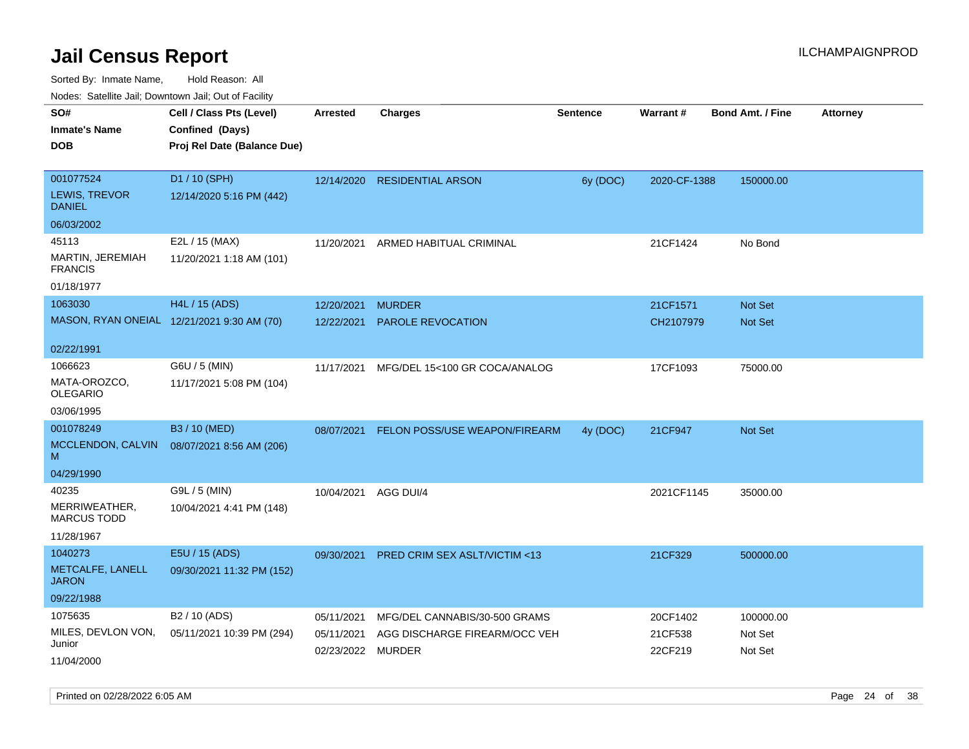Sorted By: Inmate Name, Hold Reason: All

Nodes: Satellite Jail; Downtown Jail; Out of Facility

| ivuutos. Saltiilit Jali, Duwilluwii Jali, Oul of Facility |                                            |                   |                                      |                 |                 |                         |          |
|-----------------------------------------------------------|--------------------------------------------|-------------------|--------------------------------------|-----------------|-----------------|-------------------------|----------|
| SO#                                                       | Cell / Class Pts (Level)                   | <b>Arrested</b>   | <b>Charges</b>                       | <b>Sentence</b> | <b>Warrant#</b> | <b>Bond Amt. / Fine</b> | Attorney |
| <b>Inmate's Name</b>                                      | Confined (Days)                            |                   |                                      |                 |                 |                         |          |
| <b>DOB</b>                                                | Proj Rel Date (Balance Due)                |                   |                                      |                 |                 |                         |          |
|                                                           |                                            |                   |                                      |                 |                 |                         |          |
| 001077524                                                 | D1 / 10 (SPH)                              | 12/14/2020        | <b>RESIDENTIAL ARSON</b>             | 6y (DOC)        | 2020-CF-1388    | 150000.00               |          |
| LEWIS, TREVOR<br><b>DANIEL</b>                            | 12/14/2020 5:16 PM (442)                   |                   |                                      |                 |                 |                         |          |
| 06/03/2002                                                |                                            |                   |                                      |                 |                 |                         |          |
| 45113                                                     | E2L / 15 (MAX)                             | 11/20/2021        | ARMED HABITUAL CRIMINAL              |                 | 21CF1424        | No Bond                 |          |
| MARTIN, JEREMIAH<br><b>FRANCIS</b>                        | 11/20/2021 1:18 AM (101)                   |                   |                                      |                 |                 |                         |          |
| 01/18/1977                                                |                                            |                   |                                      |                 |                 |                         |          |
| 1063030                                                   | H4L / 15 (ADS)                             | 12/20/2021        | <b>MURDER</b>                        |                 | 21CF1571        | Not Set                 |          |
|                                                           | MASON, RYAN ONEIAL 12/21/2021 9:30 AM (70) | 12/22/2021        | PAROLE REVOCATION                    |                 | CH2107979       | <b>Not Set</b>          |          |
|                                                           |                                            |                   |                                      |                 |                 |                         |          |
| 02/22/1991                                                |                                            |                   |                                      |                 |                 |                         |          |
| 1066623                                                   | G6U / 5 (MIN)                              | 11/17/2021        | MFG/DEL 15<100 GR COCA/ANALOG        |                 | 17CF1093        | 75000.00                |          |
| MATA-OROZCO,<br><b>OLEGARIO</b>                           | 11/17/2021 5:08 PM (104)                   |                   |                                      |                 |                 |                         |          |
| 03/06/1995                                                |                                            |                   |                                      |                 |                 |                         |          |
| 001078249                                                 | B3 / 10 (MED)                              | 08/07/2021        | <b>FELON POSS/USE WEAPON/FIREARM</b> | 4y (DOC)        | 21CF947         | <b>Not Set</b>          |          |
| MCCLENDON, CALVIN<br>M                                    | 08/07/2021 8:56 AM (206)                   |                   |                                      |                 |                 |                         |          |
| 04/29/1990                                                |                                            |                   |                                      |                 |                 |                         |          |
| 40235                                                     | G9L / 5 (MIN)                              | 10/04/2021        | AGG DUI/4                            |                 | 2021CF1145      | 35000.00                |          |
| MERRIWEATHER,<br><b>MARCUS TODD</b>                       | 10/04/2021 4:41 PM (148)                   |                   |                                      |                 |                 |                         |          |
| 11/28/1967                                                |                                            |                   |                                      |                 |                 |                         |          |
| 1040273                                                   | E5U / 15 (ADS)                             | 09/30/2021        | PRED CRIM SEX ASLT/VICTIM <13        |                 | 21CF329         | 500000.00               |          |
| METCALFE, LANELL<br><b>JARON</b>                          | 09/30/2021 11:32 PM (152)                  |                   |                                      |                 |                 |                         |          |
| 09/22/1988                                                |                                            |                   |                                      |                 |                 |                         |          |
| 1075635                                                   | B2 / 10 (ADS)                              | 05/11/2021        | MFG/DEL CANNABIS/30-500 GRAMS        |                 | 20CF1402        | 100000.00               |          |
| MILES, DEVLON VON,                                        | 05/11/2021 10:39 PM (294)                  | 05/11/2021        | AGG DISCHARGE FIREARM/OCC VEH        |                 | 21CF538         | Not Set                 |          |
| Junior                                                    |                                            | 02/23/2022 MURDER |                                      |                 | 22CF219         | Not Set                 |          |
| 11/04/2000                                                |                                            |                   |                                      |                 |                 |                         |          |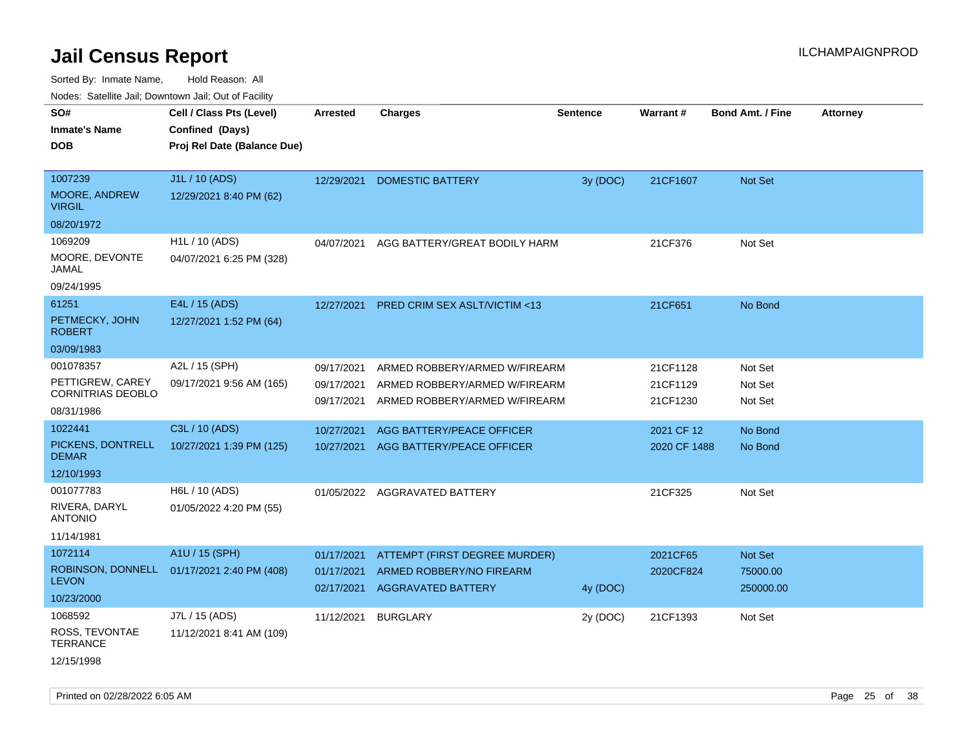Sorted By: Inmate Name, Hold Reason: All

|  |  |  | Nodes: Satellite Jail; Downtown Jail; Out of Facility |  |  |
|--|--|--|-------------------------------------------------------|--|--|
|--|--|--|-------------------------------------------------------|--|--|

| SO#<br><b>Inmate's Name</b><br><b>DOB</b>                               | Cell / Class Pts (Level)<br>Confined (Days)<br>Proj Rel Date (Balance Due) | Arrested                               | <b>Charges</b>                                                                                  | <b>Sentence</b> | Warrant#                         | <b>Bond Amt. / Fine</b>          | <b>Attorney</b> |
|-------------------------------------------------------------------------|----------------------------------------------------------------------------|----------------------------------------|-------------------------------------------------------------------------------------------------|-----------------|----------------------------------|----------------------------------|-----------------|
| 1007239<br>MOORE, ANDREW<br><b>VIRGIL</b><br>08/20/1972                 | J1L / 10 (ADS)<br>12/29/2021 8:40 PM (62)                                  | 12/29/2021                             | <b>DOMESTIC BATTERY</b>                                                                         | 3y (DOC)        | 21CF1607                         | Not Set                          |                 |
| 1069209<br>MOORE, DEVONTE<br><b>JAMAL</b><br>09/24/1995                 | H1L / 10 (ADS)<br>04/07/2021 6:25 PM (328)                                 | 04/07/2021                             | AGG BATTERY/GREAT BODILY HARM                                                                   |                 | 21CF376                          | Not Set                          |                 |
| 61251<br>PETMECKY, JOHN<br><b>ROBERT</b><br>03/09/1983                  | E4L / 15 (ADS)<br>12/27/2021 1:52 PM (64)                                  | 12/27/2021                             | <b>PRED CRIM SEX ASLT/VICTIM &lt;13</b>                                                         |                 | 21CF651                          | No Bond                          |                 |
| 001078357<br>PETTIGREW, CAREY<br><b>CORNITRIAS DEOBLO</b><br>08/31/1986 | A2L / 15 (SPH)<br>09/17/2021 9:56 AM (165)                                 | 09/17/2021<br>09/17/2021<br>09/17/2021 | ARMED ROBBERY/ARMED W/FIREARM<br>ARMED ROBBERY/ARMED W/FIREARM<br>ARMED ROBBERY/ARMED W/FIREARM |                 | 21CF1128<br>21CF1129<br>21CF1230 | Not Set<br>Not Set<br>Not Set    |                 |
| 1022441<br>PICKENS, DONTRELL<br><b>DEMAR</b><br>12/10/1993              | C3L / 10 (ADS)<br>10/27/2021 1:39 PM (125)                                 | 10/27/2021<br>10/27/2021               | AGG BATTERY/PEACE OFFICER<br>AGG BATTERY/PEACE OFFICER                                          |                 | 2021 CF 12<br>2020 CF 1488       | No Bond<br>No Bond               |                 |
| 001077783<br>RIVERA, DARYL<br><b>ANTONIO</b><br>11/14/1981              | H6L / 10 (ADS)<br>01/05/2022 4:20 PM (55)                                  |                                        | 01/05/2022 AGGRAVATED BATTERY                                                                   |                 | 21CF325                          | Not Set                          |                 |
| 1072114<br>ROBINSON, DONNELL<br><b>LEVON</b><br>10/23/2000              | A1U / 15 (SPH)<br>01/17/2021 2:40 PM (408)                                 | 01/17/2021<br>01/17/2021<br>02/17/2021 | ATTEMPT (FIRST DEGREE MURDER)<br>ARMED ROBBERY/NO FIREARM<br><b>AGGRAVATED BATTERY</b>          | 4y (DOC)        | 2021CF65<br>2020CF824            | Not Set<br>75000.00<br>250000.00 |                 |
| 1068592<br>ROSS, TEVONTAE<br><b>TERRANCE</b><br>12/15/1998              | J7L / 15 (ADS)<br>11/12/2021 8:41 AM (109)                                 | 11/12/2021                             | <b>BURGLARY</b>                                                                                 | 2y (DOC)        | 21CF1393                         | Not Set                          |                 |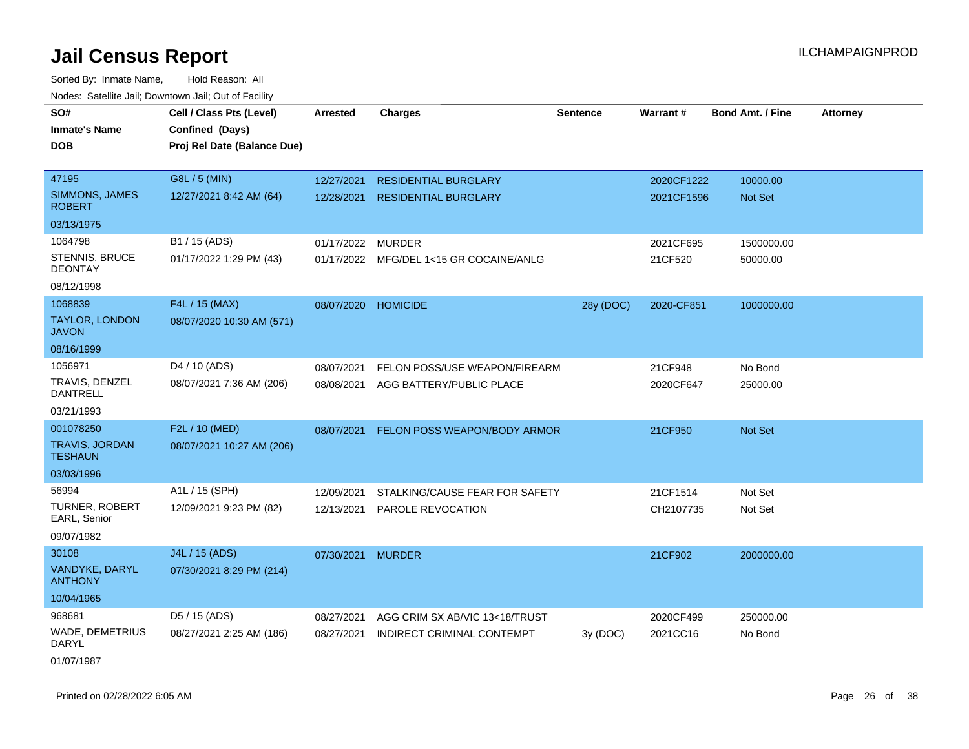| roaco. Catolino dall, Downtown dall, Out of Fability |                             |                     |                                         |                 |            |                         |                 |
|------------------------------------------------------|-----------------------------|---------------------|-----------------------------------------|-----------------|------------|-------------------------|-----------------|
| SO#                                                  | Cell / Class Pts (Level)    | <b>Arrested</b>     | <b>Charges</b>                          | <b>Sentence</b> | Warrant#   | <b>Bond Amt. / Fine</b> | <b>Attorney</b> |
| <b>Inmate's Name</b>                                 | Confined (Days)             |                     |                                         |                 |            |                         |                 |
| <b>DOB</b>                                           | Proj Rel Date (Balance Due) |                     |                                         |                 |            |                         |                 |
|                                                      |                             |                     |                                         |                 |            |                         |                 |
| 47195                                                | G8L / 5 (MIN)               | 12/27/2021          | <b>RESIDENTIAL BURGLARY</b>             |                 | 2020CF1222 | 10000.00                |                 |
| <b>SIMMONS, JAMES</b><br><b>ROBERT</b>               | 12/27/2021 8:42 AM (64)     | 12/28/2021          | <b>RESIDENTIAL BURGLARY</b>             |                 | 2021CF1596 | Not Set                 |                 |
| 03/13/1975                                           |                             |                     |                                         |                 |            |                         |                 |
| 1064798                                              | B1 / 15 (ADS)               | 01/17/2022 MURDER   |                                         |                 | 2021CF695  | 1500000.00              |                 |
| STENNIS, BRUCE<br><b>DEONTAY</b>                     | 01/17/2022 1:29 PM (43)     |                     | 01/17/2022 MFG/DEL 1<15 GR COCAINE/ANLG |                 | 21CF520    | 50000.00                |                 |
| 08/12/1998                                           |                             |                     |                                         |                 |            |                         |                 |
| 1068839                                              | F4L / 15 (MAX)              | 08/07/2020 HOMICIDE |                                         | 28y (DOC)       | 2020-CF851 | 1000000.00              |                 |
| <b>TAYLOR, LONDON</b><br><b>JAVON</b>                | 08/07/2020 10:30 AM (571)   |                     |                                         |                 |            |                         |                 |
| 08/16/1999                                           |                             |                     |                                         |                 |            |                         |                 |
| 1056971                                              | D <sub>4</sub> / 10 (ADS)   | 08/07/2021          | FELON POSS/USE WEAPON/FIREARM           |                 | 21CF948    | No Bond                 |                 |
| TRAVIS, DENZEL<br><b>DANTRELL</b>                    | 08/07/2021 7:36 AM (206)    |                     | 08/08/2021 AGG BATTERY/PUBLIC PLACE     |                 | 2020CF647  | 25000.00                |                 |
| 03/21/1993                                           |                             |                     |                                         |                 |            |                         |                 |
| 001078250                                            | F2L / 10 (MED)              | 08/07/2021          | FELON POSS WEAPON/BODY ARMOR            |                 | 21CF950    | Not Set                 |                 |
| <b>TRAVIS, JORDAN</b><br><b>TESHAUN</b>              | 08/07/2021 10:27 AM (206)   |                     |                                         |                 |            |                         |                 |
| 03/03/1996                                           |                             |                     |                                         |                 |            |                         |                 |
| 56994                                                | A1L / 15 (SPH)              | 12/09/2021          | STALKING/CAUSE FEAR FOR SAFETY          |                 | 21CF1514   | Not Set                 |                 |
| <b>TURNER, ROBERT</b><br>EARL, Senior                | 12/09/2021 9:23 PM (82)     | 12/13/2021          | PAROLE REVOCATION                       |                 | CH2107735  | Not Set                 |                 |
| 09/07/1982                                           |                             |                     |                                         |                 |            |                         |                 |
| 30108                                                | J4L / 15 (ADS)              | 07/30/2021 MURDER   |                                         |                 | 21CF902    | 2000000.00              |                 |
| VANDYKE, DARYL<br><b>ANTHONY</b>                     | 07/30/2021 8:29 PM (214)    |                     |                                         |                 |            |                         |                 |
| 10/04/1965                                           |                             |                     |                                         |                 |            |                         |                 |
| 968681                                               | D5 / 15 (ADS)               | 08/27/2021          | AGG CRIM SX AB/VIC 13<18/TRUST          |                 | 2020CF499  | 250000.00               |                 |
| <b>WADE, DEMETRIUS</b><br>DARYL                      | 08/27/2021 2:25 AM (186)    | 08/27/2021          | INDIRECT CRIMINAL CONTEMPT              | 3y (DOC)        | 2021CC16   | No Bond                 |                 |
| 01/07/1987                                           |                             |                     |                                         |                 |            |                         |                 |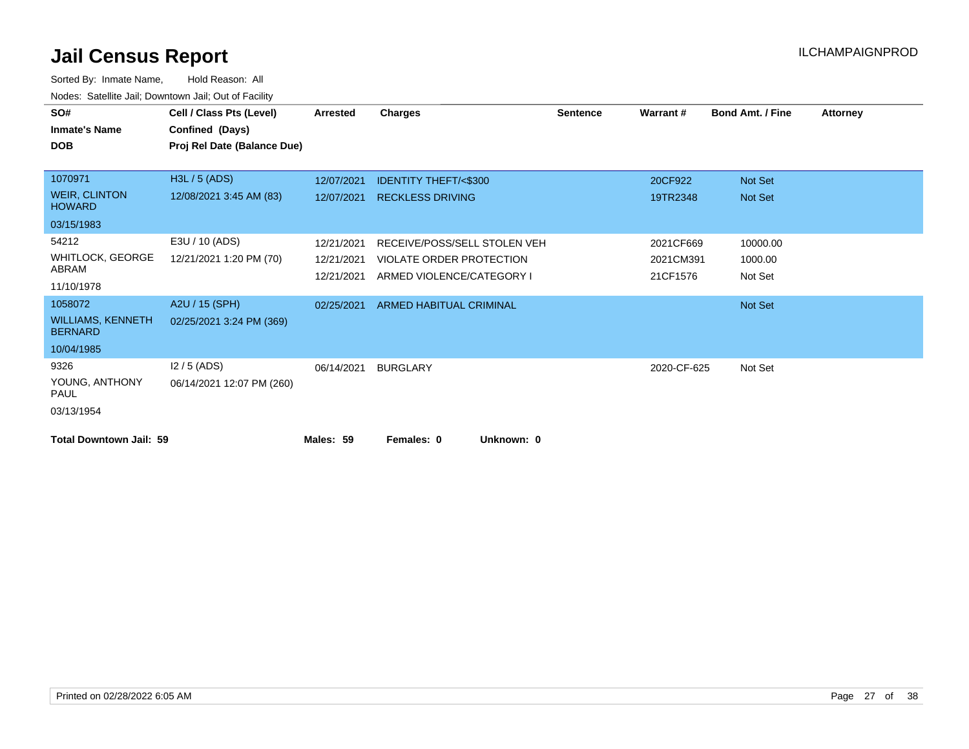| SO#                                        | Cell / Class Pts (Level)    | <b>Arrested</b> | <b>Charges</b>                  | <b>Sentence</b> | Warrant#    | <b>Bond Amt. / Fine</b> | <b>Attorney</b> |
|--------------------------------------------|-----------------------------|-----------------|---------------------------------|-----------------|-------------|-------------------------|-----------------|
| <b>Inmate's Name</b>                       | Confined (Days)             |                 |                                 |                 |             |                         |                 |
| <b>DOB</b>                                 | Proj Rel Date (Balance Due) |                 |                                 |                 |             |                         |                 |
|                                            |                             |                 |                                 |                 |             |                         |                 |
| 1070971                                    | H3L / 5 (ADS)               | 12/07/2021      | <b>IDENTITY THEFT/&lt;\$300</b> |                 | 20CF922     | Not Set                 |                 |
| <b>WEIR, CLINTON</b><br><b>HOWARD</b>      | 12/08/2021 3:45 AM (83)     | 12/07/2021      | <b>RECKLESS DRIVING</b>         |                 | 19TR2348    | Not Set                 |                 |
| 03/15/1983                                 |                             |                 |                                 |                 |             |                         |                 |
| 54212                                      | E3U / 10 (ADS)              | 12/21/2021      | RECEIVE/POSS/SELL STOLEN VEH    |                 | 2021CF669   | 10000.00                |                 |
| <b>WHITLOCK, GEORGE</b>                    | 12/21/2021 1:20 PM (70)     | 12/21/2021      | VIOLATE ORDER PROTECTION        |                 | 2021CM391   | 1000.00                 |                 |
| ABRAM                                      |                             | 12/21/2021      | ARMED VIOLENCE/CATEGORY I       |                 | 21CF1576    | Not Set                 |                 |
| 11/10/1978                                 |                             |                 |                                 |                 |             |                         |                 |
| 1058072                                    | A2U / 15 (SPH)              | 02/25/2021      | ARMED HABITUAL CRIMINAL         |                 |             | Not Set                 |                 |
| <b>WILLIAMS, KENNETH</b><br><b>BERNARD</b> | 02/25/2021 3:24 PM (369)    |                 |                                 |                 |             |                         |                 |
| 10/04/1985                                 |                             |                 |                                 |                 |             |                         |                 |
| 9326                                       | $12/5$ (ADS)                | 06/14/2021      | <b>BURGLARY</b>                 |                 | 2020-CF-625 | Not Set                 |                 |
| YOUNG, ANTHONY<br><b>PAUL</b>              | 06/14/2021 12:07 PM (260)   |                 |                                 |                 |             |                         |                 |
| 03/13/1954                                 |                             |                 |                                 |                 |             |                         |                 |
| <b>Total Downtown Jail: 59</b>             |                             | Males: 59       | Unknown: 0<br>Females: 0        |                 |             |                         |                 |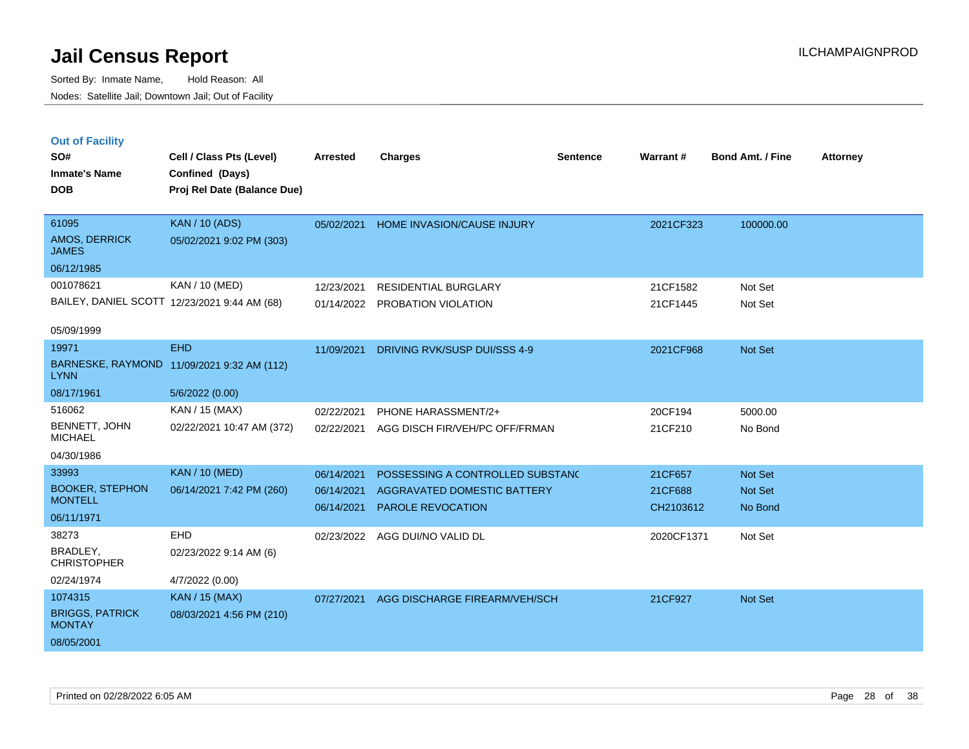**Out of Facility**

Sorted By: Inmate Name, Hold Reason: All Nodes: Satellite Jail; Downtown Jail; Out of Facility

| SO#<br><b>Inmate's Name</b><br><b>DOB</b>                                | Cell / Class Pts (Level)<br>Confined (Days)<br>Proj Rel Date (Balance Due)  | <b>Arrested</b>                        | <b>Charges</b>                                                                              | <b>Sentence</b> | Warrant#                        | <b>Bond Amt. / Fine</b>              | Attorney |
|--------------------------------------------------------------------------|-----------------------------------------------------------------------------|----------------------------------------|---------------------------------------------------------------------------------------------|-----------------|---------------------------------|--------------------------------------|----------|
| 61095<br>AMOS, DERRICK<br><b>JAMES</b><br>06/12/1985                     | <b>KAN / 10 (ADS)</b><br>05/02/2021 9:02 PM (303)                           | 05/02/2021                             | <b>HOME INVASION/CAUSE INJURY</b>                                                           |                 | 2021CF323                       | 100000.00                            |          |
| 001078621<br>05/09/1999                                                  | KAN / 10 (MED)<br>BAILEY, DANIEL SCOTT 12/23/2021 9:44 AM (68)              | 12/23/2021<br>01/14/2022               | <b>RESIDENTIAL BURGLARY</b><br>PROBATION VIOLATION                                          |                 | 21CF1582<br>21CF1445            | Not Set<br>Not Set                   |          |
| 19971<br><b>LYNN</b><br>08/17/1961                                       | <b>EHD</b><br>BARNESKE, RAYMOND 11/09/2021 9:32 AM (112)<br>5/6/2022 (0.00) | 11/09/2021                             | DRIVING RVK/SUSP DUI/SSS 4-9                                                                |                 | 2021CF968                       | <b>Not Set</b>                       |          |
| 516062<br>BENNETT, JOHN<br><b>MICHAEL</b><br>04/30/1986                  | KAN / 15 (MAX)<br>02/22/2021 10:47 AM (372)                                 | 02/22/2021<br>02/22/2021               | PHONE HARASSMENT/2+<br>AGG DISCH FIR/VEH/PC OFF/FRMAN                                       |                 | 20CF194<br>21CF210              | 5000.00<br>No Bond                   |          |
| 33993<br><b>BOOKER, STEPHON</b><br><b>MONTELL</b><br>06/11/1971<br>38273 | <b>KAN / 10 (MED)</b><br>06/14/2021 7:42 PM (260)<br><b>EHD</b>             | 06/14/2021<br>06/14/2021<br>06/14/2021 | POSSESSING A CONTROLLED SUBSTANC<br>AGGRAVATED DOMESTIC BATTERY<br><b>PAROLE REVOCATION</b> |                 | 21CF657<br>21CF688<br>CH2103612 | <b>Not Set</b><br>Not Set<br>No Bond |          |
|                                                                          |                                                                             | 02/23/2022                             | AGG DUI/NO VALID DL                                                                         |                 | 2020CF1371                      | Not Set                              |          |

BRADLEY, **CHRISTOPHER** 3827 02/23/2022 9:14 AM (6) 02/24/1974 4/7/2022 (0.00) BRIGGS, PATRICK **MONTAY** 1074315 KAN / 15 (MAX) 08/03/2021 4:56 PM (210) 08/05/2001 07/27/2021 AGG DISCHARGE FIREARM/VEH/SCH 21CF927 Not Set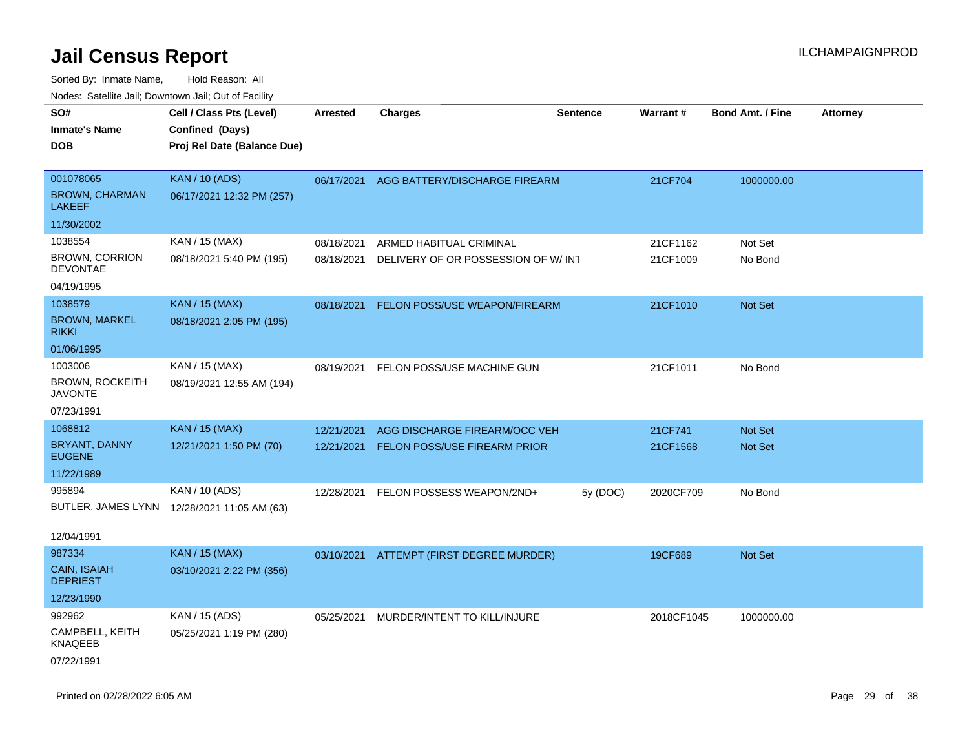| ivouss. Satellite Jali, Downtown Jali, Out of Facility |                                             |                 |                                          |                 |                 |                         |                 |
|--------------------------------------------------------|---------------------------------------------|-----------------|------------------------------------------|-----------------|-----------------|-------------------------|-----------------|
| SO#                                                    | Cell / Class Pts (Level)                    | <b>Arrested</b> | <b>Charges</b>                           | <b>Sentence</b> | <b>Warrant#</b> | <b>Bond Amt. / Fine</b> | <b>Attorney</b> |
| <b>Inmate's Name</b>                                   | Confined (Days)                             |                 |                                          |                 |                 |                         |                 |
| <b>DOB</b>                                             | Proj Rel Date (Balance Due)                 |                 |                                          |                 |                 |                         |                 |
|                                                        |                                             |                 |                                          |                 |                 |                         |                 |
| 001078065                                              | <b>KAN / 10 (ADS)</b>                       |                 | 06/17/2021 AGG BATTERY/DISCHARGE FIREARM |                 | 21CF704         | 1000000.00              |                 |
| <b>BROWN, CHARMAN</b><br>LAKEEF                        | 06/17/2021 12:32 PM (257)                   |                 |                                          |                 |                 |                         |                 |
| 11/30/2002                                             |                                             |                 |                                          |                 |                 |                         |                 |
| 1038554                                                | KAN / 15 (MAX)                              | 08/18/2021      | ARMED HABITUAL CRIMINAL                  |                 | 21CF1162        | Not Set                 |                 |
| <b>BROWN, CORRION</b><br><b>DEVONTAE</b>               | 08/18/2021 5:40 PM (195)                    | 08/18/2021      | DELIVERY OF OR POSSESSION OF W/INT       |                 | 21CF1009        | No Bond                 |                 |
| 04/19/1995                                             |                                             |                 |                                          |                 |                 |                         |                 |
| 1038579                                                | <b>KAN / 15 (MAX)</b>                       | 08/18/2021      | FELON POSS/USE WEAPON/FIREARM            |                 | 21CF1010        | Not Set                 |                 |
| <b>BROWN, MARKEL</b><br>rikki                          | 08/18/2021 2:05 PM (195)                    |                 |                                          |                 |                 |                         |                 |
| 01/06/1995                                             |                                             |                 |                                          |                 |                 |                         |                 |
| 1003006                                                | KAN / 15 (MAX)                              | 08/19/2021      | FELON POSS/USE MACHINE GUN               |                 | 21CF1011        | No Bond                 |                 |
| <b>BROWN, ROCKEITH</b><br>JAVONTE                      | 08/19/2021 12:55 AM (194)                   |                 |                                          |                 |                 |                         |                 |
| 07/23/1991                                             |                                             |                 |                                          |                 |                 |                         |                 |
| 1068812                                                | <b>KAN</b> / 15 (MAX)                       | 12/21/2021      | AGG DISCHARGE FIREARM/OCC VEH            |                 | 21CF741         | <b>Not Set</b>          |                 |
| BRYANT, DANNY<br><b>EUGENE</b>                         | 12/21/2021 1:50 PM (70)                     | 12/21/2021      | FELON POSS/USE FIREARM PRIOR             |                 | 21CF1568        | Not Set                 |                 |
| 11/22/1989                                             |                                             |                 |                                          |                 |                 |                         |                 |
| 995894                                                 | KAN / 10 (ADS)                              | 12/28/2021      | FELON POSSESS WEAPON/2ND+                | 5y (DOC)        | 2020CF709       | No Bond                 |                 |
|                                                        | BUTLER, JAMES LYNN 12/28/2021 11:05 AM (63) |                 |                                          |                 |                 |                         |                 |
|                                                        |                                             |                 |                                          |                 |                 |                         |                 |
| 12/04/1991                                             |                                             |                 |                                          |                 |                 |                         |                 |
| 987334                                                 | <b>KAN / 15 (MAX)</b>                       | 03/10/2021      | ATTEMPT (FIRST DEGREE MURDER)            |                 | 19CF689         | Not Set                 |                 |
| <b>CAIN, ISAIAH</b><br><b>DEPRIEST</b>                 | 03/10/2021 2:22 PM (356)                    |                 |                                          |                 |                 |                         |                 |
| 12/23/1990                                             |                                             |                 |                                          |                 |                 |                         |                 |
| 992962                                                 | KAN / 15 (ADS)                              | 05/25/2021      | MURDER/INTENT TO KILL/INJURE             |                 | 2018CF1045      | 1000000.00              |                 |
| CAMPBELL, KEITH<br>KNAQEEB                             | 05/25/2021 1:19 PM (280)                    |                 |                                          |                 |                 |                         |                 |
| 07/22/1991                                             |                                             |                 |                                          |                 |                 |                         |                 |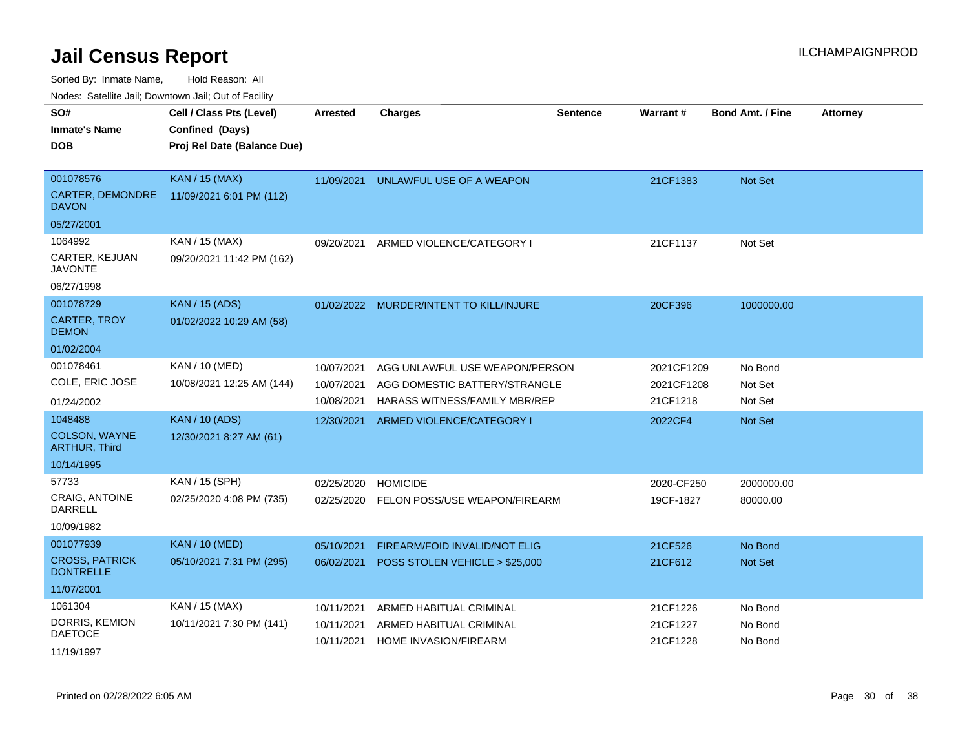Sorted By: Inmate Name, Hold Reason: All

Nodes: Satellite Jail; Downtown Jail; Out of Facility

| SO#                                       | Cell / Class Pts (Level)    | <b>Arrested</b> | <b>Charges</b>                          | Sentence | Warrant#   | <b>Bond Amt. / Fine</b> | <b>Attorney</b> |
|-------------------------------------------|-----------------------------|-----------------|-----------------------------------------|----------|------------|-------------------------|-----------------|
| <b>Inmate's Name</b>                      | Confined (Days)             |                 |                                         |          |            |                         |                 |
| <b>DOB</b>                                | Proj Rel Date (Balance Due) |                 |                                         |          |            |                         |                 |
|                                           |                             |                 |                                         |          |            |                         |                 |
| 001078576                                 | <b>KAN / 15 (MAX)</b>       | 11/09/2021      | UNLAWFUL USE OF A WEAPON                |          | 21CF1383   | <b>Not Set</b>          |                 |
| CARTER, DEMONDRE<br><b>DAVON</b>          | 11/09/2021 6:01 PM (112)    |                 |                                         |          |            |                         |                 |
| 05/27/2001                                |                             |                 |                                         |          |            |                         |                 |
| 1064992                                   | KAN / 15 (MAX)              | 09/20/2021      | ARMED VIOLENCE/CATEGORY I               |          | 21CF1137   | Not Set                 |                 |
| CARTER, KEJUAN<br><b>JAVONTE</b>          | 09/20/2021 11:42 PM (162)   |                 |                                         |          |            |                         |                 |
| 06/27/1998                                |                             |                 |                                         |          |            |                         |                 |
| 001078729                                 | <b>KAN / 15 (ADS)</b>       |                 | 01/02/2022 MURDER/INTENT TO KILL/INJURE |          | 20CF396    | 1000000.00              |                 |
| <b>CARTER, TROY</b><br><b>DEMON</b>       | 01/02/2022 10:29 AM (58)    |                 |                                         |          |            |                         |                 |
| 01/02/2004                                |                             |                 |                                         |          |            |                         |                 |
| 001078461                                 | KAN / 10 (MED)              | 10/07/2021      | AGG UNLAWFUL USE WEAPON/PERSON          |          | 2021CF1209 | No Bond                 |                 |
| COLE, ERIC JOSE                           | 10/08/2021 12:25 AM (144)   | 10/07/2021      | AGG DOMESTIC BATTERY/STRANGLE           |          | 2021CF1208 | Not Set                 |                 |
| 01/24/2002                                |                             | 10/08/2021      | HARASS WITNESS/FAMILY MBR/REP           |          | 21CF1218   | Not Set                 |                 |
| 1048488                                   | <b>KAN / 10 (ADS)</b>       | 12/30/2021      | ARMED VIOLENCE/CATEGORY I               |          | 2022CF4    | <b>Not Set</b>          |                 |
| <b>COLSON, WAYNE</b><br>ARTHUR, Third     | 12/30/2021 8:27 AM (61)     |                 |                                         |          |            |                         |                 |
| 10/14/1995                                |                             |                 |                                         |          |            |                         |                 |
| 57733                                     | KAN / 15 (SPH)              | 02/25/2020      | <b>HOMICIDE</b>                         |          | 2020-CF250 | 2000000.00              |                 |
| CRAIG, ANTOINE<br><b>DARRELL</b>          | 02/25/2020 4:08 PM (735)    | 02/25/2020      | FELON POSS/USE WEAPON/FIREARM           |          | 19CF-1827  | 80000.00                |                 |
| 10/09/1982                                |                             |                 |                                         |          |            |                         |                 |
| 001077939                                 | <b>KAN / 10 (MED)</b>       | 05/10/2021      | FIREARM/FOID INVALID/NOT ELIG           |          | 21CF526    | No Bond                 |                 |
| <b>CROSS, PATRICK</b><br><b>DONTRELLE</b> | 05/10/2021 7:31 PM (295)    | 06/02/2021      | POSS STOLEN VEHICLE > \$25,000          |          | 21CF612    | Not Set                 |                 |
| 11/07/2001                                |                             |                 |                                         |          |            |                         |                 |
| 1061304                                   | KAN / 15 (MAX)              | 10/11/2021      | ARMED HABITUAL CRIMINAL                 |          | 21CF1226   | No Bond                 |                 |
| DORRIS, KEMION                            | 10/11/2021 7:30 PM (141)    | 10/11/2021      | ARMED HABITUAL CRIMINAL                 |          | 21CF1227   | No Bond                 |                 |
| <b>DAETOCE</b>                            |                             | 10/11/2021      | HOME INVASION/FIREARM                   |          | 21CF1228   | No Bond                 |                 |
| 11/19/1997                                |                             |                 |                                         |          |            |                         |                 |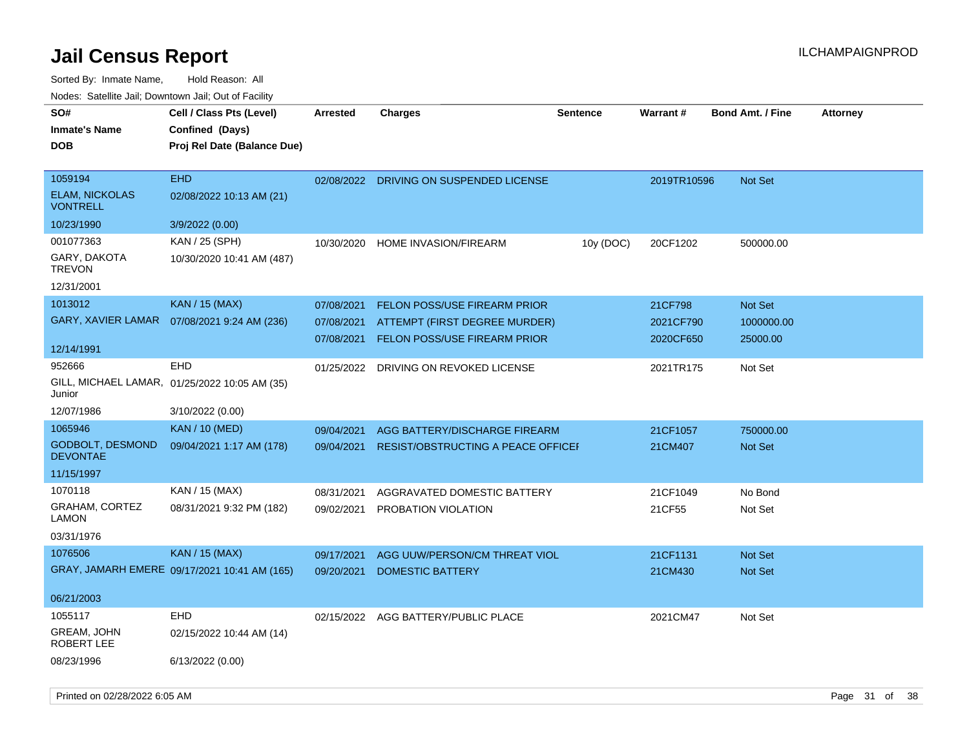| soupois catomic can, Dominomii can, Cat or I domt<br>SO#<br><b>Inmate's Name</b><br><b>DOB</b> | Cell / Class Pts (Level)<br>Confined (Days)<br>Proj Rel Date (Balance Due) | <b>Arrested</b>                        | <b>Charges</b>                                                                                       | <b>Sentence</b> | Warrant#                          | <b>Bond Amt. / Fine</b>                  | <b>Attorney</b> |
|------------------------------------------------------------------------------------------------|----------------------------------------------------------------------------|----------------------------------------|------------------------------------------------------------------------------------------------------|-----------------|-----------------------------------|------------------------------------------|-----------------|
| 1059194<br><b>ELAM, NICKOLAS</b><br><b>VONTRELL</b><br>10/23/1990                              | <b>EHD</b><br>02/08/2022 10:13 AM (21)<br>3/9/2022 (0.00)                  | 02/08/2022                             | DRIVING ON SUSPENDED LICENSE                                                                         |                 | 2019TR10596                       | <b>Not Set</b>                           |                 |
| 001077363<br>GARY, DAKOTA<br><b>TREVON</b><br>12/31/2001                                       | KAN / 25 (SPH)<br>10/30/2020 10:41 AM (487)                                | 10/30/2020                             | <b>HOME INVASION/FIREARM</b>                                                                         | 10y (DOC)       | 20CF1202                          | 500000.00                                |                 |
| 1013012<br>GARY, XAVIER LAMAR<br>12/14/1991                                                    | <b>KAN / 15 (MAX)</b><br>07/08/2021 9:24 AM (236)                          | 07/08/2021<br>07/08/2021<br>07/08/2021 | <b>FELON POSS/USE FIREARM PRIOR</b><br>ATTEMPT (FIRST DEGREE MURDER)<br>FELON POSS/USE FIREARM PRIOR |                 | 21CF798<br>2021CF790<br>2020CF650 | <b>Not Set</b><br>1000000.00<br>25000.00 |                 |
| 952666<br>Junior                                                                               | <b>EHD</b><br>GILL, MICHAEL LAMAR, 01/25/2022 10:05 AM (35)                | 01/25/2022                             | DRIVING ON REVOKED LICENSE                                                                           |                 | 2021TR175                         | Not Set                                  |                 |
| 12/07/1986<br>1065946<br>GODBOLT, DESMOND<br><b>DEVONTAE</b><br>11/15/1997                     | 3/10/2022 (0.00)<br><b>KAN / 10 (MED)</b><br>09/04/2021 1:17 AM (178)      | 09/04/2021<br>09/04/2021               | AGG BATTERY/DISCHARGE FIREARM<br><b>RESIST/OBSTRUCTING A PEACE OFFICEF</b>                           |                 | 21CF1057<br>21CM407               | 750000.00<br>Not Set                     |                 |
| 1070118<br><b>GRAHAM, CORTEZ</b><br><b>LAMON</b><br>03/31/1976                                 | KAN / 15 (MAX)<br>08/31/2021 9:32 PM (182)                                 | 08/31/2021<br>09/02/2021               | AGGRAVATED DOMESTIC BATTERY<br>PROBATION VIOLATION                                                   |                 | 21CF1049<br>21CF55                | No Bond<br>Not Set                       |                 |
| 1076506<br>06/21/2003                                                                          | <b>KAN</b> / 15 (MAX)<br>GRAY, JAMARH EMERE 09/17/2021 10:41 AM (165)      | 09/17/2021<br>09/20/2021               | AGG UUW/PERSON/CM THREAT VIOL<br><b>DOMESTIC BATTERY</b>                                             |                 | 21CF1131<br>21CM430               | <b>Not Set</b><br>Not Set                |                 |
| 1055117<br>GREAM, JOHN<br>ROBERT LEE<br>08/23/1996                                             | <b>EHD</b><br>02/15/2022 10:44 AM (14)<br>6/13/2022 (0.00)                 |                                        | 02/15/2022 AGG BATTERY/PUBLIC PLACE                                                                  |                 | 2021CM47                          | Not Set                                  |                 |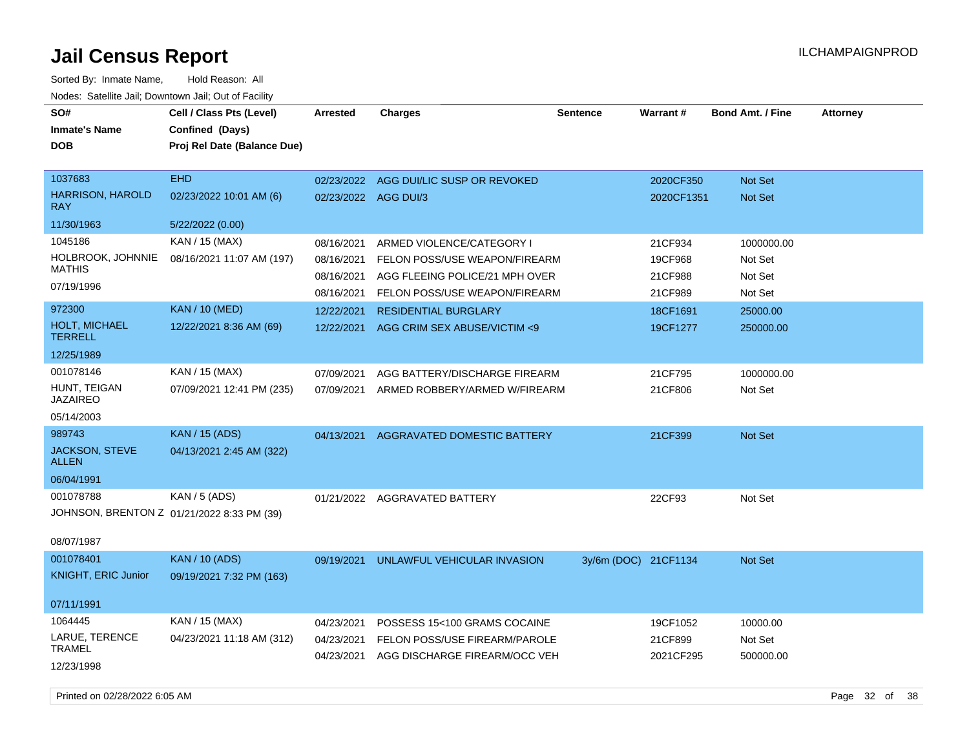| SO#<br><b>Inmate's Name</b><br><b>DOB</b>               | Cell / Class Pts (Level)<br>Confined (Days)<br>Proj Rel Date (Balance Due) | Arrested                               | <b>Charges</b>                                                                               | Sentence             | Warrant#                      | <b>Bond Amt. / Fine</b>          | <b>Attorney</b> |
|---------------------------------------------------------|----------------------------------------------------------------------------|----------------------------------------|----------------------------------------------------------------------------------------------|----------------------|-------------------------------|----------------------------------|-----------------|
| 1037683<br><b>HARRISON, HAROLD</b>                      | EHD<br>02/23/2022 10:01 AM (6)                                             | 02/23/2022<br>02/23/2022 AGG DUI/3     | AGG DUI/LIC SUSP OR REVOKED                                                                  |                      | 2020CF350<br>2020CF1351       | Not Set<br><b>Not Set</b>        |                 |
| <b>RAY</b><br>11/30/1963                                | 5/22/2022 (0.00)                                                           |                                        |                                                                                              |                      |                               |                                  |                 |
| 1045186                                                 | KAN / 15 (MAX)                                                             |                                        |                                                                                              |                      |                               |                                  |                 |
| HOLBROOK, JOHNNIE<br><b>MATHIS</b>                      | 08/16/2021 11:07 AM (197)                                                  | 08/16/2021<br>08/16/2021<br>08/16/2021 | ARMED VIOLENCE/CATEGORY I<br>FELON POSS/USE WEAPON/FIREARM<br>AGG FLEEING POLICE/21 MPH OVER |                      | 21CF934<br>19CF968<br>21CF988 | 1000000.00<br>Not Set<br>Not Set |                 |
| 07/19/1996                                              |                                                                            | 08/16/2021                             | FELON POSS/USE WEAPON/FIREARM                                                                |                      | 21CF989                       | Not Set                          |                 |
| 972300                                                  | <b>KAN / 10 (MED)</b>                                                      | 12/22/2021                             | <b>RESIDENTIAL BURGLARY</b>                                                                  |                      | 18CF1691                      | 25000.00                         |                 |
| HOLT, MICHAEL<br><b>TERRELL</b>                         | 12/22/2021 8:36 AM (69)                                                    | 12/22/2021                             | AGG CRIM SEX ABUSE/VICTIM <9                                                                 |                      | 19CF1277                      | 250000.00                        |                 |
| 12/25/1989                                              |                                                                            |                                        |                                                                                              |                      |                               |                                  |                 |
| 001078146                                               | KAN / 15 (MAX)                                                             | 07/09/2021                             | AGG BATTERY/DISCHARGE FIREARM                                                                |                      | 21CF795                       | 1000000.00                       |                 |
| HUNT, TEIGAN<br><b>JAZAIREO</b>                         | 07/09/2021 12:41 PM (235)                                                  | 07/09/2021                             | ARMED ROBBERY/ARMED W/FIREARM                                                                |                      | 21CF806                       | Not Set                          |                 |
| 05/14/2003                                              |                                                                            |                                        |                                                                                              |                      |                               |                                  |                 |
| 989743                                                  | <b>KAN / 15 (ADS)</b>                                                      | 04/13/2021                             | AGGRAVATED DOMESTIC BATTERY                                                                  |                      | 21CF399                       | Not Set                          |                 |
| JACKSON, STEVE<br>ALLEN                                 | 04/13/2021 2:45 AM (322)                                                   |                                        |                                                                                              |                      |                               |                                  |                 |
| 06/04/1991                                              |                                                                            |                                        |                                                                                              |                      |                               |                                  |                 |
| 001078788<br>JOHNSON, BRENTON Z 01/21/2022 8:33 PM (39) | KAN / 5 (ADS)                                                              |                                        | 01/21/2022 AGGRAVATED BATTERY                                                                |                      | 22CF93                        | Not Set                          |                 |
| 08/07/1987                                              |                                                                            |                                        |                                                                                              |                      |                               |                                  |                 |
| 001078401<br><b>KNIGHT, ERIC Junior</b>                 | <b>KAN / 10 (ADS)</b><br>09/19/2021 7:32 PM (163)                          | 09/19/2021                             | UNLAWFUL VEHICULAR INVASION                                                                  | 3y/6m (DOC) 21CF1134 |                               | Not Set                          |                 |
| 07/11/1991                                              |                                                                            |                                        |                                                                                              |                      |                               |                                  |                 |
| 1064445                                                 | KAN / 15 (MAX)                                                             | 04/23/2021                             | POSSESS 15<100 GRAMS COCAINE                                                                 |                      | 19CF1052                      | 10000.00                         |                 |
| LARUE, TERENCE<br><b>TRAMEL</b>                         | 04/23/2021 11:18 AM (312)                                                  | 04/23/2021<br>04/23/2021               | FELON POSS/USE FIREARM/PAROLE<br>AGG DISCHARGE FIREARM/OCC VEH                               |                      | 21CF899<br>2021CF295          | Not Set<br>500000.00             |                 |
| 12/23/1998                                              |                                                                            |                                        |                                                                                              |                      |                               |                                  |                 |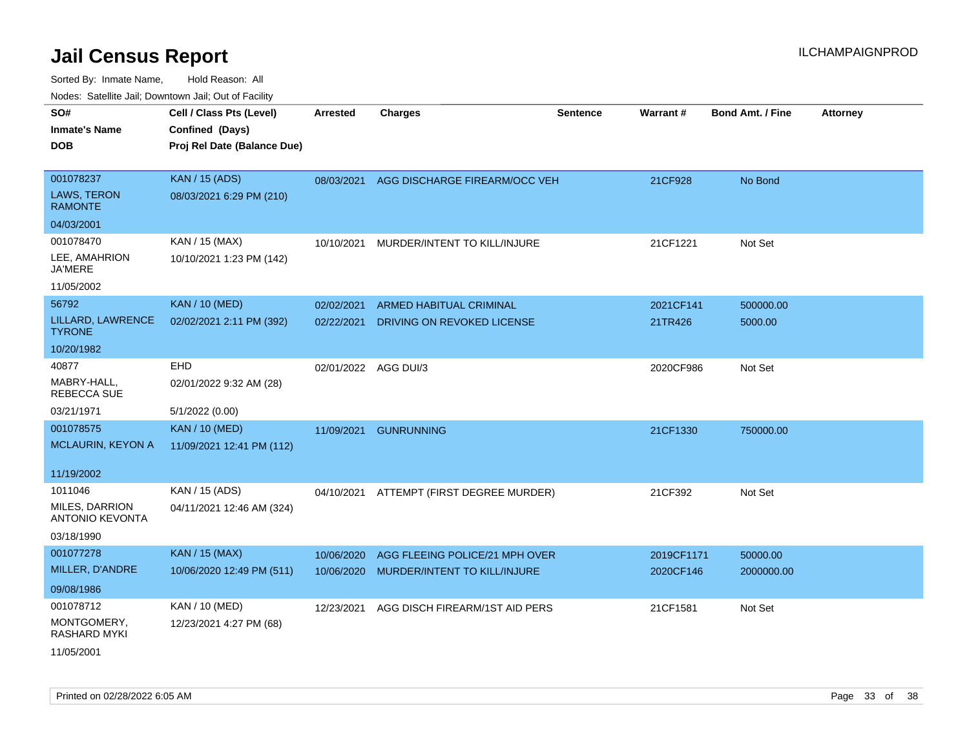| roaco. Catolino cali, Domntonn cali, Out of Facility |                                             |                      |                                          |          |            |                         |                 |
|------------------------------------------------------|---------------------------------------------|----------------------|------------------------------------------|----------|------------|-------------------------|-----------------|
| SO#<br><b>Inmate's Name</b>                          | Cell / Class Pts (Level)<br>Confined (Days) | <b>Arrested</b>      | <b>Charges</b>                           | Sentence | Warrant#   | <b>Bond Amt. / Fine</b> | <b>Attorney</b> |
| <b>DOB</b>                                           | Proj Rel Date (Balance Due)                 |                      |                                          |          |            |                         |                 |
| 001078237                                            | <b>KAN / 15 (ADS)</b>                       | 08/03/2021           | AGG DISCHARGE FIREARM/OCC VEH            |          | 21CF928    | No Bond                 |                 |
| LAWS, TERON<br><b>RAMONTE</b>                        | 08/03/2021 6:29 PM (210)                    |                      |                                          |          |            |                         |                 |
| 04/03/2001                                           |                                             |                      |                                          |          |            |                         |                 |
| 001078470                                            | KAN / 15 (MAX)                              | 10/10/2021           | MURDER/INTENT TO KILL/INJURE             |          | 21CF1221   | Not Set                 |                 |
| LEE, AMAHRION<br><b>JA'MERE</b>                      | 10/10/2021 1:23 PM (142)                    |                      |                                          |          |            |                         |                 |
| 11/05/2002                                           |                                             |                      |                                          |          |            |                         |                 |
| 56792                                                | <b>KAN / 10 (MED)</b>                       | 02/02/2021           | <b>ARMED HABITUAL CRIMINAL</b>           |          | 2021CF141  | 500000.00               |                 |
| LILLARD, LAWRENCE<br><b>TYRONE</b>                   | 02/02/2021 2:11 PM (392)                    | 02/22/2021           | DRIVING ON REVOKED LICENSE               |          | 21TR426    | 5000.00                 |                 |
| 10/20/1982                                           |                                             |                      |                                          |          |            |                         |                 |
| 40877                                                | <b>EHD</b>                                  | 02/01/2022 AGG DUI/3 |                                          |          | 2020CF986  | Not Set                 |                 |
| MABRY-HALL,<br><b>REBECCA SUE</b>                    | 02/01/2022 9:32 AM (28)                     |                      |                                          |          |            |                         |                 |
| 03/21/1971                                           | 5/1/2022 (0.00)                             |                      |                                          |          |            |                         |                 |
| 001078575                                            | <b>KAN / 10 (MED)</b>                       | 11/09/2021           | <b>GUNRUNNING</b>                        |          | 21CF1330   | 750000.00               |                 |
| <b>MCLAURIN, KEYON A</b>                             | 11/09/2021 12:41 PM (112)                   |                      |                                          |          |            |                         |                 |
| 11/19/2002                                           |                                             |                      |                                          |          |            |                         |                 |
| 1011046                                              | KAN / 15 (ADS)                              |                      | 04/10/2021 ATTEMPT (FIRST DEGREE MURDER) |          | 21CF392    | Not Set                 |                 |
| <b>MILES, DARRION</b><br><b>ANTONIO KEVONTA</b>      | 04/11/2021 12:46 AM (324)                   |                      |                                          |          |            |                         |                 |
| 03/18/1990                                           |                                             |                      |                                          |          |            |                         |                 |
| 001077278                                            | <b>KAN / 15 (MAX)</b>                       | 10/06/2020           | AGG FLEEING POLICE/21 MPH OVER           |          | 2019CF1171 | 50000.00                |                 |
| MILLER, D'ANDRE                                      | 10/06/2020 12:49 PM (511)                   | 10/06/2020           | MURDER/INTENT TO KILL/INJURE             |          | 2020CF146  | 2000000.00              |                 |
| 09/08/1986                                           |                                             |                      |                                          |          |            |                         |                 |
| 001078712                                            | KAN / 10 (MED)                              | 12/23/2021           | AGG DISCH FIREARM/1ST AID PERS           |          | 21CF1581   | Not Set                 |                 |
| MONTGOMERY,<br><b>RASHARD MYKI</b>                   | 12/23/2021 4:27 PM (68)                     |                      |                                          |          |            |                         |                 |
| 11/05/2001                                           |                                             |                      |                                          |          |            |                         |                 |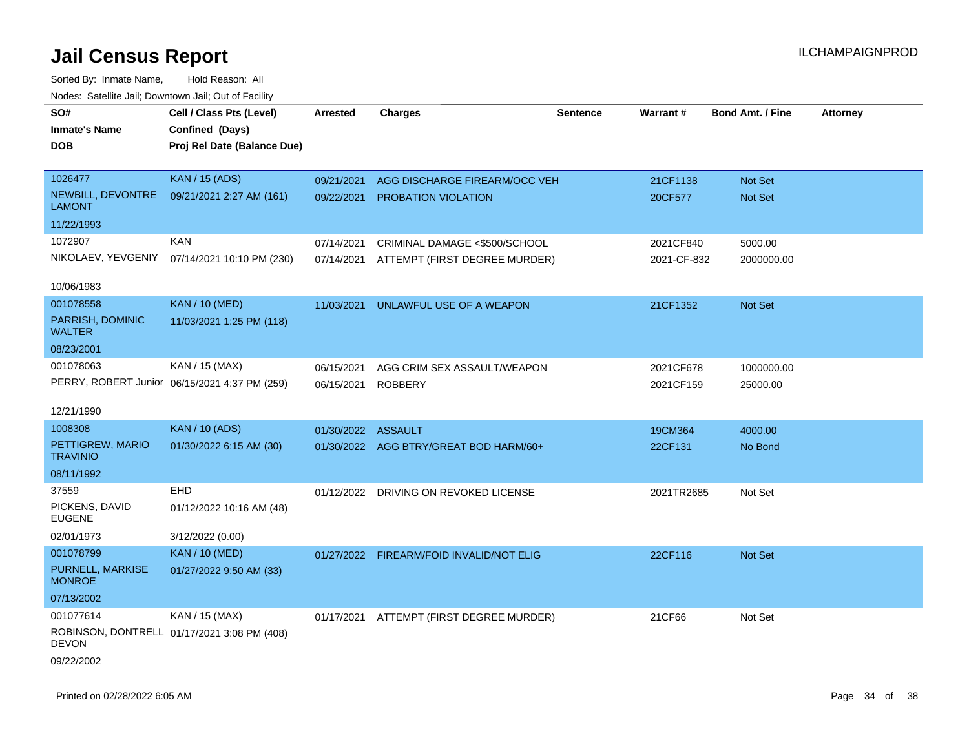| rouce. Calcinic Jan, Downtown Jan, Out or Facility |                                               |                    |                                          |                 |                 |                         |                 |
|----------------------------------------------------|-----------------------------------------------|--------------------|------------------------------------------|-----------------|-----------------|-------------------------|-----------------|
| SO#                                                | Cell / Class Pts (Level)                      | <b>Arrested</b>    | <b>Charges</b>                           | <b>Sentence</b> | <b>Warrant#</b> | <b>Bond Amt. / Fine</b> | <b>Attorney</b> |
| <b>Inmate's Name</b>                               | Confined (Days)                               |                    |                                          |                 |                 |                         |                 |
| <b>DOB</b>                                         | Proj Rel Date (Balance Due)                   |                    |                                          |                 |                 |                         |                 |
|                                                    |                                               |                    |                                          |                 |                 |                         |                 |
| 1026477                                            | <b>KAN / 15 (ADS)</b>                         | 09/21/2021         | AGG DISCHARGE FIREARM/OCC VEH            |                 | 21CF1138        | Not Set                 |                 |
| NEWBILL, DEVONTRE<br><b>LAMONT</b>                 | 09/21/2021 2:27 AM (161)                      | 09/22/2021         | PROBATION VIOLATION                      |                 | 20CF577         | Not Set                 |                 |
| 11/22/1993                                         |                                               |                    |                                          |                 |                 |                         |                 |
| 1072907                                            | <b>KAN</b>                                    | 07/14/2021         | CRIMINAL DAMAGE <\$500/SCHOOL            |                 | 2021CF840       | 5000.00                 |                 |
|                                                    | NIKOLAEV, YEVGENIY 07/14/2021 10:10 PM (230)  | 07/14/2021         | ATTEMPT (FIRST DEGREE MURDER)            |                 | 2021-CF-832     | 2000000.00              |                 |
|                                                    |                                               |                    |                                          |                 |                 |                         |                 |
| 10/06/1983                                         |                                               |                    |                                          |                 |                 |                         |                 |
| 001078558                                          | <b>KAN / 10 (MED)</b>                         | 11/03/2021         | UNLAWFUL USE OF A WEAPON                 |                 | 21CF1352        | Not Set                 |                 |
| PARRISH, DOMINIC<br>WALTER                         | 11/03/2021 1:25 PM (118)                      |                    |                                          |                 |                 |                         |                 |
| 08/23/2001                                         |                                               |                    |                                          |                 |                 |                         |                 |
| 001078063                                          | KAN / 15 (MAX)                                | 06/15/2021         | AGG CRIM SEX ASSAULT/WEAPON              |                 | 2021CF678       | 1000000.00              |                 |
|                                                    | PERRY, ROBERT Junior 06/15/2021 4:37 PM (259) | 06/15/2021         | <b>ROBBERY</b>                           |                 | 2021CF159       | 25000.00                |                 |
|                                                    |                                               |                    |                                          |                 |                 |                         |                 |
| 12/21/1990                                         |                                               |                    |                                          |                 |                 |                         |                 |
| 1008308                                            | <b>KAN / 10 (ADS)</b>                         | 01/30/2022 ASSAULT |                                          |                 | 19CM364         | 4000.00                 |                 |
| PETTIGREW, MARIO<br><b>TRAVINIO</b>                | 01/30/2022 6:15 AM (30)                       |                    | 01/30/2022 AGG BTRY/GREAT BOD HARM/60+   |                 | 22CF131         | No Bond                 |                 |
| 08/11/1992                                         |                                               |                    |                                          |                 |                 |                         |                 |
| 37559                                              | <b>EHD</b>                                    |                    | 01/12/2022 DRIVING ON REVOKED LICENSE    |                 | 2021TR2685      | Not Set                 |                 |
| PICKENS, DAVID<br><b>EUGENE</b>                    | 01/12/2022 10:16 AM (48)                      |                    |                                          |                 |                 |                         |                 |
| 02/01/1973                                         | 3/12/2022 (0.00)                              |                    |                                          |                 |                 |                         |                 |
| 001078799                                          | <b>KAN</b> / 10 (MED)                         |                    | 01/27/2022 FIREARM/FOID INVALID/NOT ELIG |                 | 22CF116         | Not Set                 |                 |
| PURNELL, MARKISE<br><b>MONROE</b>                  | 01/27/2022 9:50 AM (33)                       |                    |                                          |                 |                 |                         |                 |
| 07/13/2002                                         |                                               |                    |                                          |                 |                 |                         |                 |
| 001077614                                          | KAN / 15 (MAX)                                |                    | 01/17/2021 ATTEMPT (FIRST DEGREE MURDER) |                 | 21CF66          | Not Set                 |                 |
| <b>DEVON</b>                                       | ROBINSON, DONTRELL 01/17/2021 3:08 PM (408)   |                    |                                          |                 |                 |                         |                 |
| 09/22/2002                                         |                                               |                    |                                          |                 |                 |                         |                 |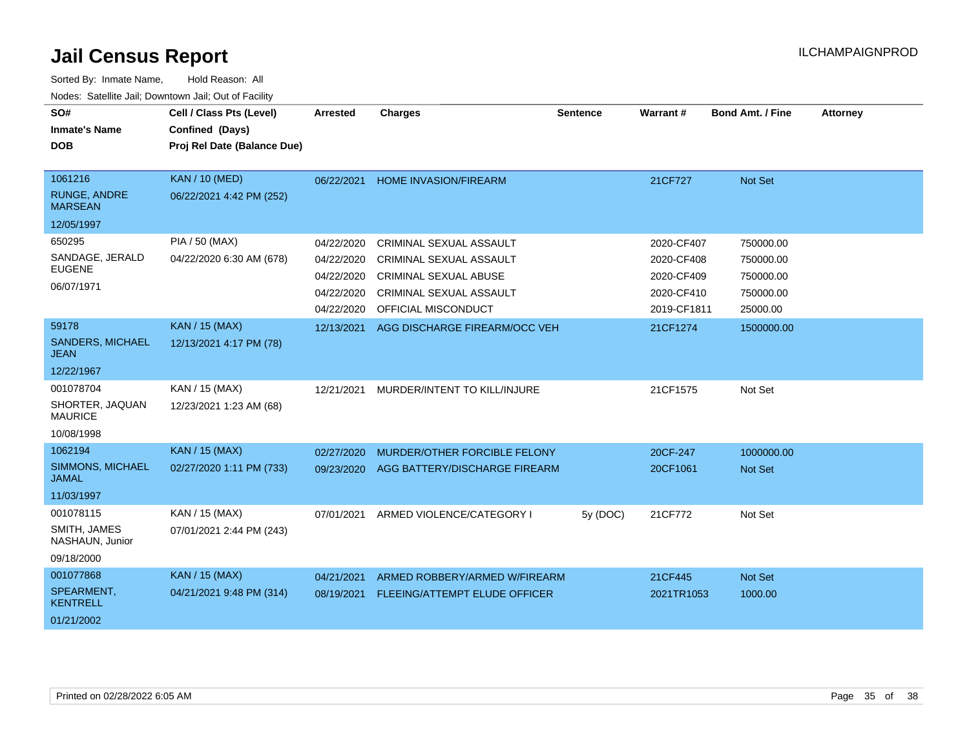| SO#<br><b>Inmate's Name</b><br><b>DOB</b>                      | Cell / Class Pts (Level)<br>Confined (Days)<br>Proj Rel Date (Balance Due) | <b>Arrested</b>                                                    | <b>Charges</b>                                                                                                                       | <b>Sentence</b> | Warrant#                                                            | <b>Bond Amt. / Fine</b>                                      | <b>Attorney</b> |
|----------------------------------------------------------------|----------------------------------------------------------------------------|--------------------------------------------------------------------|--------------------------------------------------------------------------------------------------------------------------------------|-----------------|---------------------------------------------------------------------|--------------------------------------------------------------|-----------------|
| 1061216<br><b>RUNGE, ANDRE</b><br><b>MARSEAN</b><br>12/05/1997 | <b>KAN / 10 (MED)</b><br>06/22/2021 4:42 PM (252)                          | 06/22/2021                                                         | <b>HOME INVASION/FIREARM</b>                                                                                                         |                 | 21CF727                                                             | Not Set                                                      |                 |
| 650295<br>SANDAGE, JERALD<br><b>EUGENE</b><br>06/07/1971       | <b>PIA / 50 (MAX)</b><br>04/22/2020 6:30 AM (678)                          | 04/22/2020<br>04/22/2020<br>04/22/2020<br>04/22/2020<br>04/22/2020 | CRIMINAL SEXUAL ASSAULT<br>CRIMINAL SEXUAL ASSAULT<br><b>CRIMINAL SEXUAL ABUSE</b><br>CRIMINAL SEXUAL ASSAULT<br>OFFICIAL MISCONDUCT |                 | 2020-CF407<br>2020-CF408<br>2020-CF409<br>2020-CF410<br>2019-CF1811 | 750000.00<br>750000.00<br>750000.00<br>750000.00<br>25000.00 |                 |
| 59178<br><b>SANDERS, MICHAEL</b><br><b>JEAN</b><br>12/22/1967  | <b>KAN / 15 (MAX)</b><br>12/13/2021 4:17 PM (78)                           | 12/13/2021                                                         | AGG DISCHARGE FIREARM/OCC VEH                                                                                                        |                 | 21CF1274                                                            | 1500000.00                                                   |                 |
| 001078704<br>SHORTER, JAQUAN<br><b>MAURICE</b><br>10/08/1998   | KAN / 15 (MAX)<br>12/23/2021 1:23 AM (68)                                  | 12/21/2021                                                         | MURDER/INTENT TO KILL/INJURE                                                                                                         |                 | 21CF1575                                                            | Not Set                                                      |                 |
| 1062194<br>SIMMONS, MICHAEL<br><b>JAMAL</b><br>11/03/1997      | <b>KAN / 15 (MAX)</b><br>02/27/2020 1:11 PM (733)                          | 02/27/2020<br>09/23/2020                                           | MURDER/OTHER FORCIBLE FELONY<br>AGG BATTERY/DISCHARGE FIREARM                                                                        |                 | 20CF-247<br>20CF1061                                                | 1000000.00<br><b>Not Set</b>                                 |                 |
| 001078115<br>SMITH, JAMES<br>NASHAUN, Junior<br>09/18/2000     | KAN / 15 (MAX)<br>07/01/2021 2:44 PM (243)                                 | 07/01/2021                                                         | ARMED VIOLENCE/CATEGORY I                                                                                                            | 5y (DOC)        | 21CF772                                                             | Not Set                                                      |                 |
| 001077868<br>SPEARMENT,<br><b>KENTRELL</b><br>01/21/2002       | <b>KAN / 15 (MAX)</b><br>04/21/2021 9:48 PM (314)                          | 04/21/2021<br>08/19/2021                                           | ARMED ROBBERY/ARMED W/FIREARM<br>FLEEING/ATTEMPT ELUDE OFFICER                                                                       |                 | 21CF445<br>2021TR1053                                               | Not Set<br>1000.00                                           |                 |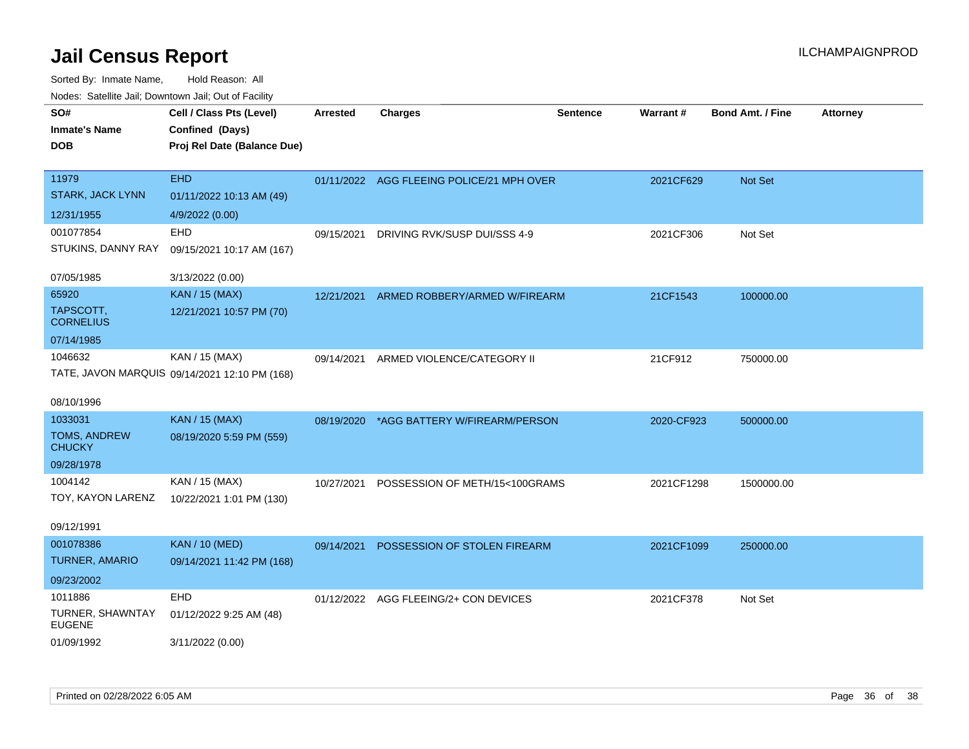| SO#<br><b>Inmate's Name</b><br><b>DOB</b> | Cell / Class Pts (Level)<br>Confined (Days)<br>Proj Rel Date (Balance Due) | <b>Arrested</b> | <b>Charges</b>                            | <b>Sentence</b> | <b>Warrant#</b> | <b>Bond Amt. / Fine</b> | <b>Attorney</b> |
|-------------------------------------------|----------------------------------------------------------------------------|-----------------|-------------------------------------------|-----------------|-----------------|-------------------------|-----------------|
| 11979<br><b>STARK, JACK LYNN</b>          | <b>EHD</b><br>01/11/2022 10:13 AM (49)                                     |                 | 01/11/2022 AGG FLEEING POLICE/21 MPH OVER |                 | 2021CF629       | Not Set                 |                 |
| 12/31/1955                                | 4/9/2022 (0.00)                                                            |                 |                                           |                 |                 |                         |                 |
| 001077854                                 | EHD                                                                        | 09/15/2021      | DRIVING RVK/SUSP DUI/SSS 4-9              |                 | 2021CF306       | Not Set                 |                 |
| STUKINS, DANNY RAY                        | 09/15/2021 10:17 AM (167)                                                  |                 |                                           |                 |                 |                         |                 |
| 07/05/1985                                | 3/13/2022 (0.00)                                                           |                 |                                           |                 |                 |                         |                 |
| 65920                                     | <b>KAN</b> / 15 (MAX)                                                      | 12/21/2021      | ARMED ROBBERY/ARMED W/FIREARM             |                 | 21CF1543        | 100000.00               |                 |
| TAPSCOTT,<br><b>CORNELIUS</b>             | 12/21/2021 10:57 PM (70)                                                   |                 |                                           |                 |                 |                         |                 |
| 07/14/1985                                |                                                                            |                 |                                           |                 |                 |                         |                 |
| 1046632                                   | KAN / 15 (MAX)                                                             | 09/14/2021      | ARMED VIOLENCE/CATEGORY II                |                 | 21CF912         | 750000.00               |                 |
| 08/10/1996                                | TATE, JAVON MARQUIS 09/14/2021 12:10 PM (168)                              |                 |                                           |                 |                 |                         |                 |
| 1033031                                   | <b>KAN</b> / 15 (MAX)                                                      | 08/19/2020      | *AGG BATTERY W/FIREARM/PERSON             |                 | 2020-CF923      | 500000.00               |                 |
| TOMS, ANDREW<br><b>CHUCKY</b>             | 08/19/2020 5:59 PM (559)                                                   |                 |                                           |                 |                 |                         |                 |
| 09/28/1978                                |                                                                            |                 |                                           |                 |                 |                         |                 |
| 1004142                                   | KAN / 15 (MAX)                                                             | 10/27/2021      | POSSESSION OF METH/15<100GRAMS            |                 | 2021CF1298      | 1500000.00              |                 |
| TOY, KAYON LARENZ                         | 10/22/2021 1:01 PM (130)                                                   |                 |                                           |                 |                 |                         |                 |
| 09/12/1991                                |                                                                            |                 |                                           |                 |                 |                         |                 |
| 001078386                                 | <b>KAN / 10 (MED)</b>                                                      | 09/14/2021      | POSSESSION OF STOLEN FIREARM              |                 | 2021CF1099      | 250000.00               |                 |
| <b>TURNER, AMARIO</b>                     | 09/14/2021 11:42 PM (168)                                                  |                 |                                           |                 |                 |                         |                 |
| 09/23/2002                                |                                                                            |                 |                                           |                 |                 |                         |                 |
| 1011886                                   | EHD                                                                        |                 | 01/12/2022 AGG FLEEING/2+ CON DEVICES     |                 | 2021CF378       | Not Set                 |                 |
| TURNER, SHAWNTAY<br><b>EUGENE</b>         | 01/12/2022 9:25 AM (48)                                                    |                 |                                           |                 |                 |                         |                 |
| 01/09/1992                                | 3/11/2022 (0.00)                                                           |                 |                                           |                 |                 |                         |                 |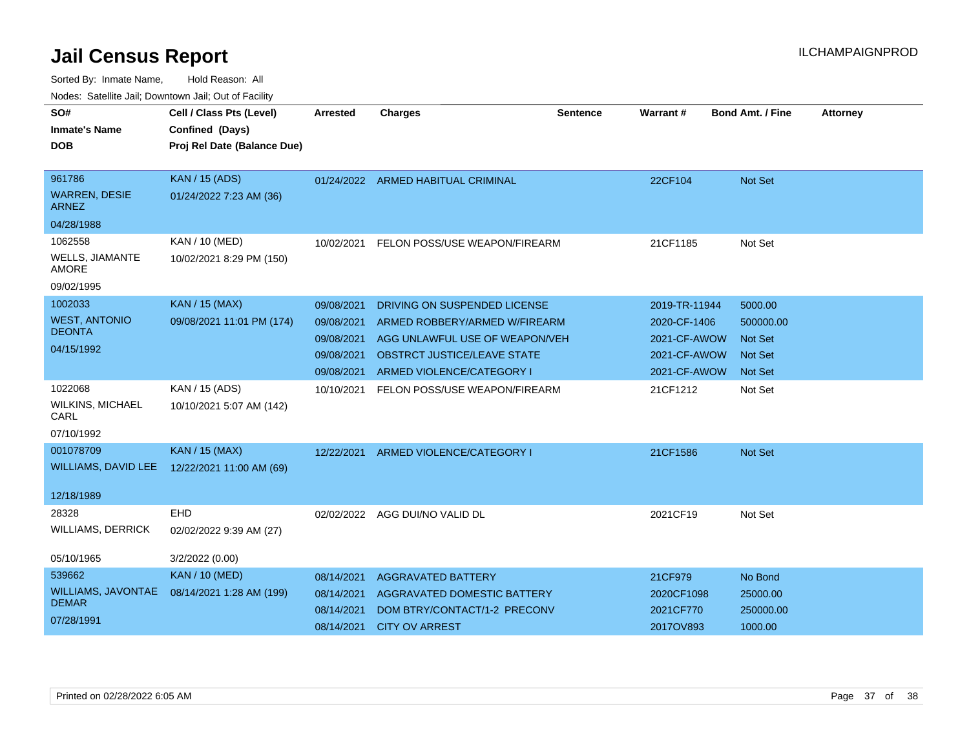| SO#<br><b>Inmate's Name</b><br><b>DOB</b>      | Cell / Class Pts (Level)<br>Confined (Days)<br>Proj Rel Date (Balance Due) | Arrested   | <b>Charges</b>                     | Sentence | <b>Warrant#</b> | <b>Bond Amt. / Fine</b> | <b>Attorney</b> |
|------------------------------------------------|----------------------------------------------------------------------------|------------|------------------------------------|----------|-----------------|-------------------------|-----------------|
| 961786<br><b>WARREN, DESIE</b><br><b>ARNEZ</b> | <b>KAN / 15 (ADS)</b><br>01/24/2022 7:23 AM (36)                           |            | 01/24/2022 ARMED HABITUAL CRIMINAL |          | 22CF104         | Not Set                 |                 |
| 04/28/1988                                     |                                                                            |            |                                    |          |                 |                         |                 |
| 1062558                                        | KAN / 10 (MED)                                                             | 10/02/2021 | FELON POSS/USE WEAPON/FIREARM      |          | 21CF1185        | Not Set                 |                 |
| WELLS, JIAMANTE<br><b>AMORE</b>                | 10/02/2021 8:29 PM (150)                                                   |            |                                    |          |                 |                         |                 |
| 09/02/1995                                     |                                                                            |            |                                    |          |                 |                         |                 |
| 1002033                                        | <b>KAN / 15 (MAX)</b>                                                      | 09/08/2021 | DRIVING ON SUSPENDED LICENSE       |          | 2019-TR-11944   | 5000.00                 |                 |
| <b>WEST, ANTONIO</b>                           | 09/08/2021 11:01 PM (174)                                                  | 09/08/2021 | ARMED ROBBERY/ARMED W/FIREARM      |          | 2020-CF-1406    | 500000.00               |                 |
| <b>DEONTA</b>                                  |                                                                            | 09/08/2021 | AGG UNLAWFUL USE OF WEAPON/VEH     |          | 2021-CF-AWOW    | <b>Not Set</b>          |                 |
| 04/15/1992                                     |                                                                            | 09/08/2021 | <b>OBSTRCT JUSTICE/LEAVE STATE</b> |          | 2021-CF-AWOW    | <b>Not Set</b>          |                 |
|                                                |                                                                            | 09/08/2021 | ARMED VIOLENCE/CATEGORY I          |          | 2021-CF-AWOW    | <b>Not Set</b>          |                 |
| 1022068<br><b>WILKINS, MICHAEL</b><br>CARL     | KAN / 15 (ADS)<br>10/10/2021 5:07 AM (142)                                 | 10/10/2021 | FELON POSS/USE WEAPON/FIREARM      |          | 21CF1212        | Not Set                 |                 |
| 07/10/1992                                     |                                                                            |            |                                    |          |                 |                         |                 |
| 001078709<br><b>WILLIAMS, DAVID LEE</b>        | KAN / 15 (MAX)<br>12/22/2021 11:00 AM (69)                                 | 12/22/2021 | ARMED VIOLENCE/CATEGORY I          |          | 21CF1586        | Not Set                 |                 |
| 12/18/1989                                     |                                                                            |            |                                    |          |                 |                         |                 |
| 28328<br><b>WILLIAMS, DERRICK</b>              | <b>EHD</b><br>02/02/2022 9:39 AM (27)                                      |            | 02/02/2022 AGG DUI/NO VALID DL     |          | 2021CF19        | Not Set                 |                 |
| 05/10/1965                                     | 3/2/2022 (0.00)                                                            |            |                                    |          |                 |                         |                 |
| 539662                                         | <b>KAN / 10 (MED)</b>                                                      | 08/14/2021 | <b>AGGRAVATED BATTERY</b>          |          | 21CF979         | No Bond                 |                 |
| WILLIAMS, JAVONTAE                             | 08/14/2021 1:28 AM (199)                                                   | 08/14/2021 | <b>AGGRAVATED DOMESTIC BATTERY</b> |          | 2020CF1098      | 25000.00                |                 |
| <b>DEMAR</b>                                   |                                                                            | 08/14/2021 | DOM BTRY/CONTACT/1-2 PRECONV       |          | 2021CF770       | 250000.00               |                 |
| 07/28/1991                                     |                                                                            | 08/14/2021 | <b>CITY OV ARREST</b>              |          | 2017OV893       | 1000.00                 |                 |